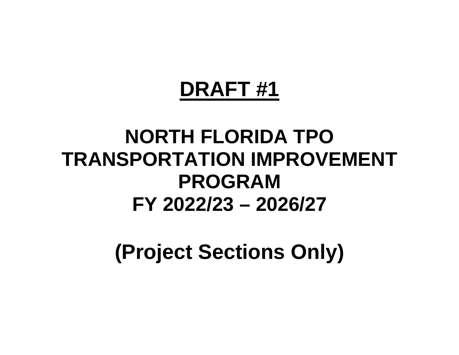# **DRAFT #1**

# **NORTH FLORIDA TPO TRANSPORTATION IMPROVEMENT PROGRAM FY 2022/23 – 2026/27**

**(Project Sections Only)**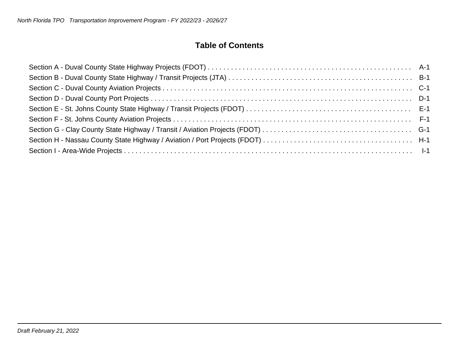# **Table of Contents**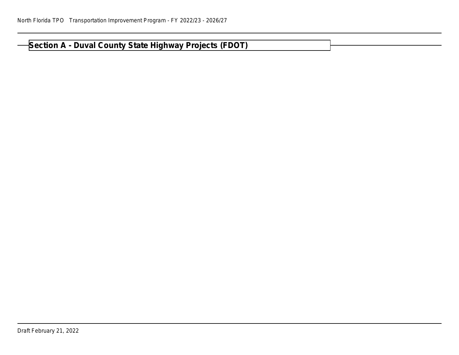| Section A - Duval County State Highway Projects (FDOT) |
|--------------------------------------------------------|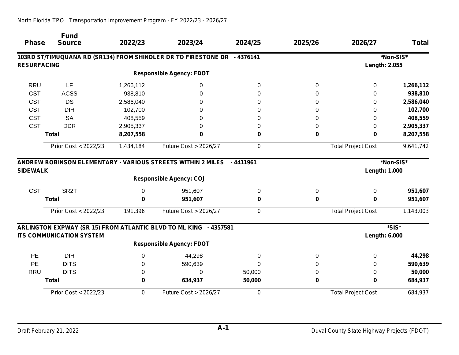# **Phase Fund Source 2022/23 2023/24 2024/25 2025/26 2026/27 Total 103RD ST/TIMUQUANA RD (SR134) FROM SHINDLER DR TO FIRESTONE DR - 4376141 \*Non-SIS\* RESURFACING Length: 2.055 Responsible Agency: FDOT** RRU LF 1,266,112 0 0 0 0 **1,266,112** CST ACSS 938,810 0 0 0 0 **938,810** CST DS 2,586,040 0 0 0 0 **2,586,040** CST DIH 102,700 0 0 0 0 **102,700** CST SA 408,559 0 0 0 0 **408,559** CST DDR 2,905,337 0 0 0 0 **2,905,337 Total 8,207,558 0 0 0 0 8,207,558** *Prior Cost < 2022/23 1,434,184 Future Cost > 2026/27 0 Total Project Cost 9,641,742* **ANDREW ROBINSON ELEMENTARY - VARIOUS STREETS WITHIN 2 MILES - 4411961 <b>\*WILLER** \*\* Non-SIS\* **SIDEWALK Length: 1.000 Responsible Agency: COJ** CST SR2T 0 951,607 0 0 0 **951,607 Total 0 951,607 0 0 0 951,607** *Prior Cost < 2022/23 191,396 Future Cost > 2026/27 0 Total Project Cost 1,143,003* **ARLINGTON EXPWAY (SR 15) FROM ATLANTIC BLVD TO ML KING - 4357581 \*SIS\* ITS COMMUNICATION SYSTEM Length: 6.000 Responsible Agency: FDOT** PE DIH 0 44,298 0 0 0 **44,298** PE DITS 0 590,639 0 0 0 **590,639** RRU DITS 0 0 50,000 0 0 **50,000 Total 0 634,937 50,000 0 0 684,937** *Prior Cost < 2022/23 0 Future Cost > 2026/27 0 Total Project Cost 684,937*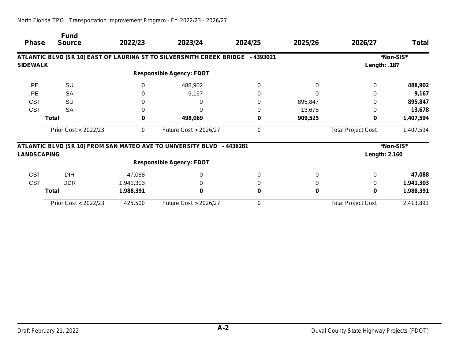| <b>Phase</b>       | <b>Fund</b><br><b>Source</b> | 2022/23   | 2023/24                                                              | 2024/25   | 2025/26 | 2026/27                   | Total     |
|--------------------|------------------------------|-----------|----------------------------------------------------------------------|-----------|---------|---------------------------|-----------|
|                    |                              |           | ATLANTIC BLVD (SR 10) EAST OF LAURINA ST TO SILVERSMITH CREEK BRIDGE | - 4393021 |         |                           | *Non-SIS* |
| <b>SIDEWALK</b>    |                              |           |                                                                      |           |         | Length: .187              |           |
|                    |                              |           | <b>Responsible Agency: FDOT</b>                                      |           |         |                           |           |
| <b>PE</b>          | SU                           | $\Omega$  | 488,902                                                              | 0         | 0       | 0                         | 488,902   |
| <b>PE</b>          | <b>SA</b>                    | 0         | 9,167                                                                |           |         |                           | 9,167     |
| <b>CST</b>         | SU                           | 0         | 0                                                                    |           | 895,847 |                           | 895,847   |
| <b>CST</b>         | <b>SA</b>                    | 0         |                                                                      |           | 13,678  |                           | 13,678    |
|                    | <b>Total</b>                 | $\bf{0}$  | 498,069                                                              | 0         | 909,525 | 0                         | 1,407,594 |
|                    | Prior Cost < 2022/23         | 0         | <b>Future Cost &gt; 2026/27</b>                                      | 0         |         | <b>Total Project Cost</b> | 1,407,594 |
|                    |                              |           | ATLANTIC BLVD (SR 10) FROM SAN MATEO AVE TO UNIVERSITY BLVD          | - 4436281 |         |                           | *Non-SIS* |
| <b>LANDSCAPING</b> |                              |           |                                                                      |           |         | <b>Length: 2.160</b>      |           |
|                    |                              |           | <b>Responsible Agency: FDOT</b>                                      |           |         |                           |           |
| <b>CST</b>         | <b>DIH</b>                   | 47,088    | 0                                                                    |           | 0       | 0                         | 47,088    |
| <b>CST</b>         | <b>DDR</b>                   | 1,941,303 |                                                                      |           |         | 0                         | 1,941,303 |
|                    | <b>Total</b>                 | 1,988,391 | 0                                                                    | 0         | 0       | 0                         | 1,988,391 |
|                    | Prior Cost < 2022/23         | 425,500   | <b>Future Cost &gt; 2026/27</b>                                      | 0         |         | <b>Total Project Cost</b> | 2,413,891 |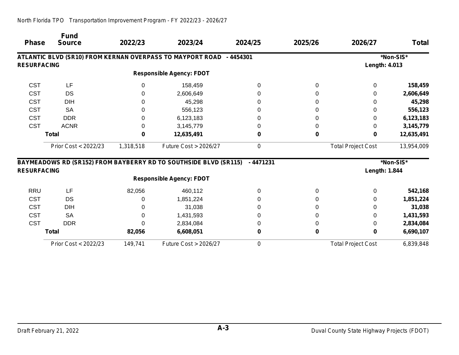| <b>Phase</b>       | <b>Fund</b><br><b>Source</b> | 2022/23      | 2023/24                                                             | 2024/25    | 2025/26 | 2026/27                   | <b>Total</b> |
|--------------------|------------------------------|--------------|---------------------------------------------------------------------|------------|---------|---------------------------|--------------|
|                    |                              |              | ATLANTIC BLVD (SR10) FROM KERNAN OVERPASS TO MAYPORT ROAD - 4454301 |            |         |                           | *Non-SIS*    |
| <b>RESURFACING</b> |                              |              |                                                                     |            |         | <b>Length: 4.013</b>      |              |
|                    |                              |              | <b>Responsible Agency: FDOT</b>                                     |            |         |                           |              |
| <b>CST</b>         | LF                           | $\mathbf{0}$ | 158,459                                                             | 0          | 0       | 0                         | 158,459      |
| <b>CST</b>         | DS                           | 0            | 2,606,649                                                           |            | 0       | 0                         | 2,606,649    |
| <b>CST</b>         | <b>DIH</b>                   | 0            | 45,298                                                              |            | 0       | 0                         | 45,298       |
| <b>CST</b>         | <b>SA</b>                    | 0            | 556,123                                                             |            | 0       | 0                         | 556,123      |
| <b>CST</b>         | <b>DDR</b>                   | 0            | 6,123,183                                                           |            | 0       | 0                         | 6,123,183    |
| <b>CST</b>         | <b>ACNR</b>                  | 0            | 3,145,779                                                           |            | 0       | 0                         | 3,145,779    |
|                    | <b>Total</b>                 | 0            | 12,635,491                                                          | 0          | 0       | 0                         | 12,635,491   |
|                    | Prior Cost < 2022/23         | 1,318,518    | Future Cost > 2026/27                                               | 0          |         | <b>Total Project Cost</b> | 13,954,009   |
|                    |                              |              | BAYMEADOWS RD (SR152) FROM BAYBERRY RD TO SOUTHSIDE BLVD (SR115)    | $-4471231$ |         |                           | *Non-SIS*    |
| <b>RESURFACING</b> |                              |              |                                                                     |            |         | <b>Length: 1.844</b>      |              |
|                    |                              |              | <b>Responsible Agency: FDOT</b>                                     |            |         |                           |              |
| <b>RRU</b>         | LF                           | 82,056       | 460,112                                                             | 0          | 0       | 0                         | 542,168      |
| <b>CST</b>         | <b>DS</b>                    | 0            | 1,851,224                                                           |            | 0       | 0                         | 1,851,224    |
| <b>CST</b>         | <b>DIH</b>                   | 0            | 31,038                                                              |            | 0       |                           | 31,038       |
| <b>CST</b>         | <b>SA</b>                    | $\Omega$     | 1,431,593                                                           |            | 0       | 0                         | 1,431,593    |
| <b>CST</b>         | <b>DDR</b>                   | $\Omega$     | 2,834,084                                                           |            | 0       | 0                         | 2,834,084    |
|                    | <b>Total</b>                 | 82,056       | 6,608,051                                                           | 0          | 0       | 0                         | 6,690,107    |
|                    | Prior Cost < 2022/23         | 149,741      | Future Cost > 2026/27                                               | 0          |         | <b>Total Project Cost</b> | 6,839,848    |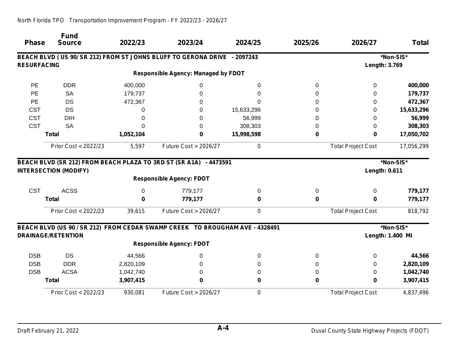| <b>Phase</b>       | <b>Fund</b><br><b>Source</b> | 2022/23            | 2023/24                                                                      | 2024/25    | 2025/26     | 2026/27                   | <b>Total</b>     |
|--------------------|------------------------------|--------------------|------------------------------------------------------------------------------|------------|-------------|---------------------------|------------------|
| <b>RESURFACING</b> |                              |                    | BEACH BLVD ( US 90/ SR 212) FROM ST JOHNS BLUFF TO GERONA DRIVE - 2097243    |            |             | <b>Length: 3.769</b>      | *Non-SIS*        |
|                    |                              |                    | <b>Responsible Agency: Managed by FDOT</b>                                   |            |             |                           |                  |
| <b>PE</b>          | <b>DDR</b>                   |                    |                                                                              | $\Omega$   |             | $\Omega$                  | 400,000          |
| PE                 | <b>SA</b>                    | 400,000<br>179,737 | 0<br>0                                                                       | 0          | 0<br>0      | 0                         | 179,737          |
| <b>PE</b>          | <b>DS</b>                    | 472,367            | 0                                                                            | O          | 0           | $\Omega$                  | 472,367          |
| <b>CST</b>         | <b>DS</b>                    | 0                  | 0                                                                            | 15,633,296 | 0           | 0                         | 15,633,296       |
| <b>CST</b>         | <b>DIH</b>                   | 0                  | 0                                                                            | 56,999     | 0           | 0                         | 56,999           |
| <b>CST</b>         | <b>SA</b>                    | $\Omega$           | $\Omega$                                                                     | 308,303    | 0           | 0                         | 308,303          |
|                    | <b>Total</b>                 | 1,052,104          | 0                                                                            | 15,998,598 | 0           | 0                         | 17,050,702       |
|                    | Prior Cost < 2022/23         | 5,597              | Future Cost > 2026/27                                                        | 0          |             | <b>Total Project Cost</b> | 17,056,299       |
|                    | <b>INTERSECTION (MODIFY)</b> |                    | <b>Responsible Agency: FDOT</b>                                              |            |             | <b>Length: 0.611</b>      |                  |
| <b>CST</b>         | <b>ACSS</b>                  | 0                  | 779,177                                                                      | 0          | 0           | $\Omega$                  | 779,177          |
|                    | <b>Total</b>                 | 0                  | 779,177                                                                      | 0          | $\bf{0}$    | 0                         | 779,177          |
|                    | Prior Cost < 2022/23         | 39,615             | Future Cost > 2026/27                                                        | 0          |             | <b>Total Project Cost</b> | 818,792          |
|                    |                              |                    | BEACH BLVD (US 90 / SR 212) FROM CEDAR SWAMP CREEK TO BROUGHAM AVE - 4328491 |            |             |                           | *Non-SIS*        |
|                    | <b>DRAINAGE/RETENTION</b>    |                    |                                                                              |            |             |                           | Length: 1.400 MI |
|                    |                              |                    | <b>Responsible Agency: FDOT</b>                                              |            |             |                           |                  |
| <b>DSB</b>         | <b>DS</b>                    | 44,566             | 0                                                                            | $\Omega$   | 0           | $\Omega$                  | 44,566           |
| <b>DSB</b>         | <b>DDR</b>                   | 2,820,109          | 0                                                                            | 0          | 0           | 0                         | 2,820,109        |
| <b>DSB</b>         | <b>ACSA</b>                  | 1,042,740          | 0                                                                            | 0          | 0           | $\Omega$                  | 1,042,740        |
|                    | <b>Total</b>                 | 3,907,415          | 0                                                                            | 0          | $\mathbf 0$ | $\bf{0}$                  | 3,907,415        |
|                    | Prior Cost < 2022/23         | 930,081            | Future Cost > 2026/27                                                        | 0          |             | <b>Total Project Cost</b> | 4,837,496        |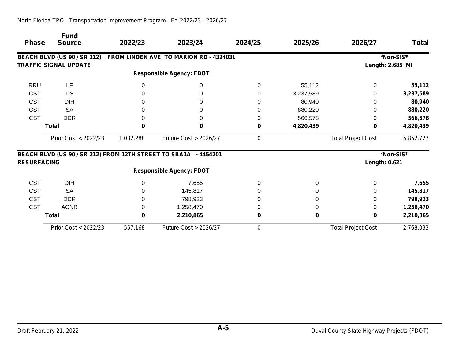| <b>Phase</b>       | <b>Fund</b><br><b>Source</b>       | 2022/23   | 2023/24                                                         | 2024/25 | 2025/26   | 2026/27                   | <b>Total</b> |
|--------------------|------------------------------------|-----------|-----------------------------------------------------------------|---------|-----------|---------------------------|--------------|
|                    | <b>BEACH BLVD (US 90 / SR 212)</b> |           | FROM LINDEN AVE TO MARION RD - 4324031                          |         |           |                           | *Non-SIS*    |
|                    | <b>TRAFFIC SIGNAL UPDATE</b>       |           |                                                                 |         |           | Length: 2.685 MI          |              |
|                    |                                    |           | <b>Responsible Agency: FDOT</b>                                 |         |           |                           |              |
| <b>RRU</b>         | LF                                 | 0         | 0                                                               | 0       | 55,112    | 0                         | 55,112       |
| <b>CST</b>         | DS                                 | $\Omega$  | 0                                                               | 0       | 3,237,589 | $\Omega$                  | 3,237,589    |
| <b>CST</b>         | <b>DIH</b>                         | $\Omega$  | 0                                                               | O       | 80,940    |                           | 80,940       |
| <b>CST</b>         | <b>SA</b>                          | 0         | 0                                                               | 0       | 880,220   |                           | 880,220      |
| <b>CST</b>         | <b>DDR</b>                         | O         | 0                                                               | 0       | 566,578   | 0                         | 566,578      |
|                    | <b>Total</b>                       | n         | $\bf{0}$                                                        | 0       | 4,820,439 | 0                         | 4,820,439    |
|                    | Prior Cost < 2022/23               | 1,032,288 | Future Cost > 2026/27                                           | 0       |           | <b>Total Project Cost</b> | 5,852,727    |
|                    |                                    |           | BEACH BLVD (US 90 / SR 212) FROM 12TH STREET TO SRA1A - 4454201 |         |           |                           | *Non-SIS*    |
| <b>RESURFACING</b> |                                    |           |                                                                 |         |           | <b>Length: 0.621</b>      |              |
|                    |                                    |           | <b>Responsible Agency: FDOT</b>                                 |         |           |                           |              |
| <b>CST</b>         | <b>DIH</b>                         | 0         | 7,655                                                           | 0       | 0         | 0                         | 7,655        |
| <b>CST</b>         | <b>SA</b>                          | 0         | 145,817                                                         |         | 0         | 0                         | 145,817      |
| <b>CST</b>         | <b>DDR</b>                         |           | 798,923                                                         |         | 0         |                           | 798,923      |
| <b>CST</b>         | <b>ACNR</b>                        | 0         | 1,258,470                                                       |         | 0         | 0                         | 1,258,470    |
|                    | <b>Total</b>                       | 0         | 2,210,865                                                       | 0       | 0         | 0                         | 2,210,865    |
|                    | Prior Cost < 2022/23               | 557,168   | Future Cost > 2026/27                                           | 0       |           | <b>Total Project Cost</b> | 2,768,033    |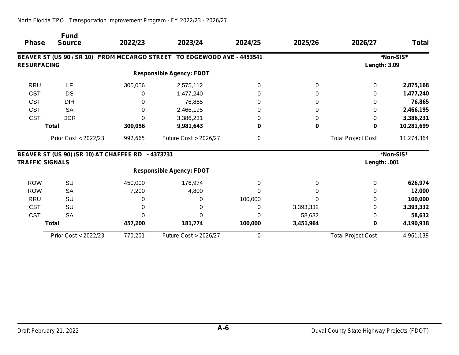| <b>Phase</b>           | <b>Fund</b><br><b>Source</b> | 2022/23                                           | 2023/24                                                                 | 2024/25  | 2025/26   | 2026/27                   | <b>Total</b> |
|------------------------|------------------------------|---------------------------------------------------|-------------------------------------------------------------------------|----------|-----------|---------------------------|--------------|
|                        |                              |                                                   | BEAVER ST (US 90 / SR 10) FROM MCCARGO STREET TO EDGEWOOD AVE - 4453541 |          |           |                           | *Non-SIS*    |
| <b>RESURFACING</b>     |                              |                                                   |                                                                         |          |           | <b>Length: 3.09</b>       |              |
|                        |                              |                                                   | <b>Responsible Agency: FDOT</b>                                         |          |           |                           |              |
| <b>RRU</b>             | LF                           | 300,056                                           | 2,575,112                                                               | $\Omega$ | 0         | 0                         | 2,875,168    |
| <b>CST</b>             | DS                           |                                                   | 1,477,240                                                               |          | 0         | 0                         | 1,477,240    |
| <b>CST</b>             | <b>DIH</b>                   |                                                   | 76,865                                                                  |          | 0         | 0                         | 76,865       |
| <b>CST</b>             | <b>SA</b>                    | 0                                                 | 2,466,195                                                               |          | 0         | 0                         | 2,466,195    |
| <b>CST</b>             | <b>DDR</b>                   | ∩                                                 | 3,386,231                                                               |          | 0         | 0                         | 3,386,231    |
|                        | <b>Total</b>                 | 300,056                                           | 9,981,643                                                               | 0        | 0         | 0                         | 10,281,699   |
|                        | Prior Cost < 2022/23         | 992,665                                           | Future Cost > 2026/27                                                   | 0        |           | <b>Total Project Cost</b> | 11,274,364   |
|                        |                              | BEAVER ST (US 90) (SR 10) AT CHAFFEE RD - 4373731 |                                                                         |          |           |                           | *Non-SIS*    |
| <b>TRAFFIC SIGNALS</b> |                              |                                                   |                                                                         |          |           | Length: .001              |              |
|                        |                              |                                                   | <b>Responsible Agency: FDOT</b>                                         |          |           |                           |              |
| <b>ROW</b>             | SU                           | 450,000                                           | 176,974                                                                 | 0        | 0         | $\Omega$                  | 626,974      |
| <b>ROW</b>             | <b>SA</b>                    | 7,200                                             | 4,800                                                                   |          |           | 0                         | 12,000       |
| <b>RRU</b>             | SU                           |                                                   | 0                                                                       | 100,000  | 0         | 0                         | 100,000      |
| <b>CST</b>             | SU                           |                                                   |                                                                         | $\Omega$ | 3,393,332 | 0                         | 3,393,332    |
| <b>CST</b>             | <b>SA</b>                    |                                                   |                                                                         | $\Omega$ | 58,632    | 0                         | 58,632       |
|                        | <b>Total</b>                 | 457,200                                           | 181,774                                                                 | 100,000  | 3,451,964 | 0                         | 4,190,938    |
|                        | Prior Cost < 2022/23         | 770,201                                           | Future Cost > 2026/27                                                   | 0        |           | <b>Total Project Cost</b> | 4,961,139    |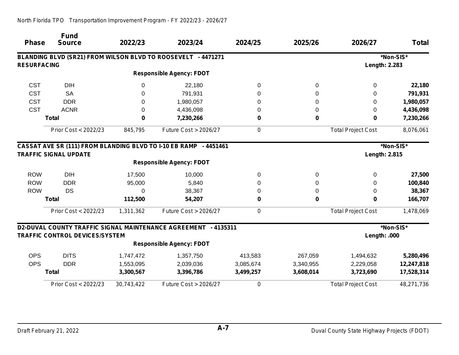| <b>Phase</b>       | <b>Fund</b><br><b>Source</b>          | 2022/23    | 2023/24                                                                                             | 2024/25   | 2025/26   | 2026/27                   | <b>Total</b> |
|--------------------|---------------------------------------|------------|-----------------------------------------------------------------------------------------------------|-----------|-----------|---------------------------|--------------|
|                    |                                       |            | BLANDING BLVD (SR21) FROM WILSON BLVD TO ROOSEVELT - 4471271                                        |           |           |                           | *Non-SIS*    |
| <b>RESURFACING</b> |                                       |            |                                                                                                     |           |           | <b>Length: 2.283</b>      |              |
|                    |                                       |            | <b>Responsible Agency: FDOT</b>                                                                     |           |           |                           |              |
| <b>CST</b>         | <b>DIH</b>                            | 0          | 22,180                                                                                              | $\Omega$  | 0         | 0                         | 22,180       |
| <b>CST</b>         | <b>SA</b>                             | 0          | 791,931                                                                                             | 0         | 0         | 0                         | 791,931      |
| <b>CST</b>         | <b>DDR</b>                            | 0          | 1,980,057                                                                                           | 0         | 0         | 0                         | 1,980,057    |
| <b>CST</b>         | <b>ACNR</b>                           | 0          | 4,436,098                                                                                           | 0         | 0         | 0                         | 4,436,098    |
|                    | <b>Total</b>                          | 0          | 7,230,266                                                                                           | 0         | 0         | 0                         | 7,230,266    |
|                    | Prior Cost < 2022/23                  | 845,795    | Future Cost > 2026/27                                                                               | 0         |           | <b>Total Project Cost</b> | 8,076,061    |
|                    | <b>TRAFFIC SIGNAL UPDATE</b>          |            | CASSAT AVE SR (111) FROM BLANDING BLVD TO I-10 EB RAMP - 4451461<br><b>Responsible Agency: FDOT</b> |           |           | <b>Length: 2.815</b>      | *Non-SIS*    |
| <b>ROW</b>         | <b>DIH</b>                            | 17,500     | 10,000                                                                                              | $\Omega$  | 0         | 0                         | 27,500       |
| <b>ROW</b>         | <b>DDR</b>                            | 95,000     | 5,840                                                                                               | 0         | 0         | 0                         | 100,840      |
| <b>ROW</b>         | <b>DS</b>                             | 0          | 38,367                                                                                              | 0         | 0         | 0                         | 38,367       |
|                    | <b>Total</b>                          | 112,500    | 54,207                                                                                              | 0         | 0         | 0                         | 166,707      |
|                    | Prior Cost < 2022/23                  | 1,311,362  | Future Cost > 2026/27                                                                               | 0         |           | <b>Total Project Cost</b> | 1,478,069    |
|                    | <b>TRAFFIC CONTROL DEVICES/SYSTEM</b> |            | D2-DUVAL COUNTY TRAFFIC SIGNAL MAINTENANCE AGREEMENT - 4135311                                      |           |           | Length: .000              | *Non-SIS*    |
|                    |                                       |            | <b>Responsible Agency: FDOT</b>                                                                     |           |           |                           |              |
| <b>OPS</b>         | <b>DITS</b>                           | 1,747,472  | 1,357,750                                                                                           | 413,583   | 267,059   | 1,494,632                 | 5,280,496    |
| <b>OPS</b>         | <b>DDR</b>                            | 1,553,095  | 2,039,036                                                                                           | 3,085,674 | 3,340,955 | 2,229,058                 | 12,247,818   |
|                    | <b>Total</b>                          | 3,300,567  | 3,396,786                                                                                           | 3,499,257 | 3,608,014 | 3,723,690                 | 17,528,314   |
|                    | Prior Cost < 2022/23                  | 30,743,422 | Future Cost > 2026/27                                                                               | 0         |           | <b>Total Project Cost</b> | 48,271,736   |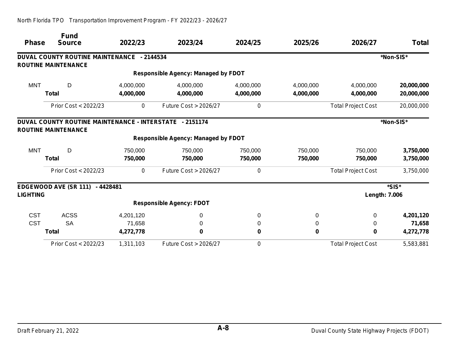|                 | <b>Fund</b>                                                    |           |                                            |           |           |                           |                      |
|-----------------|----------------------------------------------------------------|-----------|--------------------------------------------|-----------|-----------|---------------------------|----------------------|
| <b>Phase</b>    | <b>Source</b>                                                  | 2022/23   | 2023/24                                    | 2024/25   | 2025/26   | 2026/27                   | <b>Total</b>         |
|                 | <b>DUVAL COUNTY ROUTINE MAINTENANCE - 2144534</b>              |           |                                            |           |           |                           | *Non-SIS*            |
|                 | <b>ROUTINE MAINTENANCE</b>                                     |           |                                            |           |           |                           |                      |
|                 |                                                                |           | <b>Responsible Agency: Managed by FDOT</b> |           |           |                           |                      |
| <b>MNT</b>      | D                                                              | 4,000,000 | 4,000,000                                  | 4,000,000 | 4,000,000 | 4,000,000                 | 20,000,000           |
|                 | <b>Total</b>                                                   | 4,000,000 | 4,000,000                                  | 4,000,000 | 4,000,000 | 4,000,000                 | 20,000,000           |
|                 | Prior Cost < 2022/23                                           | 0         | <b>Future Cost &gt; 2026/27</b>            | 0         |           | <b>Total Project Cost</b> | 20,000,000           |
|                 | <b>DUVAL COUNTY ROUTINE MAINTENANCE - INTERSTATE - 2151174</b> |           |                                            |           |           |                           | *Non-SIS*            |
|                 | <b>ROUTINE MAINTENANCE</b>                                     |           |                                            |           |           |                           |                      |
|                 |                                                                |           | <b>Responsible Agency: Managed by FDOT</b> |           |           |                           |                      |
| <b>MNT</b>      | D                                                              | 750,000   | 750,000                                    | 750,000   | 750,000   | 750,000                   | 3,750,000            |
|                 | <b>Total</b>                                                   | 750,000   | 750,000                                    | 750,000   | 750,000   | 750,000                   | 3,750,000            |
|                 | Prior Cost < 2022/23                                           | 0         | Future Cost > 2026/27                      | 0         |           | <b>Total Project Cost</b> | 3,750,000            |
|                 | EDGEWOOD AVE (SR 111) - 4428481                                |           |                                            |           |           |                           | *SIS*                |
| <b>LIGHTING</b> |                                                                |           |                                            |           |           |                           | <b>Length: 7.006</b> |
|                 |                                                                |           | <b>Responsible Agency: FDOT</b>            |           |           |                           |                      |
| <b>CST</b>      | <b>ACSS</b>                                                    | 4,201,120 | 0                                          | 0         | 0         | 0                         | 4,201,120            |
| <b>CST</b>      | <b>SA</b>                                                      | 71,658    | 0                                          | 0         | 0         | 0                         | 71,658               |
|                 | <b>Total</b>                                                   | 4,272,778 | 0                                          | 0         | 0         | 0                         | 4,272,778            |
|                 | Prior Cost < 2022/23                                           | 1,311,103 | Future Cost > 2026/27                      | 0         |           | <b>Total Project Cost</b> | 5,583,881            |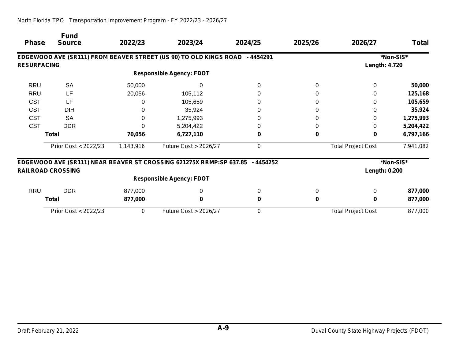# **Phase Fund Source 2022/23 2023/24 2024/25 2025/26 2026/27 Total EDGEWOOD AVE (SR111) FROM BEAVER STREET (US 90) TO OLD KINGS ROAD - 4454291 \*Non-SIS\* RESURFACING Length: 4.720 Responsible Agency: FDOT** RRU SA 50,000 0 0 0 0 **50,000** RRU LF 20,056 105,112 0 0 0 **125,168** CST LF 0 105,659 0 0 0 **105,659** CST DIH 0 35,924 0 0 0 **35,924** CST SA 0 1,275,993 0 0 0 **1,275,993** CST DDR 0 5,204,422 0 0 0 **5,204,422 Total 70,056 6,727,110 0 0 0 6,797,166** *Prior Cost < 2022/23 1,143,916 Future Cost > 2026/27 0 Total Project Cost 7,941,082* **EDGEWOOD AVE (SR111) NEAR BEAVER ST CROSSING 621275X RRMP:SP 637.85 - 4454252 \*Non-SIS\* RAILROAD CROSSING Length: 0.200 Responsible Agency: FDOT** RRU DDR 877,000 0 0 0 0 **877,000 Total 877,000 0 0 0 0 877,000** *Prior Cost < 2022/23 0 Future Cost > 2026/27 0 Total Project Cost 877,000*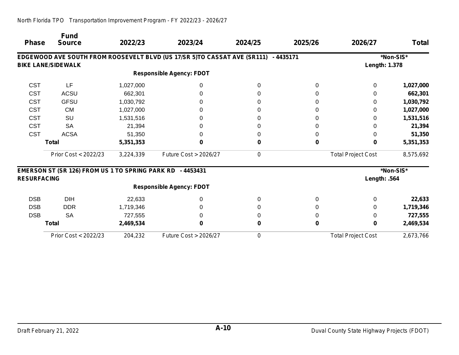# **Phase Fund Source 2022/23 2023/24 2024/25 2025/26 2026/27 Total EDGEWOOD AVE SOUTH FROM ROOSEVELT BLVD (US 17/SR 5)TO CASSAT AVE (SR111) - 4435171 \*Non-SIS\* BIKE LANE/SIDEWALK Length: 1.378 Responsible Agency: FDOT** CST LF 1,027,000 0 0 0 0 **1,027,000** CST ACSU 662,301 0 0 0 0 **662,301** CST GFSU 1,030,792 0 0 0 0 **1,030,792** CST CM 1,027,000 0 0 0 0 **1,027,000** CST SU 1,531,516 0 0 0 0 **1,531,516** CST SA 21,394 0 0 0 0 **21,394** CST ACSA 51,350 0 0 0 0 **51,350 Total 5,351,353 0 0 0 0 5,351,353** *Prior Cost < 2022/23 3,224,339 Future Cost > 2026/27 0 Total Project Cost 8,575,692* **EMERSON ST (SR 126) FROM US 1 TO SPRING PARK RD - 4453431 \*Non-SIS\* RESURFACING Length: .564 Responsible Agency: FDOT** DSB DIH 22,633 0 0 0 0 **22,633** DSB DDR 1,719,346 0 0 0 0 **1,719,346** DSB SA 727,555 0 0 0 0 **727,555 Total 2,469,534 0 0 0 0 2,469,534** *Prior Cost < 2022/23 204,232 Future Cost > 2026/27 0 Total Project Cost 2,673,766*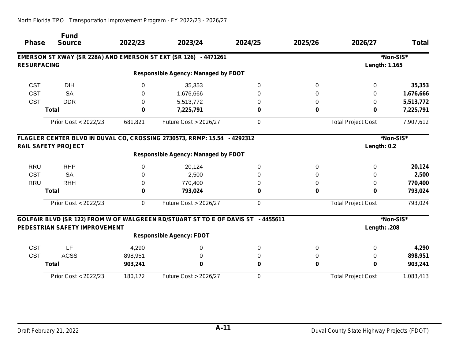| <b>Phase</b>       | <b>Fund</b><br><b>Source</b>  | 2022/23  | 2023/24                                                                          | 2024/25 | 2025/26 | 2026/27                   | <b>Total</b> |
|--------------------|-------------------------------|----------|----------------------------------------------------------------------------------|---------|---------|---------------------------|--------------|
|                    |                               |          | EMERSON ST XWAY (SR 228A) AND EMERSON ST EXT (SR 126) - 4471261                  |         |         |                           | *Non-SIS*    |
| <b>RESURFACING</b> |                               |          |                                                                                  |         |         | Length: 1.165             |              |
|                    |                               |          | <b>Responsible Agency: Managed by FDOT</b>                                       |         |         |                           |              |
| <b>CST</b>         | <b>DIH</b>                    | 0        | 35,353                                                                           | 0       | 0       | $\Omega$                  | 35,353       |
| <b>CST</b>         | <b>SA</b>                     |          | 1,676,666                                                                        |         | 0       | 0                         | 1,676,666    |
| <b>CST</b>         | <b>DDR</b>                    | 0        | 5,513,772                                                                        |         | 0       | 0                         | 5,513,772    |
|                    | <b>Total</b>                  | 0        | 7,225,791                                                                        |         | 0       | 0                         | 7,225,791    |
|                    | Prior Cost < 2022/23          | 681,821  | Future Cost > 2026/27                                                            | 0       |         | <b>Total Project Cost</b> | 7,907,612    |
|                    |                               |          | FLAGLER CENTER BLVD IN DUVAL CO, CROSSING 2730573, RRMP: 15.54 - 4292312         |         |         |                           | *Non-SIS*    |
|                    | <b>RAIL SAFETY PROJECT</b>    |          |                                                                                  |         |         | Length: 0.2               |              |
|                    |                               |          | <b>Responsible Agency: Managed by FDOT</b>                                       |         |         |                           |              |
| <b>RRU</b>         | <b>RHP</b>                    | 0        | 20,124                                                                           | 0       | 0       | 0                         | 20,124       |
| <b>CST</b>         | <b>SA</b>                     |          | 2,500                                                                            | O       | 0       |                           | 2,500        |
| <b>RRU</b>         | <b>RHH</b>                    | 0        | 770,400                                                                          | Ω       | 0       | 0                         | 770,400      |
|                    | <b>Total</b>                  | 0        | 793,024                                                                          | 0       | 0       | 0                         | 793,024      |
|                    | Prior Cost < 2022/23          | 0        | Future Cost > 2026/27                                                            | 0       |         | <b>Total Project Cost</b> | 793,024      |
|                    |                               |          | GOLFAIR BLVD (SR 122) FROM W OF WALGREEN RD/STUART ST TO E OF DAVIS ST - 4455611 |         |         |                           | *Non-SIS*    |
|                    | PEDESTRIAN SAFETY IMPROVEMENT |          |                                                                                  |         |         | Length: .208              |              |
|                    |                               |          | <b>Responsible Agency: FDOT</b>                                                  |         |         |                           |              |
| <b>CST</b>         | LF                            | 4,290    | 0                                                                                | 0       | 0       | 0                         | 4,290        |
| <b>CST</b>         | <b>ACSS</b>                   | 898,951  | 0                                                                                | 0       | 0       | 0                         | 898,951      |
|                    | <b>Total</b>                  | 903,241  | 0                                                                                | 0       | 0       | 0                         | 903,241      |
|                    | Prior Cost < 2022/23          | 180, 172 | Future Cost > 2026/27                                                            | 0       |         | <b>Total Project Cost</b> | 1,083,413    |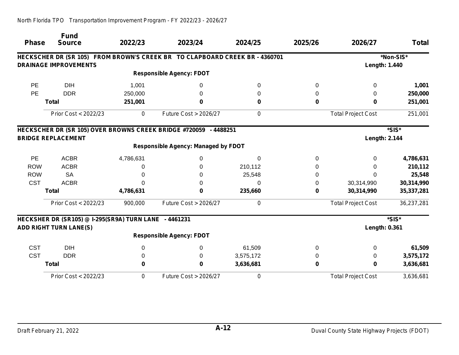| <b>Phase</b> | <b>Fund</b><br><b>Source</b>                          | 2022/23   | 2023/24                                                                     | 2024/25      | 2025/26 | 2026/27                   | <b>Total</b> |
|--------------|-------------------------------------------------------|-----------|-----------------------------------------------------------------------------|--------------|---------|---------------------------|--------------|
|              |                                                       |           | HECKSCHER DR (SR 105) FROM BROWN'S CREEK BR TO CLAPBOARD CREEK BR - 4360701 |              |         |                           | *Non-SIS*    |
|              | <b>DRAINAGE IMPROVEMENTS</b>                          |           |                                                                             |              |         | Length: 1.440             |              |
|              |                                                       |           | <b>Responsible Agency: FDOT</b>                                             |              |         |                           |              |
| <b>PE</b>    | <b>DIH</b>                                            | 1,001     | 0                                                                           | 0            | 0       | 0                         | 1,001        |
| PE           | <b>DDR</b>                                            | 250,000   | $\Omega$                                                                    | 0            | 0       | 0                         | 250,000      |
|              | <b>Total</b>                                          | 251,001   | $\bf{0}$                                                                    | $\bf{0}$     | 0       | 0                         | 251,001      |
|              | Prior Cost < 2022/23                                  | 0         | Future Cost > 2026/27                                                       | 0            |         | <b>Total Project Cost</b> | 251,001      |
|              |                                                       |           | HECKSCHER DR (SR 105) OVER BROWNS CREEK BRIDGE #720059 - 4488251            |              |         |                           | *SIS*        |
|              | <b>BRIDGE REPLACEMENT</b>                             |           |                                                                             |              |         | <b>Length: 2.144</b>      |              |
|              |                                                       |           | <b>Responsible Agency: Managed by FDOT</b>                                  |              |         |                           |              |
| <b>PE</b>    | <b>ACBR</b>                                           | 4,786,631 | 0                                                                           | $\Omega$     | 0       | 0                         | 4,786,631    |
| <b>ROW</b>   | <b>ACBR</b>                                           | 0         | 0                                                                           | 210,112      | 0       | 0                         | 210,112      |
| <b>ROW</b>   | <b>SA</b>                                             | 0         | 0                                                                           | 25,548       | 0       | 0                         | 25,548       |
| <b>CST</b>   | <b>ACBR</b>                                           | 0         | 0                                                                           | <sup>0</sup> | 0       | 30,314,990                | 30,314,990   |
|              | <b>Total</b>                                          | 4,786,631 | 0                                                                           | 235,660      | 0       | 30,314,990                | 35,337,281   |
|              | Prior Cost < 2022/23                                  | 900,000   | Future Cost > 2026/27                                                       | 0            |         | <b>Total Project Cost</b> | 36,237,281   |
|              | HECKSHER DR (SR105) @ I-295(SR9A) TURN LANE - 4461231 |           |                                                                             |              |         |                           | *SIS*        |
|              | <b>ADD RIGHT TURN LANE(S)</b>                         |           |                                                                             |              |         | Length: 0.361             |              |
|              |                                                       |           | <b>Responsible Agency: FDOT</b>                                             |              |         |                           |              |
| <b>CST</b>   | <b>DIH</b>                                            | 0         | 0                                                                           | 61,509       | 0       | 0                         | 61,509       |
| <b>CST</b>   | <b>DDR</b>                                            | 0         | 0                                                                           | 3,575,172    | 0       | 0                         | 3,575,172    |
|              | <b>Total</b>                                          | 0         | 0                                                                           | 3,636,681    | 0       | 0                         | 3,636,681    |
|              | Prior Cost < 2022/23                                  | 0         | Future Cost > 2026/27                                                       | 0            |         | <b>Total Project Cost</b> | 3,636,681    |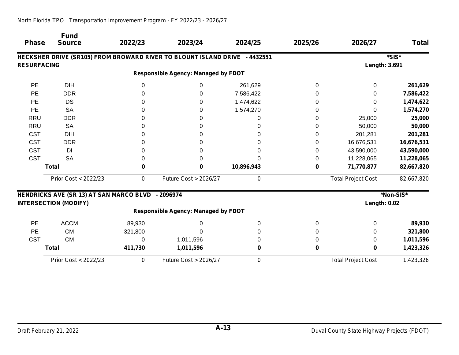| <b>Phase</b>       | <b>Fund</b><br><b>Source</b>                      | 2022/23  | 2023/24                                                                    | 2024/25    | 2025/26 | 2026/27                   | <b>Total</b> |
|--------------------|---------------------------------------------------|----------|----------------------------------------------------------------------------|------------|---------|---------------------------|--------------|
|                    |                                                   |          | HECKSHER DRIVE (SR105) FROM BROWARD RIVER TO BLOUNT ISLAND DRIVE - 4432551 |            |         |                           | *SIS*        |
| <b>RESURFACING</b> |                                                   |          |                                                                            |            |         | Length: 3.691             |              |
|                    |                                                   |          | <b>Responsible Agency: Managed by FDOT</b>                                 |            |         |                           |              |
|                    |                                                   |          |                                                                            |            |         |                           |              |
| PE                 | <b>DIH</b>                                        | $\Omega$ | 0                                                                          | 261,629    | 0       | $\Omega$                  | 261,629      |
| PE                 | <b>DDR</b>                                        | O        | 0                                                                          | 7,586,422  | 0       | 0                         | 7,586,422    |
| PE                 | DS                                                |          | 0                                                                          | 1,474,622  |         | 0                         | 1,474,622    |
| PE                 | <b>SA</b>                                         |          | 0                                                                          | 1,574,270  |         | $\Omega$                  | 1,574,270    |
| <b>RRU</b>         | <b>DDR</b>                                        |          | 0                                                                          |            | 0       | 25,000                    | 25,000       |
| <b>RRU</b>         | <b>SA</b>                                         |          |                                                                            |            | 0       | 50,000                    | 50,000       |
| <b>CST</b>         | <b>DIH</b>                                        |          |                                                                            |            | 0       | 201,281                   | 201,281      |
| <b>CST</b>         | <b>DDR</b>                                        |          | 0                                                                          |            | 0       | 16,676,531                | 16,676,531   |
| <b>CST</b>         | DI                                                |          | ი                                                                          |            | 0       | 43,590,000                | 43,590,000   |
| <b>CST</b>         | <b>SA</b>                                         |          |                                                                            |            | 0       | 11,228,065                | 11,228,065   |
|                    | <b>Total</b>                                      | 0        | O                                                                          | 10,896,943 | 0       | 71,770,877                | 82,667,820   |
|                    | Prior Cost < 2022/23                              | 0        | Future Cost > 2026/27                                                      | 0          |         | <b>Total Project Cost</b> | 82,667,820   |
|                    | HENDRICKS AVE (SR 13) AT SAN MARCO BLVD - 2096974 |          |                                                                            |            |         |                           | *Non-SIS*    |
|                    | <b>INTERSECTION (MODIFY)</b>                      |          |                                                                            |            |         | <b>Length: 0.02</b>       |              |
|                    |                                                   |          | <b>Responsible Agency: Managed by FDOT</b>                                 |            |         |                           |              |
| PE                 | <b>ACCM</b>                                       | 89,930   | 0                                                                          | $\Omega$   | 0       | $\Omega$                  | 89,930       |
| PE                 | <b>CM</b>                                         | 321,800  |                                                                            |            |         | 0                         | 321,800      |
| <b>CST</b>         | CM                                                | 0        | 1,011,596                                                                  |            |         | 0                         | 1,011,596    |
|                    | <b>Total</b>                                      | 411,730  | 1,011,596                                                                  |            | 0       | 0                         | 1,423,326    |
|                    | Prior Cost < 2022/23                              | 0        | Future Cost > 2026/27                                                      | 0          |         | <b>Total Project Cost</b> | 1,423,326    |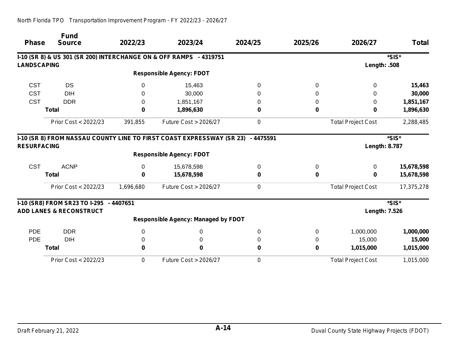| <b>Phase</b>       | <b>Fund</b>                             | 2022/23   | 2023/24                                                               | 2024/25  | 2025/26     | 2026/27                   | <b>Total</b> |
|--------------------|-----------------------------------------|-----------|-----------------------------------------------------------------------|----------|-------------|---------------------------|--------------|
|                    | <b>Source</b>                           |           |                                                                       |          |             |                           |              |
|                    |                                         |           | I-10 (SR 8) & US 301 (SR 200) INTERCHANGE ON & OFF RAMPS - 4319751    |          |             |                           | *SIS*        |
| <b>LANDSCAPING</b> |                                         |           |                                                                       |          |             | Length: .508              |              |
|                    |                                         |           | <b>Responsible Agency: FDOT</b>                                       |          |             |                           |              |
| <b>CST</b>         | <b>DS</b>                               | 0         | 15,463                                                                | 0        | $\mathbf 0$ | 0                         | 15,463       |
| <b>CST</b>         | <b>DIH</b>                              | 0         | 30,000                                                                |          | 0           | 0                         | 30,000       |
| <b>CST</b>         | <b>DDR</b>                              | 0         | 1,851,167                                                             |          | 0           | $\Omega$                  | 1,851,167    |
|                    | <b>Total</b>                            | 0         | 1,896,630                                                             |          | $\mathbf 0$ | 0                         | 1,896,630    |
|                    | Prior Cost < 2022/23                    | 391,855   | Future Cost > 2026/27                                                 | 0        |             | <b>Total Project Cost</b> | 2,288,485    |
|                    |                                         |           | I-10 (SR 8) FROM NASSAU COUNTY LINE TO FIRST COAST EXPRESSWAY (SR 23) | -4475591 |             |                           | *SIS*        |
| <b>RESURFACING</b> |                                         |           |                                                                       |          |             | <b>Length: 8.787</b>      |              |
|                    |                                         |           | <b>Responsible Agency: FDOT</b>                                       |          |             |                           |              |
| <b>CST</b>         | <b>ACNP</b>                             | 0         | 15,678,598                                                            | 0        | 0           | $\Omega$                  | 15,678,598   |
|                    | <b>Total</b>                            | 0         | 15,678,598                                                            | 0        | 0           | 0                         | 15,678,598   |
|                    | Prior Cost < 2022/23                    | 1,696,680 | Future Cost > 2026/27                                                 | 0        |             | <b>Total Project Cost</b> | 17,375,278   |
|                    | I-10 (SR8) FROM SR23 TO I-295 - 4407651 |           |                                                                       |          |             |                           | *SIS*        |
|                    | <b>ADD LANES &amp; RECONSTRUCT</b>      |           |                                                                       |          |             | Length: 7.526             |              |
|                    |                                         |           | <b>Responsible Agency: Managed by FDOT</b>                            |          |             |                           |              |
| <b>PDE</b>         | <b>DDR</b>                              | 0         | 0                                                                     | 0        | 0           | 1,000,000                 | 1,000,000    |
| <b>PDE</b>         | <b>DIH</b>                              | 0         | 0                                                                     | 0        | 0           | 15,000                    | 15,000       |
|                    | <b>Total</b>                            | 0         | 0                                                                     | 0        | $\mathbf 0$ | 1,015,000                 | 1,015,000    |
|                    | Prior Cost < 2022/23                    | 0         | Future Cost > 2026/27                                                 | 0        |             | <b>Total Project Cost</b> | 1,015,000    |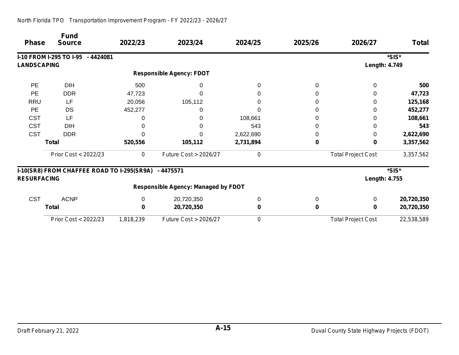| <b>Phase</b>       | <b>Fund</b><br><b>Source</b>                         | 2022/23   | 2023/24                                    | 2024/25   | 2025/26 | 2026/27                   | Total      |
|--------------------|------------------------------------------------------|-----------|--------------------------------------------|-----------|---------|---------------------------|------------|
|                    | I-10 FROM I-295 TO I-95 - 4424081                    |           |                                            |           |         |                           | *SIS*      |
| <b>LANDSCAPING</b> |                                                      |           |                                            |           |         | <b>Length: 4.749</b>      |            |
|                    |                                                      |           | <b>Responsible Agency: FDOT</b>            |           |         |                           |            |
| <b>PE</b>          | <b>DIH</b>                                           | 500       | 0                                          |           |         | 0                         | 500        |
| PE                 | <b>DDR</b>                                           | 47,723    |                                            |           |         | 0                         | 47,723     |
| <b>RRU</b>         | LF                                                   | 20,056    | 105,112                                    |           |         | 0                         | 125,168    |
| <b>PE</b>          | <b>DS</b>                                            | 452,277   | 0                                          |           |         | 0                         | 452,277    |
| <b>CST</b>         | LF                                                   |           |                                            | 108,661   |         | 0                         | 108,661    |
| <b>CST</b>         | <b>DIH</b>                                           |           |                                            | 543       |         |                           | 543        |
| <b>CST</b>         | <b>DDR</b>                                           |           |                                            | 2,622,690 |         | 0                         | 2,622,690  |
|                    | <b>Total</b>                                         | 520,556   | 105,112                                    | 2,731,894 |         | 0                         | 3,357,562  |
|                    | Prior Cost < 2022/23                                 | 0         | <b>Future Cost &gt; 2026/27</b>            | 0         |         | <b>Total Project Cost</b> | 3,357,562  |
|                    | I-10(SR8) FROM CHAFFEE ROAD TO I-295(SR9A) - 4475571 |           |                                            |           |         |                           | *SIS*      |
| <b>RESURFACING</b> |                                                      |           |                                            |           |         | <b>Length: 4.755</b>      |            |
|                    |                                                      |           | <b>Responsible Agency: Managed by FDOT</b> |           |         |                           |            |
| <b>CST</b>         | <b>ACNP</b>                                          | $\Omega$  | 20,720,350                                 | $\Omega$  |         | $\mathbf 0$               | 20,720,350 |
|                    | <b>Total</b>                                         | $\bf{0}$  | 20,720,350                                 | 0         | O       | 0                         | 20,720,350 |
|                    | Prior Cost < 2022/23                                 | 1,818,239 | Future Cost > 2026/27                      | 0         |         | <b>Total Project Cost</b> | 22,538,589 |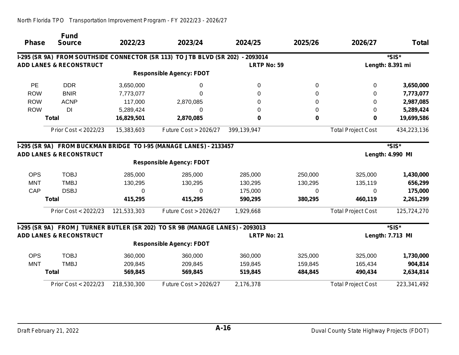| <b>Phase</b> | <b>Fund</b><br><b>Source</b>       | 2022/23     | 2023/24                                                                        | 2024/25            | 2025/26     | 2026/27                   | <b>Total</b>     |
|--------------|------------------------------------|-------------|--------------------------------------------------------------------------------|--------------------|-------------|---------------------------|------------------|
|              |                                    |             | I-295 (SR 9A) FROM SOUTHSIDE CONNECTOR (SR 113) TO JTB BLVD (SR 202) - 2093014 |                    |             |                           | *SIS*            |
|              | ADD LANES & RECONSTRUCT            |             |                                                                                | <b>LRTP No: 59</b> |             |                           | Length: 8.391 mi |
|              |                                    |             | <b>Responsible Agency: FDOT</b>                                                |                    |             |                           |                  |
| PE           | <b>DDR</b>                         | 3,650,000   | 0                                                                              | $\Omega$           | 0           | $\Omega$                  | 3,650,000        |
| <b>ROW</b>   | <b>BNIR</b>                        | 7,773,077   | 0                                                                              | 0                  | 0           | 0                         | 7,773,077        |
| <b>ROW</b>   | <b>ACNP</b>                        | 117,000     | 2,870,085                                                                      | 0                  | 0           | 0                         | 2,987,085        |
| <b>ROW</b>   | <b>DI</b>                          | 5,289,424   | 0                                                                              | 0                  | 0           | $\Omega$                  | 5,289,424        |
|              | <b>Total</b>                       | 16,829,501  | 2,870,085                                                                      | 0                  | 0           | 0                         | 19,699,586       |
|              | Prior Cost < 2022/23               | 15,383,603  | Future Cost $>$ 2026/27                                                        | 399, 139, 947      |             | <b>Total Project Cost</b> | 434,223,136      |
|              |                                    |             | I-295 (SR 9A) FROM BUCKMAN BRIDGE TO I-95 (MANAGE LANES) - 2133457             |                    |             |                           | *SIS*            |
|              | <b>ADD LANES &amp; RECONSTRUCT</b> |             |                                                                                |                    |             |                           | Length: 4.990 MI |
|              |                                    |             | <b>Responsible Agency: FDOT</b>                                                |                    |             |                           |                  |
| <b>OPS</b>   | <b>TOBJ</b>                        | 285,000     | 285,000                                                                        | 285,000            | 250,000     | 325,000                   | 1,430,000        |
| <b>MNT</b>   | <b>TMBJ</b>                        | 130,295     | 130,295                                                                        | 130,295            | 130,295     | 135,119                   | 656,299          |
| CAP          | <b>DSBJ</b>                        | 0           | 0                                                                              | 175,000            | $\mathbf 0$ | 0                         | 175,000          |
|              | <b>Total</b>                       | 415,295     | 415,295                                                                        | 590,295            | 380,295     | 460,119                   | 2,261,299        |
|              | Prior Cost < 2022/23               | 121,533,303 | Future Cost > 2026/27                                                          | 1,929,668          |             | <b>Total Project Cost</b> | 125,724,270      |
|              |                                    |             | I-295 (SR 9A) FROM J TURNER BUTLER (SR 202) TO SR 9B (MANAGE LANES) - 2093013  |                    |             |                           | *SIS*            |
|              | ADD LANES & RECONSTRUCT            |             |                                                                                | <b>LRTP No: 21</b> |             |                           | Length: 7.713 MI |
|              |                                    |             | <b>Responsible Agency: FDOT</b>                                                |                    |             |                           |                  |
| <b>OPS</b>   | <b>TOBJ</b>                        | 360,000     | 360,000                                                                        | 360,000            | 325,000     | 325,000                   | 1,730,000        |
| <b>MNT</b>   | <b>TMBJ</b>                        | 209,845     | 209,845                                                                        | 159,845            | 159,845     | 165,434                   | 904,814          |
|              | <b>Total</b>                       | 569,845     | 569,845                                                                        | 519,845            | 484,845     | 490,434                   | 2,634,814        |
|              | Prior Cost < 2022/23               | 218,530,300 | Future Cost > 2026/27                                                          | 2,176,378          |             | <b>Total Project Cost</b> | 223,341,492      |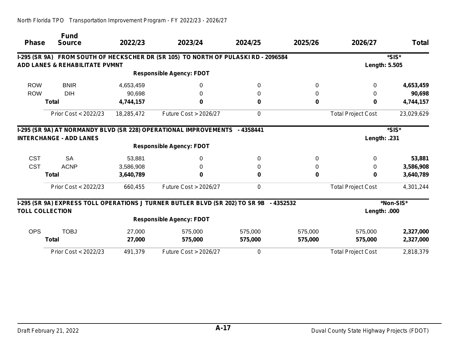|              | <b>Fund</b>                               |            |                                                                                        |         |         |                           |              |
|--------------|-------------------------------------------|------------|----------------------------------------------------------------------------------------|---------|---------|---------------------------|--------------|
| <b>Phase</b> | <b>Source</b>                             | 2022/23    | 2023/24                                                                                | 2024/25 | 2025/26 | 2026/27                   | <b>Total</b> |
|              |                                           |            | I-295 (SR 9A) FROM SOUTH OF HECKSCHER DR (SR 105) TO NORTH OF PULASKI RD - 2096584     |         |         |                           | *SIS*        |
|              | <b>ADD LANES &amp; REHABILITATE PVMNT</b> |            |                                                                                        |         |         | Length: 5.505             |              |
|              |                                           |            | <b>Responsible Agency: FDOT</b>                                                        |         |         |                           |              |
| <b>ROW</b>   | <b>BNIR</b>                               | 4,653,459  | 0                                                                                      | 0       | 0       | 0                         | 4,653,459    |
| <b>ROW</b>   | <b>DIH</b>                                | 90,698     | 0                                                                                      |         | 0       | 0                         | 90,698       |
|              | <b>Total</b>                              | 4,744,157  | 0                                                                                      | 0       | 0       | 0                         | 4,744,157    |
|              | Prior Cost < 2022/23                      | 18,285,472 | <b>Future Cost &gt; 2026/27</b>                                                        | 0       |         | <b>Total Project Cost</b> | 23,029,629   |
|              |                                           |            | I-295 (SR 9A) AT NORMANDY BLVD (SR 228) OPERATIONAL IMPROVEMENTS - 4358441             |         |         |                           | *SIS*        |
|              | <b>INTERCHANGE - ADD LANES</b>            |            |                                                                                        |         |         | Length: .231              |              |
|              |                                           |            | <b>Responsible Agency: FDOT</b>                                                        |         |         |                           |              |
| <b>CST</b>   | <b>SA</b>                                 | 53,881     | 0                                                                                      | 0       | 0       | 0                         | 53,881       |
| <b>CST</b>   | <b>ACNP</b>                               | 3,586,908  |                                                                                        |         | 0       |                           | 3,586,908    |
|              | <b>Total</b>                              | 3,640,789  | 0                                                                                      | 0       | 0       | 0                         | 3,640,789    |
|              | Prior Cost < 2022/23                      | 660,455    | <b>Future Cost &gt; 2026/27</b>                                                        | 0       |         | <b>Total Project Cost</b> | 4,301,244    |
|              |                                           |            | I-295 (SR 9A) EXPRESS TOLL OPERATIONS J TURNER BUTLER BLVD (SR 202) TO SR 9B - 4352532 |         |         |                           | *Non-SIS*    |
|              | <b>TOLL COLLECTION</b>                    |            |                                                                                        |         |         | Length: .000              |              |
|              |                                           |            | <b>Responsible Agency: FDOT</b>                                                        |         |         |                           |              |
| <b>OPS</b>   | <b>TOBJ</b>                               | 27,000     | 575,000                                                                                | 575,000 | 575,000 | 575,000                   | 2,327,000    |
|              | <b>Total</b>                              | 27,000     | 575,000                                                                                | 575,000 | 575,000 | 575,000                   | 2,327,000    |
|              | Prior Cost < 2022/23                      | 491,379    | Future Cost > 2026/27                                                                  | 0       |         | <b>Total Project Cost</b> | 2,818,379    |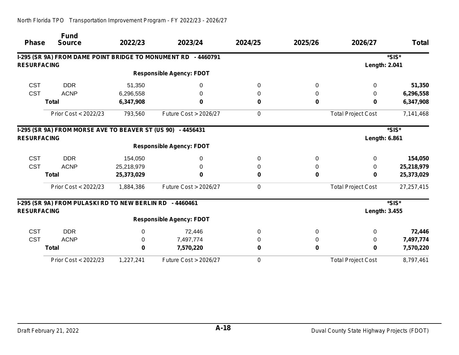| <b>Phase</b>       | <b>Fund</b><br><b>Source</b>                                | 2022/23    | 2023/24                                                       | 2024/25 | 2025/26     | 2026/27                   | <b>Total</b> |
|--------------------|-------------------------------------------------------------|------------|---------------------------------------------------------------|---------|-------------|---------------------------|--------------|
|                    |                                                             |            |                                                               |         |             |                           |              |
|                    |                                                             |            | I-295 (SR 9A) FROM DAME POINT BRIDGE TO MONUMENT RD - 4460791 |         |             |                           | *SIS*        |
| <b>RESURFACING</b> |                                                             |            |                                                               |         |             | <b>Length: 2.041</b>      |              |
|                    |                                                             |            | <b>Responsible Agency: FDOT</b>                               |         |             |                           |              |
| <b>CST</b>         | <b>DDR</b>                                                  | 51,350     | 0                                                             | 0       | $\mathbf 0$ | 0                         | 51,350       |
| <b>CST</b>         | <b>ACNP</b>                                                 | 6,296,558  | 0                                                             |         | 0           | 0                         | 6,296,558    |
|                    | <b>Total</b>                                                | 6,347,908  | 0                                                             | 0       | 0           | 0                         | 6,347,908    |
|                    | Prior Cost < 2022/23                                        | 793,560    | Future Cost > 2026/27                                         | 0       |             | <b>Total Project Cost</b> | 7,141,468    |
|                    | I-295 (SR 9A) FROM MORSE AVE TO BEAVER ST (US 90) - 4456431 |            |                                                               |         |             |                           | *SIS*        |
| <b>RESURFACING</b> |                                                             |            |                                                               |         |             | Length: 6.861             |              |
|                    |                                                             |            | <b>Responsible Agency: FDOT</b>                               |         |             |                           |              |
| <b>CST</b>         | <b>DDR</b>                                                  | 154,050    | 0                                                             | 0       | 0           | $\Omega$                  | 154,050      |
| <b>CST</b>         | <b>ACNP</b>                                                 | 25,218,979 | 0                                                             |         | 0           | 0                         | 25,218,979   |
|                    | <b>Total</b>                                                | 25,373,029 | 0                                                             | 0       | 0           | 0                         | 25,373,029   |
|                    | Prior Cost < 2022/23                                        | 1,884,386  | Future Cost > 2026/27                                         | 0       |             | <b>Total Project Cost</b> | 27,257,415   |
|                    | I-295 (SR 9A) FROM PULASKI RD TO NEW BERLIN RD - 4460461    |            |                                                               |         |             |                           | *SIS*        |
| <b>RESURFACING</b> |                                                             |            |                                                               |         |             | Length: 3.455             |              |
|                    |                                                             |            | <b>Responsible Agency: FDOT</b>                               |         |             |                           |              |
| <b>CST</b>         | <b>DDR</b>                                                  | 0          | 72,446                                                        | 0       | 0           | $\Omega$                  | 72,446       |
| <b>CST</b>         | <b>ACNP</b>                                                 | 0          | 7,497,774                                                     |         | 0           | 0                         | 7,497,774    |
|                    | <b>Total</b>                                                | 0          | 7,570,220                                                     | 0       | 0           | 0                         | 7,570,220    |
|                    | Prior Cost < 2022/23                                        | 1,227,241  | Future Cost > 2026/27                                         | 0       |             | <b>Total Project Cost</b> | 8,797,461    |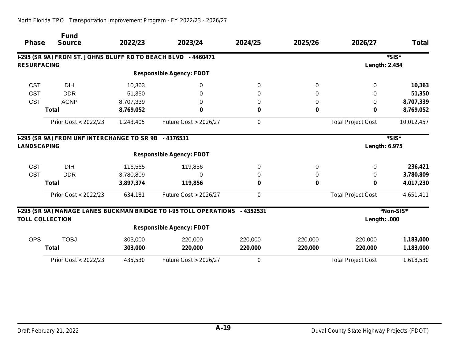|                    | <b>Fund</b>                                                   |           |                                                                             |         |         |                           |              |
|--------------------|---------------------------------------------------------------|-----------|-----------------------------------------------------------------------------|---------|---------|---------------------------|--------------|
| <b>Phase</b>       | <b>Source</b>                                                 | 2022/23   | 2023/24                                                                     | 2024/25 | 2025/26 | 2026/27                   | <b>Total</b> |
|                    | I-295 (SR 9A) FROM ST. JOHNS BLUFF RD TO BEACH BLVD - 4460471 |           |                                                                             |         |         |                           | *SIS*        |
| <b>RESURFACING</b> |                                                               |           |                                                                             |         |         | <b>Length: 2.454</b>      |              |
|                    |                                                               |           | <b>Responsible Agency: FDOT</b>                                             |         |         |                           |              |
| <b>CST</b>         | <b>DIH</b>                                                    | 10,363    | 0                                                                           | 0       | 0       | 0                         | 10,363       |
| <b>CST</b>         | <b>DDR</b>                                                    | 51,350    | 0                                                                           | 0       | 0       | 0                         | 51,350       |
| <b>CST</b>         | <b>ACNP</b>                                                   | 8,707,339 | 0                                                                           | O       | 0       | 0                         | 8,707,339    |
|                    | <b>Total</b>                                                  | 8,769,052 | 0                                                                           | 0       | 0       | 0                         | 8,769,052    |
|                    | Prior Cost < 2022/23                                          | 1,243,405 | Future Cost > 2026/27                                                       | 0       |         | <b>Total Project Cost</b> | 10,012,457   |
|                    | I-295 (SR 9A) FROM UNF INTERCHANGE TO SR 9B - 4376531         |           |                                                                             |         |         |                           | *SIS*        |
| <b>LANDSCAPING</b> |                                                               |           |                                                                             |         |         | <b>Length: 6.975</b>      |              |
|                    |                                                               |           | <b>Responsible Agency: FDOT</b>                                             |         |         |                           |              |
| <b>CST</b>         | <b>DIH</b>                                                    | 116,565   | 119,856                                                                     | 0       | 0       | $\Omega$                  | 236,421      |
| <b>CST</b>         | <b>DDR</b>                                                    | 3,780,809 | 0                                                                           | 0       | 0       | 0                         | 3,780,809    |
|                    | <b>Total</b>                                                  | 3,897,374 | 119,856                                                                     | ŋ       | 0       | 0                         | 4,017,230    |
|                    | Prior Cost < 2022/23                                          | 634,181   | Future Cost > 2026/27                                                       | 0       |         | <b>Total Project Cost</b> | 4,651,411    |
|                    |                                                               |           | I-295 (SR 9A) MANAGE LANES BUCKMAN BRIDGE TO I-95 TOLL OPERATIONS - 4352531 |         |         |                           | *Non-SIS*    |
|                    | <b>TOLL COLLECTION</b>                                        |           |                                                                             |         |         | Length: .000              |              |
|                    |                                                               |           | <b>Responsible Agency: FDOT</b>                                             |         |         |                           |              |
| <b>OPS</b>         | <b>TOBJ</b>                                                   | 303,000   | 220,000                                                                     | 220,000 | 220,000 | 220,000                   | 1,183,000    |
|                    | <b>Total</b>                                                  | 303,000   | 220,000                                                                     | 220,000 | 220,000 | 220,000                   | 1,183,000    |
|                    | Prior Cost < 2022/23                                          | 435,530   | Future Cost > 2026/27                                                       | 0       |         | <b>Total Project Cost</b> | 1,618,530    |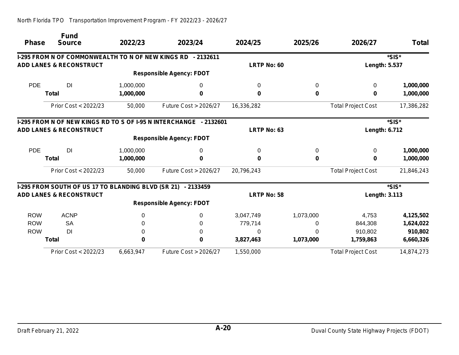| <b>Phase</b> | <b>Fund</b><br><b>Source</b>                                       | 2022/23   | 2023/24                                                           | 2024/25            | 2025/26   | 2026/27                   | <b>Total</b>  |  |
|--------------|--------------------------------------------------------------------|-----------|-------------------------------------------------------------------|--------------------|-----------|---------------------------|---------------|--|
|              |                                                                    |           |                                                                   |                    |           |                           |               |  |
|              | <b>I-295 FROM N OF COMMONWEALTH TO N OF NEW KINGS RD - 2132611</b> |           |                                                                   |                    |           |                           | *SIS*         |  |
|              | <b>ADD LANES &amp; RECONSTRUCT</b>                                 |           |                                                                   | <b>LRTP No: 60</b> |           | Length: 5.537             |               |  |
|              |                                                                    |           | <b>Responsible Agency: FDOT</b>                                   |                    |           |                           |               |  |
| <b>PDE</b>   | DI                                                                 | 1,000,000 | 0                                                                 | 0                  | 0         | $\Omega$                  | 1,000,000     |  |
|              | <b>Total</b>                                                       | 1,000,000 | 0                                                                 | 0                  | 0         | 0                         | 1,000,000     |  |
|              | Prior Cost < 2022/23                                               | 50,000    | <b>Future Cost &gt; 2026/27</b>                                   | 16,336,282         |           | <b>Total Project Cost</b> | 17,386,282    |  |
|              |                                                                    |           | I-295 FROM N OF NEW KINGS RD TO S OF I-95 N INTERCHANGE - 2132601 |                    |           |                           | *SIS*         |  |
|              | <b>ADD LANES &amp; RECONSTRUCT</b>                                 |           |                                                                   | <b>LRTP No: 63</b> |           |                           | Length: 6.712 |  |
|              |                                                                    |           | <b>Responsible Agency: FDOT</b>                                   |                    |           |                           |               |  |
| <b>PDE</b>   | DI                                                                 | 1,000,000 | 0                                                                 | <sup>0</sup>       | 0         | $\Omega$                  | 1,000,000     |  |
|              | <b>Total</b>                                                       | 1,000,000 | 0                                                                 |                    | 0         | 0                         | 1,000,000     |  |
|              | Prior Cost < 2022/23                                               | 50,000    | Future Cost > 2026/27                                             | 20,796,243         |           | <b>Total Project Cost</b> | 21,846,243    |  |
|              | I-295 FROM SOUTH OF US 17 TO BLANDING BLVD (SR 21) - 2133459       |           |                                                                   |                    |           |                           | *SIS*         |  |
|              | <b>ADD LANES &amp; RECONSTRUCT</b>                                 |           |                                                                   | <b>LRTP No: 58</b> |           | Length: 3.113             |               |  |
|              |                                                                    |           | <b>Responsible Agency: FDOT</b>                                   |                    |           |                           |               |  |
| <b>ROW</b>   | <b>ACNP</b>                                                        | 0         | 0                                                                 | 3,047,749          | 1,073,000 | 4,753                     | 4,125,502     |  |
| <b>ROW</b>   | <b>SA</b>                                                          | 0         | 0                                                                 | 779,714            | 0         | 844,308                   | 1,624,022     |  |
| <b>ROW</b>   | DI                                                                 |           | 0                                                                 | 0                  | 0         | 910,802                   | 910,802       |  |
|              | <b>Total</b>                                                       |           | 0                                                                 | 3,827,463          | 1,073,000 | 1,759,863                 | 6,660,326     |  |
|              | Prior Cost < 2022/23                                               | 6,663,947 | Future Cost > 2026/27                                             | 1,550,000          |           | <b>Total Project Cost</b> | 14,874,273    |  |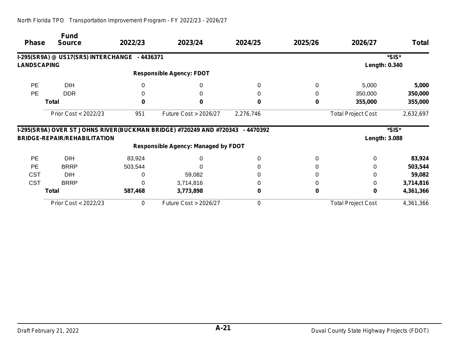| <b>Phase</b>       | <b>Fund</b><br><b>Source</b>                  | 2022/23  | 2023/24                                                             | 2024/25   | 2025/26 | 2026/27                   | Total     |
|--------------------|-----------------------------------------------|----------|---------------------------------------------------------------------|-----------|---------|---------------------------|-----------|
|                    | I-295(SR9A) @ US17(SR5) INTERCHANGE - 4436371 |          |                                                                     |           |         |                           | *SIS*     |
| <b>LANDSCAPING</b> |                                               |          |                                                                     |           |         | <b>Length: 0.340</b>      |           |
|                    |                                               |          | <b>Responsible Agency: FDOT</b>                                     |           |         |                           |           |
| <b>PE</b>          | <b>DIH</b>                                    | 0        | 0                                                                   |           |         | 5,000                     | 5,000     |
| <b>PE</b>          | <b>DDR</b>                                    |          |                                                                     |           |         | 350,000                   | 350,000   |
|                    | <b>Total</b>                                  | 0        | 0                                                                   |           | 0       | 355,000                   | 355,000   |
|                    | Prior Cost < 2022/23                          | 951      | Future Cost > 2026/27                                               | 2,276,746 |         | <b>Total Project Cost</b> | 2,632,697 |
|                    |                                               |          | I-295(SR9A) OVER ST JOHNS RIVER(BUCKMAN BRIDGE) #720249 AND #720343 | - 4470392 |         |                           | *SIS*     |
|                    | <b>BRIDGE-REPAIR/REHABILITATION</b>           |          |                                                                     |           |         | <b>Length: 3.088</b>      |           |
|                    |                                               |          | <b>Responsible Agency: Managed by FDOT</b>                          |           |         |                           |           |
| <b>PE</b>          | <b>DIH</b>                                    | 83,924   |                                                                     |           |         | 0                         | 83,924    |
| <b>PE</b>          | <b>BRRP</b>                                   | 503,544  |                                                                     |           |         |                           | 503,544   |
| <b>CST</b>         | <b>DIH</b>                                    | $\Omega$ | 59,082                                                              |           |         |                           | 59,082    |
| <b>CST</b>         | <b>BRRP</b>                                   | $\Omega$ | 3,714,816                                                           |           |         | 0                         | 3,714,816 |
|                    | <b>Total</b>                                  | 587,468  | 3,773,898                                                           |           | 0       | 0                         | 4,361,366 |
|                    | Prior Cost < 2022/23                          | 0        | <b>Future Cost &gt; 2026/27</b>                                     | 0         |         | <b>Total Project Cost</b> | 4,361,366 |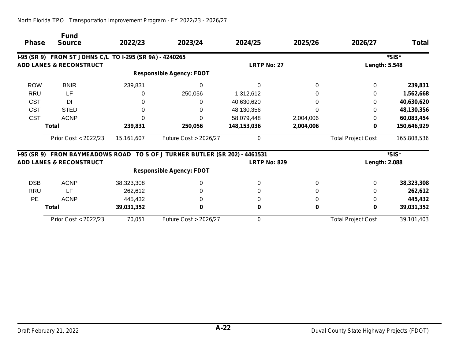| <b>Phase</b> | <b>Fund</b><br><b>Source</b>                             | 2022/23      | 2023/24                                                                     | 2024/25             | 2025/26      | 2026/27                   | <b>Total</b> |
|--------------|----------------------------------------------------------|--------------|-----------------------------------------------------------------------------|---------------------|--------------|---------------------------|--------------|
|              | I-95 (SR 9) FROM ST JOHNS C/L TO I-295 (SR 9A) - 4240265 |              |                                                                             |                     |              |                           | *SIS*        |
|              | <b>ADD LANES &amp; RECONSTRUCT</b>                       |              |                                                                             | <b>LRTP No: 27</b>  |              | Length: 5.548             |              |
|              |                                                          |              | <b>Responsible Agency: FDOT</b>                                             |                     |              |                           |              |
| <b>ROW</b>   | <b>BNIR</b>                                              | 239,831      | 0                                                                           |                     | 0            | 0                         | 239,831      |
| <b>RRU</b>   | LF                                                       |              | 250,056                                                                     | 1,312,612           | 0            | 0                         | 1,562,668    |
| <b>CST</b>   | DI                                                       |              | 0                                                                           | 40,630,620          | 0            | 0                         | 40,630,620   |
| <b>CST</b>   | <b>STED</b>                                              |              | 0                                                                           | 48,130,356          | 0            | 0                         | 48,130,356   |
| <b>CST</b>   | <b>ACNP</b>                                              |              |                                                                             | 58,079,448          | 2,004,006    | 0                         | 60,083,454   |
|              | <b>Total</b>                                             | 239,831      | 250,056                                                                     | 148,153,036         | 2,004,006    | 0                         | 150,646,929  |
|              | Prior Cost < 2022/23                                     | 15, 161, 607 | <b>Future Cost &gt; 2026/27</b>                                             | 0                   |              | <b>Total Project Cost</b> | 165,808,536  |
|              |                                                          |              | I-95 (SR 9) FROM BAYMEADOWS ROAD TO S OF J TURNER BUTLER (SR 202) - 4461531 |                     |              |                           | *SIS*        |
|              | <b>ADD LANES &amp; RECONSTRUCT</b>                       |              |                                                                             | <b>LRTP No: 829</b> |              | <b>Length: 2.088</b>      |              |
|              |                                                          |              | <b>Responsible Agency: FDOT</b>                                             |                     |              |                           |              |
| <b>DSB</b>   | <b>ACNP</b>                                              | 38,323,308   | 0                                                                           | 0                   | $\mathbf{0}$ | 0                         | 38,323,308   |
| <b>RRU</b>   | LF                                                       | 262,612      |                                                                             |                     | $\mathbf{0}$ | 0                         | 262,612      |
| <b>PE</b>    | <b>ACNP</b>                                              | 445,432      |                                                                             |                     | 0            | 0                         | 445,432      |
|              | <b>Total</b>                                             | 39,031,352   |                                                                             |                     | 0            | 0                         | 39,031,352   |
|              | Prior Cost < 2022/23                                     | 70,051       | <b>Future Cost &gt; 2026/27</b>                                             | 0                   |              | <b>Total Project Cost</b> | 39, 101, 403 |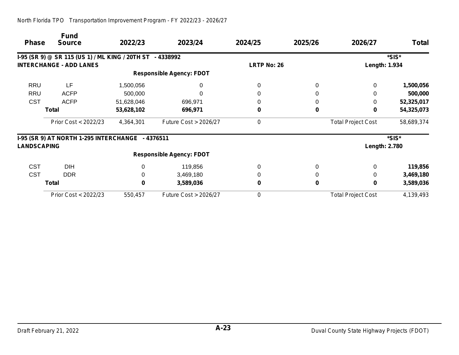| <b>Phase</b>       | <b>Fund</b><br><b>Source</b>                              | 2022/23    | 2023/24                         | 2024/25            | 2025/26 | 2026/27                   | <b>Total</b> |
|--------------------|-----------------------------------------------------------|------------|---------------------------------|--------------------|---------|---------------------------|--------------|
|                    | I-95 (SR 9) @ SR 115 (US 1) / ML KING / 20TH ST - 4338992 |            |                                 |                    |         |                           | *SIS*        |
|                    | <b>INTERCHANGE - ADD LANES</b>                            |            |                                 | <b>LRTP No: 26</b> |         | Length: 1.934             |              |
|                    |                                                           |            | <b>Responsible Agency: FDOT</b> |                    |         |                           |              |
| <b>RRU</b>         | LF                                                        | 1,500,056  | 0                               |                    | 0       | $\Omega$                  | 1,500,056    |
| <b>RRU</b>         | <b>ACFP</b>                                               | 500,000    |                                 |                    |         | $\Omega$                  | 500,000      |
| <b>CST</b>         | <b>ACFP</b>                                               | 51,628,046 | 696,971                         |                    |         | 0                         | 52,325,017   |
|                    | <b>Total</b>                                              | 53,628,102 | 696,971                         | 0                  | 0       | 0                         | 54,325,073   |
|                    | Prior Cost < 2022/23                                      | 4,364,301  | <b>Future Cost &gt; 2026/27</b> | 0                  |         | <b>Total Project Cost</b> | 58,689,374   |
|                    | I-95 (SR 9) AT NORTH 1-295 INTERCHANGE - 4376511          |            |                                 |                    |         |                           | *SIS*        |
| <b>LANDSCAPING</b> |                                                           |            |                                 |                    |         | <b>Length: 2.780</b>      |              |
|                    |                                                           |            | <b>Responsible Agency: FDOT</b> |                    |         |                           |              |
| <b>CST</b>         | <b>DIH</b>                                                | $\Omega$   | 119,856                         | 0                  | 0       | 0                         | 119,856      |
| <b>CST</b>         | <b>DDR</b>                                                | $\Omega$   | 3,469,180                       |                    |         | 0                         | 3,469,180    |
|                    | <b>Total</b>                                              | 0          | 3,589,036                       | 0                  | 0       | 0                         | 3,589,036    |
|                    | Prior Cost < 2022/23                                      | 550,457    | Future Cost > 2026/27           | 0                  |         | <b>Total Project Cost</b> | 4,139,493    |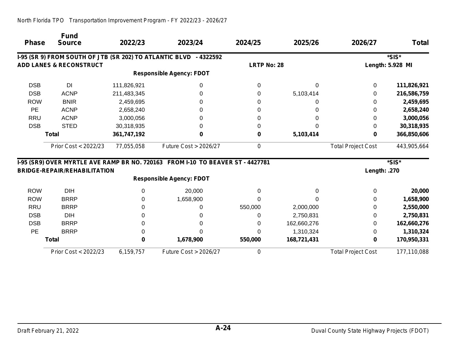|              | <b>Fund</b><br><b>Source</b>        | 2022/23     | 2023/24                                                                        |                    |             | 2026/27                   | Total            |
|--------------|-------------------------------------|-------------|--------------------------------------------------------------------------------|--------------------|-------------|---------------------------|------------------|
| <b>Phase</b> |                                     |             |                                                                                | 2024/25            | 2025/26     |                           |                  |
|              |                                     |             | I-95 (SR 9) FROM SOUTH OF JTB (SR 202) TO ATLANTIC BLVD - 4322592              |                    |             |                           | *SIS*            |
|              | <b>ADD LANES &amp; RECONSTRUCT</b>  |             |                                                                                | <b>LRTP No: 28</b> |             |                           | Length: 5.928 MI |
|              |                                     |             | <b>Responsible Agency: FDOT</b>                                                |                    |             |                           |                  |
| <b>DSB</b>   | DI                                  | 111,826,921 | 0                                                                              | 0                  | 0           | $\Omega$                  | 111,826,921      |
| <b>DSB</b>   | <b>ACNP</b>                         | 211,483,345 | 0                                                                              | 0                  | 5,103,414   | 0                         | 216,586,759      |
| <b>ROW</b>   | <b>BNIR</b>                         | 2,459,695   | 0                                                                              |                    |             | 0                         | 2,459,695        |
| PE           | <b>ACNP</b>                         | 2,658,240   | 0                                                                              |                    |             | 0                         | 2,658,240        |
| <b>RRU</b>   | <b>ACNP</b>                         | 3,000,056   | 0                                                                              |                    |             | 0                         | 3,000,056        |
| <b>DSB</b>   | <b>STED</b>                         | 30,318,935  |                                                                                |                    |             | 0                         | 30,318,935       |
|              | <b>Total</b>                        | 361,747,192 |                                                                                |                    | 5,103,414   | 0                         | 366,850,606      |
|              | Prior Cost < 2022/23                | 77,055,058  | <b>Future Cost &gt; 2026/27</b>                                                | 0                  |             | <b>Total Project Cost</b> | 443,905,664      |
|              |                                     |             | I-95 (SR9) OVER MYRTLE AVE RAMP BR NO. 720163 FROM I-10 TO BEAVER ST - 4427781 |                    |             |                           | *SIS*            |
|              | <b>BRIDGE-REPAIR/REHABILITATION</b> |             |                                                                                |                    |             | Length: .270              |                  |
|              |                                     |             | <b>Responsible Agency: FDOT</b>                                                |                    |             |                           |                  |
| <b>ROW</b>   | <b>DIH</b>                          | 0           | 20,000                                                                         | O                  | $\Omega$    | 0                         | 20,000           |
| <b>ROW</b>   | <b>BRRP</b>                         | 0           | 1,658,900                                                                      |                    |             | 0                         | 1,658,900        |
| <b>RRU</b>   | <b>BRRP</b>                         |             | 0                                                                              | 550,000            | 2,000,000   | 0                         | 2,550,000        |
| <b>DSB</b>   | <b>DIH</b>                          |             | 0                                                                              | 0                  | 2,750,831   | 0                         | 2,750,831        |
| <b>DSB</b>   | <b>BRRP</b>                         | 0           | 0                                                                              | 0                  | 162,660,276 | 0                         | 162,660,276      |
| <b>PE</b>    | <b>BRRP</b>                         | 0           | 0                                                                              | U                  | 1,310,324   | 0                         | 1,310,324        |
|              | <b>Total</b>                        |             | 1,678,900                                                                      | 550,000            | 168,721,431 | 0                         | 170,950,331      |
|              | Prior Cost < 2022/23                | 6, 159, 757 | Future Cost > 2026/27                                                          | 0                  |             | <b>Total Project Cost</b> | 177,110,088      |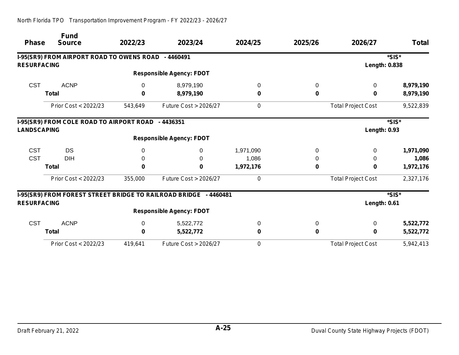| North Florida TPO Transportation Improvement Program - FY 2022/23 - 2026/27 |  |
|-----------------------------------------------------------------------------|--|
|                                                                             |  |

|                    | <b>Fund</b>                                         |          |                                                                  |           |         |                           |              |
|--------------------|-----------------------------------------------------|----------|------------------------------------------------------------------|-----------|---------|---------------------------|--------------|
| <b>Phase</b>       | <b>Source</b>                                       | 2022/23  | 2023/24                                                          | 2024/25   | 2025/26 | 2026/27                   | <b>Total</b> |
|                    | I-95(SR9) FROM AIRPORT ROAD TO OWENS ROAD - 4460491 |          |                                                                  |           |         |                           | *SIS*        |
| <b>RESURFACING</b> |                                                     |          |                                                                  |           |         | <b>Length: 0.838</b>      |              |
|                    |                                                     |          | <b>Responsible Agency: FDOT</b>                                  |           |         |                           |              |
| <b>CST</b>         | <b>ACNP</b>                                         | $\Omega$ | 8,979,190                                                        | 0         | 0       | 0                         | 8,979,190    |
|                    | <b>Total</b>                                        | 0        | 8,979,190                                                        | $\bf{0}$  | 0       | 0                         | 8,979,190    |
|                    | Prior Cost < 2022/23                                | 543,649  | <b>Future Cost &gt; 2026/27</b>                                  | 0         |         | <b>Total Project Cost</b> | 9,522,839    |
|                    | I-95(SR9) FROM COLE ROAD TO AIRPORT ROAD - 4436351  |          |                                                                  |           |         |                           | *SIS*        |
| <b>LANDSCAPING</b> |                                                     |          |                                                                  |           |         | <b>Length: 0.93</b>       |              |
|                    |                                                     |          | <b>Responsible Agency: FDOT</b>                                  |           |         |                           |              |
| <b>CST</b>         | <b>DS</b>                                           | $\Omega$ | 0                                                                | 1,971,090 | 0       | 0                         | 1,971,090    |
| <b>CST</b>         | <b>DIH</b>                                          | 0        | 0                                                                | 1,086     | 0       | 0                         | 1,086        |
|                    | <b>Total</b>                                        | 0        | 0                                                                | 1,972,176 | 0       | 0                         | 1,972,176    |
|                    | Prior Cost < 2022/23                                | 355,000  | <b>Future Cost &gt; 2026/27</b>                                  | 0         |         | <b>Total Project Cost</b> | 2,327,176    |
|                    |                                                     |          | I-95(SR9) FROM FOREST STREET BRIDGE TO RAILROAD BRIDGE - 4460481 |           |         |                           | *SIS*        |
| <b>RESURFACING</b> |                                                     |          |                                                                  |           |         | Length: 0.61              |              |
|                    |                                                     |          | <b>Responsible Agency: FDOT</b>                                  |           |         |                           |              |
| <b>CST</b>         | <b>ACNP</b>                                         | $\Omega$ | 5,522,772                                                        | $\Omega$  | 0       | 0                         | 5,522,772    |
|                    | <b>Total</b>                                        | 0        | 5,522,772                                                        | 0         | 0       | 0                         | 5,522,772    |
|                    | Prior Cost < 2022/23                                | 419,641  | Future Cost > 2026/27                                            | 0         |         | <b>Total Project Cost</b> | 5,942,413    |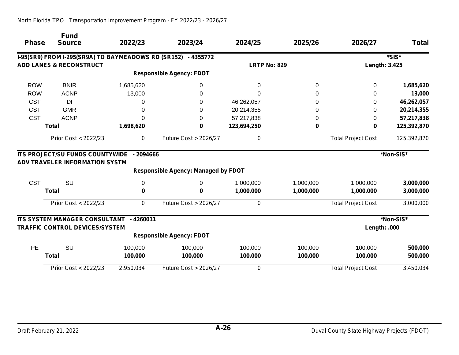| <b>Phase</b> | <b>Fund</b><br><b>Source</b>                                  | 2022/23    | 2023/24                                    | 2024/25             | 2025/26   | 2026/27                   | <b>Total</b> |
|--------------|---------------------------------------------------------------|------------|--------------------------------------------|---------------------|-----------|---------------------------|--------------|
|              | I-95(SR9) FROM I-295(SR9A) TO BAYMEADOWS RD (SR152) - 4355772 |            |                                            |                     |           |                           | *SIS*        |
|              | <b>ADD LANES &amp; RECONSTRUCT</b>                            |            |                                            | <b>LRTP No: 829</b> |           | <b>Length: 3.425</b>      |              |
|              |                                                               |            | <b>Responsible Agency: FDOT</b>            |                     |           |                           |              |
| <b>ROW</b>   | <b>BNIR</b>                                                   | 1,685,620  | 0                                          | 0                   | 0         | 0                         | 1,685,620    |
| <b>ROW</b>   | <b>ACNP</b>                                                   | 13,000     | 0                                          |                     | 0         | 0                         | 13,000       |
| <b>CST</b>   | DI                                                            | 0          | 0                                          | 46,262,057          | 0         | 0                         | 46,262,057   |
| <b>CST</b>   | <b>GMR</b>                                                    | 0          | 0                                          | 20,214,355          | 0         | 0                         | 20,214,355   |
| <b>CST</b>   | <b>ACNP</b>                                                   | $\Omega$   | $\Omega$                                   | 57,217,838          | 0         | 0                         | 57,217,838   |
|              | <b>Total</b>                                                  | 1,698,620  | 0                                          | 123,694,250         | 0         | 0                         | 125,392,870  |
|              | Prior Cost < 2022/23                                          | 0          | Future Cost > 2026/27                      | 0                   |           | <b>Total Project Cost</b> | 125,392,870  |
|              | <b>ADV TRAVELER INFORMATION SYSTM</b>                         |            | <b>Responsible Agency: Managed by FDOT</b> |                     |           |                           |              |
| <b>CST</b>   | <b>SU</b>                                                     | 0          | 0                                          | 1,000,000           | 1,000,000 | 1,000,000                 | 3,000,000    |
|              | <b>Total</b>                                                  | 0          | 0                                          | 1,000,000           | 1,000,000 | 1,000,000                 | 3,000,000    |
|              | Prior Cost < 2022/23                                          | 0          | Future Cost > 2026/27                      | 0                   |           | <b>Total Project Cost</b> | 3,000,000    |
|              | ITS SYSTEM MANAGER CONSULTANT                                 | $-4260011$ |                                            |                     |           |                           | *Non-SIS*    |
|              | <b>TRAFFIC CONTROL DEVICES/SYSTEM</b>                         |            |                                            |                     |           | Length: .000              |              |
|              |                                                               |            | <b>Responsible Agency: FDOT</b>            |                     |           |                           |              |
| PE           | SU                                                            | 100,000    | 100,000                                    | 100,000             | 100,000   | 100,000                   | 500,000      |
|              | <b>Total</b>                                                  | 100,000    | 100,000                                    | 100,000             | 100,000   | 100,000                   | 500,000      |
|              | Prior Cost < 2022/23                                          | 2,950,034  | Future Cost > 2026/27                      | 0                   |           | <b>Total Project Cost</b> | 3,450,034    |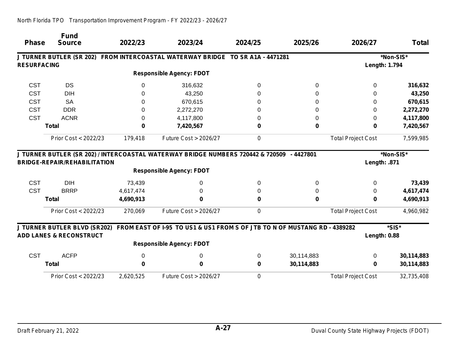| <b>Phase</b>       | <b>Fund</b><br><b>Source</b>        | 2022/23      | 2023/24                                                                                                                      | 2024/25  | 2025/26    | 2026/27                   | <b>Total</b> |
|--------------------|-------------------------------------|--------------|------------------------------------------------------------------------------------------------------------------------------|----------|------------|---------------------------|--------------|
|                    |                                     |              | J TURNER BUTLER (SR 202) FROM INTERCOASTAL WATERWAY BRIDGE TO SR A1A - 4471281                                               |          |            |                           | *Non-SIS*    |
| <b>RESURFACING</b> |                                     |              |                                                                                                                              |          |            | <b>Length: 1.794</b>      |              |
|                    |                                     |              | <b>Responsible Agency: FDOT</b>                                                                                              |          |            |                           |              |
| <b>CST</b>         | <b>DS</b>                           | $\Omega$     | 316,632                                                                                                                      | $\Omega$ | 0          | 0                         | 316,632      |
| <b>CST</b>         | <b>DIH</b>                          | $\Omega$     | 43,250                                                                                                                       | 0        | 0          | 0                         | 43,250       |
| <b>CST</b>         | <b>SA</b>                           | <sup>0</sup> | 670,615                                                                                                                      |          | 0          | 0                         | 670,615      |
| <b>CST</b>         | <b>DDR</b>                          | 0            | 2,272,270                                                                                                                    |          | 0          | $\Omega$                  | 2,272,270    |
| <b>CST</b>         | <b>ACNR</b>                         | 0            | 4,117,800                                                                                                                    |          | 0          | 0                         | 4,117,800    |
|                    | <b>Total</b>                        | 0            | 7,420,567                                                                                                                    | 0        | 0          | 0                         | 7,420,567    |
|                    | Prior Cost < 2022/23                | 179,418      | Future Cost > 2026/27                                                                                                        | 0        |            | <b>Total Project Cost</b> | 7,599,985    |
|                    | <b>BRIDGE-REPAIR/REHABILITATION</b> |              | J TURNER BUTLER (SR 202) / INTERCOASTAL WATERWAY BRIDGE NUMBERS 720442 & 720509 - 4427801<br><b>Responsible Agency: FDOT</b> |          |            | Length: .871              | *Non-SIS*    |
| <b>CST</b>         | <b>DIH</b>                          | 73,439       | 0                                                                                                                            | 0        | 0          | 0                         | 73,439       |
| <b>CST</b>         | <b>BRRP</b>                         | 4,617,474    | 0                                                                                                                            |          | 0          | 0                         | 4,617,474    |
|                    | <b>Total</b>                        | 4,690,913    | 0                                                                                                                            | 0        | 0          | 0                         | 4,690,913    |
|                    | Prior Cost < 2022/23                | 270,069      | Future Cost > 2026/27                                                                                                        | 0        |            | <b>Total Project Cost</b> | 4,960,982    |
|                    | <b>J TURNER BUTLER BLVD (SR202)</b> |              | FROM EAST OF I-95 TO US1 & US1 FROM S OF JTB TO N OF MUSTANG RD - 4389282                                                    |          |            |                           | *SIS*        |
|                    | <b>ADD LANES &amp; RECONSTRUCT</b>  |              |                                                                                                                              |          |            | <b>Length: 0.88</b>       |              |
|                    |                                     |              | <b>Responsible Agency: FDOT</b>                                                                                              |          |            |                           |              |
| <b>CST</b>         | <b>ACFP</b>                         | 0            | 0                                                                                                                            | 0        | 30,114,883 | 0                         | 30,114,883   |
|                    | <b>Total</b>                        | 0            | 0                                                                                                                            | 0        | 30,114,883 | 0                         | 30,114,883   |
|                    | Prior Cost < 2022/23                | 2,620,525    | Future Cost > 2026/27                                                                                                        | 0        |            | <b>Total Project Cost</b> | 32,735,408   |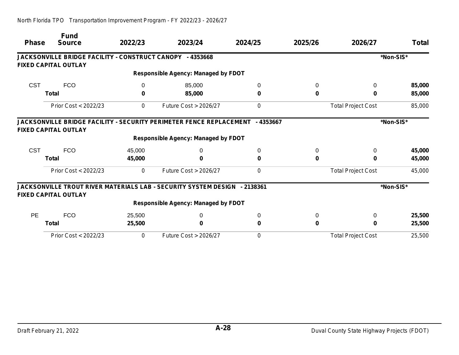| <b>Phase</b> | <b>Fund</b><br><b>Source</b>                              | 2022/23       | 2023/24                                                                   | 2024/25  | 2025/26 | 2026/27                   | <b>Total</b> |
|--------------|-----------------------------------------------------------|---------------|---------------------------------------------------------------------------|----------|---------|---------------------------|--------------|
|              | JACKSONVILLE BRIDGE FACILITY - CONSTRUCT CANOPY - 4353668 |               |                                                                           |          |         |                           | *Non-SIS*    |
|              | <b>FIXED CAPITAL OUTLAY</b>                               |               |                                                                           |          |         |                           |              |
|              |                                                           |               | <b>Responsible Agency: Managed by FDOT</b>                                |          |         |                           |              |
| <b>CST</b>   | <b>FCO</b>                                                | $\Omega$      | 85,000                                                                    | 0        | 0       | 0                         | 85,000       |
|              | <b>Total</b>                                              | 0             | 85,000                                                                    | 0        | 0       | ŋ                         | 85,000       |
|              | Prior Cost < 2022/23                                      | $\mathcal{O}$ | <b>Future Cost &gt; 2026/27</b>                                           | 0        |         | <b>Total Project Cost</b> | 85,000       |
|              | <b>FIXED CAPITAL OUTLAY</b>                               |               | JACKSONVILLE BRIDGE FACILITY - SECURITY PERIMETER FENCE REPLACEMENT       | -4353667 |         |                           | *Non-SIS*    |
|              |                                                           |               | <b>Responsible Agency: Managed by FDOT</b>                                |          |         |                           |              |
| <b>CST</b>   | <b>FCO</b>                                                | 45,000        | 0                                                                         | 0        | 0       | 0                         | 45,000       |
|              | <b>Total</b>                                              | 45,000        | 0                                                                         | 0        | 0       | n                         | 45,000       |
|              | Prior Cost < 2022/23                                      | 0             | <b>Future Cost &gt; 2026/27</b>                                           | 0        |         | <b>Total Project Cost</b> | 45,000       |
|              | <b>FIXED CAPITAL OUTLAY</b>                               |               | JACKSONVILLE TROUT RIVER MATERIALS LAB - SECURITY SYSTEM DESIGN - 2138361 |          |         |                           | *Non-SIS*    |
|              |                                                           |               | <b>Responsible Agency: Managed by FDOT</b>                                |          |         |                           |              |
| PE           | <b>FCO</b>                                                | 25,500        | 0                                                                         | 0        | 0       | 0                         | 25,500       |
|              | <b>Total</b>                                              | 25,500        | 0                                                                         | 0        | 0       | 0                         | 25,500       |
|              | Prior Cost < 2022/23                                      | 0             | Future Cost > 2026/27                                                     | 0        |         | <b>Total Project Cost</b> | 25,500       |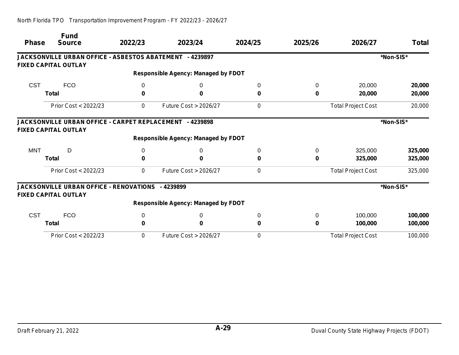| <b>Phase</b> | <b>Fund</b><br><b>Source</b>                                                     | 2022/23 | 2023/24                                    | 2024/25  | 2025/26 | 2026/27                   | <b>Total</b> |
|--------------|----------------------------------------------------------------------------------|---------|--------------------------------------------|----------|---------|---------------------------|--------------|
|              | <b>JACKSONVILLE URBAN OFFICE - ASBESTOS ABATEMENT</b>                            |         | -4239897                                   |          |         |                           | *Non-SIS*    |
|              | <b>FIXED CAPITAL OUTLAY</b>                                                      |         |                                            |          |         |                           |              |
|              |                                                                                  |         | <b>Responsible Agency: Managed by FDOT</b> |          |         |                           |              |
| <b>CST</b>   | <b>FCO</b>                                                                       | 0       | 0                                          | 0        | 0       | 20,000                    | 20,000       |
|              | <b>Total</b>                                                                     | 0       | 0                                          | 0        | 0       | 20,000                    | 20,000       |
|              | Prior Cost < 2022/23                                                             | 0       | <b>Future Cost &gt; 2026/27</b>            | 0        |         | <b>Total Project Cost</b> | 20,000       |
|              | JACKSONVILLE URBAN OFFICE - CARPET REPLACEMENT<br><b>FIXED CAPITAL OUTLAY</b>    |         | -4239898                                   |          |         |                           | *Non-SIS*    |
|              |                                                                                  |         | <b>Responsible Agency: Managed by FDOT</b> |          |         |                           |              |
| <b>MNT</b>   | D                                                                                | 0       | 0                                          | $\Omega$ | 0       | 325,000                   | 325,000      |
|              | <b>Total</b>                                                                     | 0       | 0                                          | 0        | 0       | 325,000                   | 325,000      |
|              | Prior Cost < 2022/23                                                             | 0       | Future Cost > 2026/27                      | 0        |         | <b>Total Project Cost</b> | 325,000      |
|              | JACKSONVILLE URBAN OFFICE - RENOVATIONS - 4239899<br><b>FIXED CAPITAL OUTLAY</b> |         |                                            |          |         |                           | *Non-SIS*    |
|              |                                                                                  |         | <b>Responsible Agency: Managed by FDOT</b> |          |         |                           |              |
| <b>CST</b>   | <b>FCO</b>                                                                       | 0       | 0                                          | 0        | 0       | 100,000                   | 100,000      |
|              | <b>Total</b>                                                                     | 0       | 0                                          | 0        | 0       | 100,000                   | 100,000      |
|              | Prior Cost < 2022/23                                                             | 0       | Future Cost > 2026/27                      | 0        |         | <b>Total Project Cost</b> | 100,000      |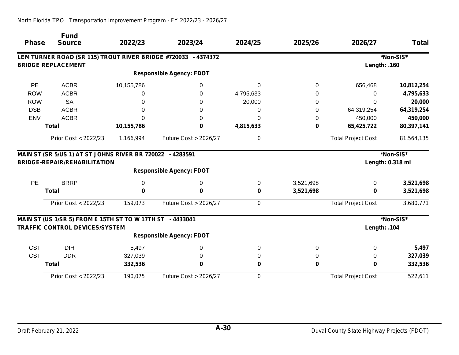| <b>Phase</b> | <b>Fund</b><br><b>Source</b>                              | 2022/23    | 2023/24                                                       | 2024/25   | 2025/26     | 2026/27                   | <b>Total</b>     |
|--------------|-----------------------------------------------------------|------------|---------------------------------------------------------------|-----------|-------------|---------------------------|------------------|
|              |                                                           |            | LEM TURNER ROAD (SR 115) TROUT RIVER BRIDGE #720033 - 4374372 |           |             |                           | *Non-SIS*        |
|              | <b>BRIDGE REPLACEMENT</b>                                 |            |                                                               |           |             | Length: .160              |                  |
|              |                                                           |            | <b>Responsible Agency: FDOT</b>                               |           |             |                           |                  |
| PE           | <b>ACBR</b>                                               | 10,155,786 | 0                                                             | 0         | 0           | 656,468                   | 10,812,254       |
| <b>ROW</b>   | <b>ACBR</b>                                               |            | 0                                                             | 4,795,633 | 0           | 0                         | 4,795,633        |
| <b>ROW</b>   | <b>SA</b>                                                 | 0          | 0                                                             | 20,000    | 0           | $\Omega$                  | 20,000           |
| <b>DSB</b>   | <b>ACBR</b>                                               | 0          | 0                                                             | 0         | $\mathbf 0$ | 64,319,254                | 64,319,254       |
| <b>ENV</b>   | <b>ACBR</b>                                               |            | 0                                                             | 0         | 0           | 450,000                   | 450,000          |
|              | <b>Total</b>                                              | 10,155,786 | 0                                                             | 4,815,633 | 0           | 65,425,722                | 80,397,141       |
|              | Prior Cost < 2022/23                                      | 1,166,994  | Future Cost > 2026/27                                         | 0         |             | <b>Total Project Cost</b> | 81,564,135       |
|              | MAIN ST (SR 5/US 1) AT ST JOHNS RIVER BR 720022 - 4283591 |            |                                                               |           |             |                           | *Non-SIS*        |
|              | <b>BRIDGE-REPAIR/REHABILITATION</b>                       |            |                                                               |           |             |                           | Length: 0.318 mi |
|              |                                                           |            | <b>Responsible Agency: FDOT</b>                               |           |             |                           |                  |
| <b>PE</b>    | <b>BRRP</b>                                               | $\Omega$   | 0                                                             | 0         | 3,521,698   | 0                         | 3,521,698        |
|              | <b>Total</b>                                              | O          | $\bf{0}$                                                      | 0         | 3,521,698   | 0                         | 3,521,698        |
|              | Prior Cost < 2022/23                                      | 159,073    | Future Cost > 2026/27                                         | 0         |             | <b>Total Project Cost</b> | 3,680,771        |
|              | MAIN ST (US 1/SR 5) FROM E 15TH ST TO W 17TH ST - 4433041 |            |                                                               |           |             |                           | *Non-SIS*        |
|              | <b>TRAFFIC CONTROL DEVICES/SYSTEM</b>                     |            |                                                               |           |             | Length: .104              |                  |
|              |                                                           |            | <b>Responsible Agency: FDOT</b>                               |           |             |                           |                  |
| <b>CST</b>   | <b>DIH</b>                                                | 5,497      | 0                                                             | 0         | 0           | $\Omega$                  | 5,497            |
| <b>CST</b>   | <b>DDR</b>                                                | 327,039    | 0                                                             | 0         | 0           | 0                         | 327,039          |
|              | <b>Total</b>                                              | 332,536    | 0                                                             | 0         | 0           | $\bf{0}$                  | 332,536          |
|              | Prior Cost < 2022/23                                      | 190,075    | Future Cost > 2026/27                                         | 0         |             | <b>Total Project Cost</b> | 522,611          |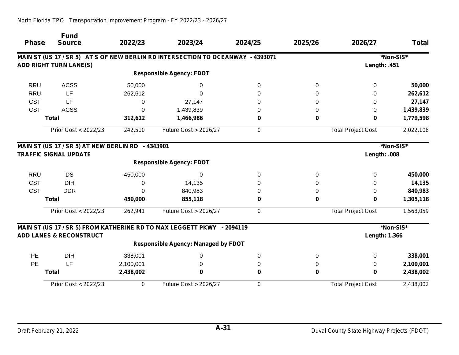| <b>Phase</b> | <b>Fund</b><br><b>Source</b>                      | 2022/23   | 2023/24                                                                         | 2024/25  | 2025/26 | 2026/27                   | <b>Total</b> |
|--------------|---------------------------------------------------|-----------|---------------------------------------------------------------------------------|----------|---------|---------------------------|--------------|
|              |                                                   |           | MAIN ST (US 17 / SR 5) AT S OF NEW BERLIN RD INTERSECTION TO OCEANWAY - 4393071 |          |         |                           | *Non-SIS*    |
|              | <b>ADD RIGHT TURN LANE(S)</b>                     |           |                                                                                 |          |         | Length: .451              |              |
|              |                                                   |           | <b>Responsible Agency: FDOT</b>                                                 |          |         |                           |              |
| <b>RRU</b>   | <b>ACSS</b>                                       | 50,000    | 0                                                                               | $\Omega$ | 0       | 0                         | 50,000       |
| <b>RRU</b>   | LF                                                | 262,612   | $\Omega$                                                                        | 0        | 0       | 0                         | 262,612      |
| <b>CST</b>   | LF                                                | 0         | 27,147                                                                          | 0        | 0       | 0                         | 27,147       |
| <b>CST</b>   | <b>ACSS</b>                                       | 0         | 1,439,839                                                                       | O        | 0       | 0                         | 1,439,839    |
|              | <b>Total</b>                                      | 312,612   | 1,466,986                                                                       | 0        | 0       | 0                         | 1,779,598    |
|              | Prior Cost < 2022/23                              | 242,510   | Future Cost > 2026/27                                                           | 0        |         | <b>Total Project Cost</b> | 2,022,108    |
|              | MAIN ST (US 17 / SR 5) AT NEW BERLIN RD - 4343901 |           |                                                                                 |          |         |                           | *Non-SIS*    |
|              | <b>TRAFFIC SIGNAL UPDATE</b>                      |           |                                                                                 |          |         | Length: .008              |              |
|              |                                                   |           | <b>Responsible Agency: FDOT</b>                                                 |          |         |                           |              |
| <b>RRU</b>   | <b>DS</b>                                         | 450,000   | $\Omega$                                                                        | $\Omega$ | 0       | 0                         | 450,000      |
| <b>CST</b>   | <b>DIH</b>                                        | 0         | 14,135                                                                          | 0        | 0       | 0                         | 14,135       |
| <b>CST</b>   | <b>DDR</b>                                        | $\Omega$  | 840,983                                                                         | 0        | 0       | 0                         | 840,983      |
|              | <b>Total</b>                                      | 450,000   | 855,118                                                                         | 0        | 0       | 0                         | 1,305,118    |
|              | Prior Cost < 2022/23                              | 262,941   | Future Cost > 2026/27                                                           | 0        |         | <b>Total Project Cost</b> | 1,568,059    |
|              |                                                   |           | MAIN ST (US 17 / SR 5) FROM KATHERINE RD TO MAX LEGGETT PKWY - 2094119          |          |         |                           | *Non-SIS*    |
|              | <b>ADD LANES &amp; RECONSTRUCT</b>                |           |                                                                                 |          |         | Length: 1.366             |              |
|              |                                                   |           | <b>Responsible Agency: Managed by FDOT</b>                                      |          |         |                           |              |
| PE           | <b>DIH</b>                                        | 338,001   | 0                                                                               | 0        | 0       | 0                         | 338,001      |
| <b>PE</b>    | LF                                                | 2,100,001 | $\Omega$                                                                        | 0        | 0       | 0                         | 2,100,001    |
|              | <b>Total</b>                                      | 2,438,002 | 0                                                                               | 0        | 0       | 0                         | 2,438,002    |
|              | Prior Cost < 2022/23                              | 0         | Future Cost > 2026/27                                                           | 0        |         | <b>Total Project Cost</b> | 2,438,002    |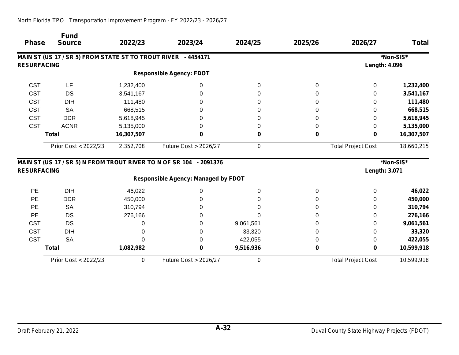|                    | <b>Fund</b>                                                   |            |                                                                    |           |         |                           |              |
|--------------------|---------------------------------------------------------------|------------|--------------------------------------------------------------------|-----------|---------|---------------------------|--------------|
| <b>Phase</b>       | <b>Source</b>                                                 | 2022/23    | 2023/24                                                            | 2024/25   | 2025/26 | 2026/27                   | <b>Total</b> |
|                    | MAIN ST (US 17 / SR 5) FROM STATE ST TO TROUT RIVER - 4454171 |            |                                                                    |           |         |                           | *Non-SIS*    |
| <b>RESURFACING</b> |                                                               |            |                                                                    |           |         | Length: 4.096             |              |
|                    |                                                               |            | <b>Responsible Agency: FDOT</b>                                    |           |         |                           |              |
| <b>CST</b>         | LF                                                            | 1,232,400  | 0                                                                  | 0         | 0       | 0                         | 1,232,400    |
| <b>CST</b>         | DS                                                            | 3,541,167  | 0                                                                  |           | 0       | 0                         | 3,541,167    |
| <b>CST</b>         | <b>DIH</b>                                                    | 111,480    | 0                                                                  |           | 0       | 0                         | 111,480      |
| <b>CST</b>         | <b>SA</b>                                                     | 668,515    |                                                                    |           | 0       |                           | 668,515      |
| <b>CST</b>         | <b>DDR</b>                                                    | 5,618,945  |                                                                    |           | 0       | 0                         | 5,618,945    |
| <b>CST</b>         | <b>ACNR</b>                                                   | 5,135,000  |                                                                    |           | 0       | 0                         | 5,135,000    |
|                    | <b>Total</b>                                                  | 16,307,507 | 0                                                                  | 0         | 0       | 0                         | 16,307,507   |
|                    | Prior Cost < 2022/23                                          | 2,352,708  | Future Cost > 2026/27                                              | 0         |         | <b>Total Project Cost</b> | 18,660,215   |
|                    |                                                               |            | MAIN ST (US 17 / SR 5) N FROM TROUT RIVER TO N OF SR 104 - 2091376 |           |         |                           | *Non-SIS*    |
| <b>RESURFACING</b> |                                                               |            |                                                                    |           |         | <b>Length: 3.071</b>      |              |
|                    |                                                               |            | <b>Responsible Agency: Managed by FDOT</b>                         |           |         |                           |              |
| PE                 | <b>DIH</b>                                                    | 46,022     | 0                                                                  | $\Omega$  | 0       | $\Omega$                  | 46,022       |
| PE                 | <b>DDR</b>                                                    | 450,000    | 0                                                                  |           | 0       | 0                         | 450,000      |
| PE                 | <b>SA</b>                                                     | 310,794    | 0                                                                  |           | 0       | 0                         | 310,794      |
| PE                 | DS                                                            | 276,166    |                                                                    |           | 0       |                           | 276,166      |
| <b>CST</b>         | <b>DS</b>                                                     |            | 0                                                                  | 9,061,561 | 0       | 0                         | 9,061,561    |
| <b>CST</b>         | <b>DIH</b>                                                    |            | 0                                                                  | 33,320    | 0       | 0                         | 33,320       |
| <b>CST</b>         | <b>SA</b>                                                     |            | 0                                                                  | 422,055   | 0       | 0                         | 422,055      |
|                    | <b>Total</b>                                                  | 1,082,982  | 0                                                                  | 9,516,936 | 0       | 0                         | 10,599,918   |
|                    | Prior Cost < 2022/23                                          | 0          | Future Cost > 2026/27                                              | 0         |         | <b>Total Project Cost</b> | 10,599,918   |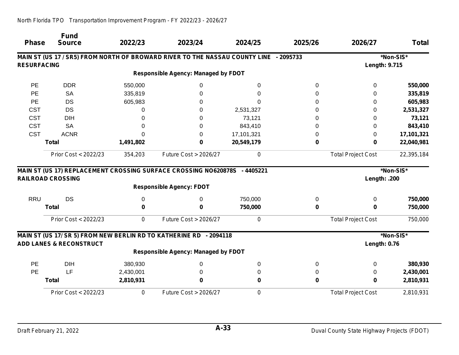| <b>Phase</b>       | <b>Fund</b><br><b>Source</b>       | 2022/23      | 2023/24                                                                                                      | 2024/25    | 2025/26 | 2026/27                   | <b>Total</b> |
|--------------------|------------------------------------|--------------|--------------------------------------------------------------------------------------------------------------|------------|---------|---------------------------|--------------|
| <b>RESURFACING</b> |                                    |              | MAIN ST (US 17 / SR5) FROM NORTH OF BROWARD RIVER TO THE NASSAU COUNTY LINE - 2095733                        |            |         | <b>Length: 9.715</b>      | *Non-SIS*    |
|                    |                                    |              | <b>Responsible Agency: Managed by FDOT</b>                                                                   |            |         |                           |              |
| <b>PE</b>          | <b>DDR</b>                         | 550,000      | $\Omega$                                                                                                     | 0          | 0       | $\Omega$                  | 550,000      |
| PE                 | <b>SA</b>                          | 335,819      | 0                                                                                                            |            | 0       | O                         | 335,819      |
| PE                 | <b>DS</b>                          | 605,983      | 0                                                                                                            |            | 0       | 0                         | 605,983      |
| <b>CST</b>         | <b>DS</b>                          | 0            | $\Omega$                                                                                                     | 2,531,327  | 0       | 0                         | 2,531,327    |
| <b>CST</b>         | <b>DIH</b>                         | 0            | 0                                                                                                            | 73,121     | 0       | 0                         | 73,121       |
| <b>CST</b>         | <b>SA</b>                          | <sup>0</sup> | 0                                                                                                            | 843,410    | 0       | 0                         | 843,410      |
| <b>CST</b>         | <b>ACNR</b>                        |              | 0                                                                                                            | 17,101,321 | 0       | 0                         | 17,101,321   |
|                    | <b>Total</b>                       | 1,491,802    | $\bf{0}$                                                                                                     | 20,549,179 | 0       | 0                         | 22,040,981   |
|                    | Prior Cost < 2022/23               | 354,203      | Future Cost > 2026/27                                                                                        | 0          |         | <b>Total Project Cost</b> | 22,395,184   |
|                    | <b>RAILROAD CROSSING</b>           |              | MAIN ST (US 17) REPLACEMENT CROSSING SURFACE CROSSING NO620878S - 4405221<br><b>Responsible Agency: FDOT</b> |            |         | Length: .200              | *Non-SIS*    |
| <b>RRU</b>         | <b>DS</b>                          | 0            | 0                                                                                                            | 750,000    | 0       | 0                         | 750,000      |
|                    | <b>Total</b>                       | 0            | $\bf{0}$                                                                                                     | 750,000    | 0       | 0                         | 750,000      |
|                    | Prior Cost < 2022/23               | 0            | Future Cost > 2026/27                                                                                        | 0          |         | <b>Total Project Cost</b> | 750,000      |
|                    |                                    |              | MAIN ST (US 17/ SR 5) FROM NEW BERLIN RD TO KATHERINE RD - 2094118                                           |            |         |                           | *Non-SIS*    |
|                    | <b>ADD LANES &amp; RECONSTRUCT</b> |              |                                                                                                              |            |         | <b>Length: 0.76</b>       |              |
|                    |                                    |              | <b>Responsible Agency: Managed by FDOT</b>                                                                   |            |         |                           |              |
| <b>PE</b>          | <b>DIH</b>                         | 380,930      | 0                                                                                                            | 0          | 0       | 0                         | 380,930      |
| PE                 | LF                                 | 2,430,001    | 0                                                                                                            | $\Omega$   | 0       | 0                         | 2,430,001    |
|                    | <b>Total</b>                       | 2,810,931    | 0                                                                                                            | 0          | 0       | 0                         | 2,810,931    |
|                    | Prior Cost < 2022/23               | 0            | Future Cost > 2026/27                                                                                        | 0          |         | <b>Total Project Cost</b> | 2,810,931    |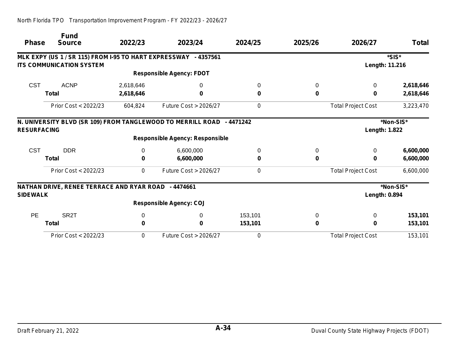| <b>Phase</b>       | <b>Fund</b><br><b>Source</b>                        | 2022/23   | 2023/24                                                               | 2024/25 | 2025/26 | 2026/27                   | <b>Total</b> |
|--------------------|-----------------------------------------------------|-----------|-----------------------------------------------------------------------|---------|---------|---------------------------|--------------|
|                    |                                                     |           | MLK EXPY (US 1 / SR 115) FROM I-95 TO HART EXPRESSWAY - 4357561       |         |         |                           | *SIS*        |
|                    | <b>ITS COMMUNICATION SYSTEM</b>                     |           |                                                                       |         |         | Length: 11.216            |              |
|                    |                                                     |           | <b>Responsible Agency: FDOT</b>                                       |         |         |                           |              |
| <b>CST</b>         | <b>ACNP</b>                                         | 2,618,646 | 0                                                                     | 0       | 0       | 0                         | 2,618,646    |
|                    | <b>Total</b>                                        | 2,618,646 | 0                                                                     | 0       | 0       | $\bf{0}$                  | 2,618,646    |
|                    | Prior Cost < 2022/23                                | 604,824   | <b>Future Cost &gt; 2026/27</b>                                       | 0       |         | <b>Total Project Cost</b> | 3,223,470    |
|                    |                                                     |           | N. UNIVERSITY BLVD (SR 109) FROM TANGLEWOOD TO MERRILL ROAD - 4471242 |         |         |                           | *Non-SIS*    |
| <b>RESURFACING</b> |                                                     |           |                                                                       |         |         | <b>Length: 1.822</b>      |              |
|                    |                                                     |           | <b>Responsible Agency: Responsible</b>                                |         |         |                           |              |
| <b>CST</b>         | <b>DDR</b>                                          | 0         | 6,600,000                                                             | 0       | 0       | $\Omega$                  | 6,600,000    |
|                    | <b>Total</b>                                        | 0         | 6,600,000                                                             | 0       | 0       | 0                         | 6,600,000    |
|                    | Prior Cost < 2022/23                                | 0         | <b>Future Cost &gt; 2026/27</b>                                       | 0       |         | <b>Total Project Cost</b> | 6,600,000    |
|                    | NATHAN DRIVE, RENEE TERRACE AND RYAR ROAD - 4474661 |           |                                                                       |         |         |                           | *Non-SIS*    |
| <b>SIDEWALK</b>    |                                                     |           |                                                                       |         |         | <b>Length: 0.894</b>      |              |
|                    |                                                     |           | <b>Responsible Agency: COJ</b>                                        |         |         |                           |              |
| <b>PE</b>          | SR <sub>2</sub> T                                   | $\Omega$  | 0                                                                     | 153,101 | 0       | $\Omega$                  | 153,101      |
|                    | <b>Total</b>                                        |           | 0                                                                     | 153,101 | 0       | $\bf{0}$                  | 153,101      |
|                    | Prior Cost < 2022/23                                | 0         | Future Cost > 2026/27                                                 | 0       |         | <b>Total Project Cost</b> | 153,101      |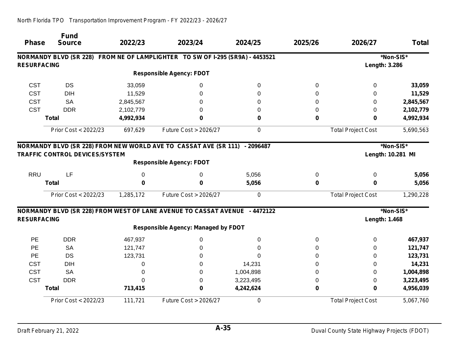| <b>Phase</b>       | <b>Fund</b><br><b>Source</b>          | 2022/23   | 2023/24                                                                       | 2024/25   | 2025/26     | 2026/27                   | <b>Total</b>      |
|--------------------|---------------------------------------|-----------|-------------------------------------------------------------------------------|-----------|-------------|---------------------------|-------------------|
|                    |                                       |           | NORMANDY BLVD (SR 228) FROM NE OF LAMPLIGHTER TO SW OF I-295 (SR9A) - 4453521 |           |             |                           | *Non-SIS*         |
| <b>RESURFACING</b> |                                       |           |                                                                               |           |             | Length: 3.286             |                   |
|                    |                                       |           | <b>Responsible Agency: FDOT</b>                                               |           |             |                           |                   |
| <b>CST</b>         | <b>DS</b>                             | 33,059    | 0                                                                             | 0         | 0           | 0                         | 33,059            |
| <b>CST</b>         | <b>DIH</b>                            | 11,529    | 0                                                                             | 0         | 0           | 0                         | 11,529            |
| <b>CST</b>         | <b>SA</b>                             | 2,845,567 | 0                                                                             | 0         | 0           | 0                         | 2,845,567         |
| <b>CST</b>         | <b>DDR</b>                            | 2,102,779 | 0                                                                             | 0         | 0           | $\Omega$                  | 2,102,779         |
|                    | <b>Total</b>                          | 4,992,934 | 0                                                                             | 0         | $\mathbf 0$ | 0                         | 4,992,934         |
|                    | Prior Cost < 2022/23                  | 697,629   | Future Cost > 2026/27                                                         | 0         |             | <b>Total Project Cost</b> | 5,690,563         |
|                    |                                       |           | NORMANDY BLVD (SR 228) FROM NEW WORLD AVE TO CASSAT AVE (SR 111) - 2096487    |           |             |                           | *Non-SIS*         |
|                    | <b>TRAFFIC CONTROL DEVICES/SYSTEM</b> |           |                                                                               |           |             |                           | Length: 10.281 MI |
|                    |                                       |           | <b>Responsible Agency: FDOT</b>                                               |           |             |                           |                   |
| <b>RRU</b>         | LF                                    | 0         | 0                                                                             | 5,056     | 0           | 0                         | 5,056             |
|                    | <b>Total</b>                          | n         | 0                                                                             | 5,056     | 0           | $\bf{0}$                  | 5,056             |
|                    | Prior Cost < 2022/23                  | 1,285,172 | Future Cost > 2026/27                                                         | 0         |             | <b>Total Project Cost</b> | 1,290,228         |
|                    |                                       |           | NORMANDY BLVD (SR 228) FROM WEST OF LANE AVENUE TO CASSAT AVENUE - 4472122    |           |             |                           | *Non-SIS*         |
| <b>RESURFACING</b> |                                       |           |                                                                               |           |             | <b>Length: 1.468</b>      |                   |
|                    |                                       |           | <b>Responsible Agency: Managed by FDOT</b>                                    |           |             |                           |                   |
| <b>PE</b>          | <b>DDR</b>                            | 467,937   | 0                                                                             | 0         | 0           | 0                         | 467,937           |
| PE                 | <b>SA</b>                             | 121,747   | 0                                                                             | 0         | 0           | 0                         | 121,747           |
| <b>PE</b>          | <b>DS</b>                             | 123,731   | 0                                                                             | 0         | 0           | $\Omega$                  | 123,731           |
| <b>CST</b>         | <b>DIH</b>                            | 0         | 0                                                                             | 14,231    | 0           | $\Omega$                  | 14,231            |
| <b>CST</b>         | <b>SA</b>                             | 0         | 0                                                                             | 1,004,898 | 0           | $\Omega$                  | 1,004,898         |
| <b>CST</b>         | <b>DDR</b>                            | $\Omega$  | 0                                                                             | 3,223,495 | 0           | 0                         | 3,223,495         |
|                    | <b>Total</b>                          | 713,415   | 0                                                                             | 4,242,624 | 0           | 0                         | 4,956,039         |
|                    | Prior Cost < 2022/23                  | 111,721   | <b>Future Cost &gt; 2026/27</b>                                               | 0         |             | <b>Total Project Cost</b> | 5,067,760         |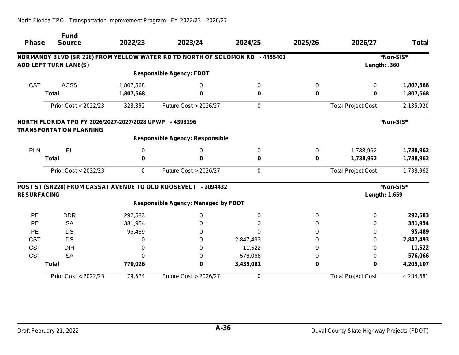| <b>Phase</b>       | <b>Fund</b><br><b>Source</b>                                                              | 2022/23   | 2023/24                                                                      | 2024/25   | 2025/26 | 2026/27                   | <b>Total</b> |
|--------------------|-------------------------------------------------------------------------------------------|-----------|------------------------------------------------------------------------------|-----------|---------|---------------------------|--------------|
|                    |                                                                                           |           | NORMANDY BLVD (SR 228) FROM YELLOW WATER RD TO NORTH OF SOLOMON RD - 4455401 |           |         |                           | *Non-SIS*    |
|                    | <b>ADD LEFT TURN LANE(S)</b>                                                              |           |                                                                              |           |         | Length: .360              |              |
|                    |                                                                                           |           | <b>Responsible Agency: FDOT</b>                                              |           |         |                           |              |
| <b>CST</b>         | <b>ACSS</b>                                                                               | 1,807,568 | 0                                                                            | 0         | 0       | 0                         | 1,807,568    |
|                    | <b>Total</b>                                                                              | 1,807,568 | 0                                                                            | 0         | 0       | 0                         | 1,807,568    |
|                    | Prior Cost < 2022/23                                                                      | 328,352   | Future Cost > 2026/27                                                        | 0         |         | <b>Total Project Cost</b> | 2,135,920    |
|                    | NORTH FLORIDA TPO FY 2026/2027-2027/2028 UPWP - 4393196<br><b>TRANSPORTATION PLANNING</b> |           |                                                                              |           |         |                           | *Non-SIS*    |
|                    |                                                                                           |           | <b>Responsible Agency: Responsible</b>                                       |           |         |                           |              |
| <b>PLN</b>         | PL                                                                                        | 0         | 0                                                                            | 0         | 0       | 1,738,962                 | 1,738,962    |
|                    | <b>Total</b>                                                                              | 0         | 0                                                                            | 0         | 0       | 1,738,962                 | 1,738,962    |
|                    | Prior Cost < 2022/23                                                                      | 0         | <b>Future Cost &gt; 2026/27</b>                                              | 0         |         | <b>Total Project Cost</b> | 1,738,962    |
|                    |                                                                                           |           | POST ST (SR228) FROM CASSAT AVENUE TO OLD ROOSEVELT - 2094432                |           |         |                           | *Non-SIS*    |
| <b>RESURFACING</b> |                                                                                           |           |                                                                              |           |         | <b>Length: 1.659</b>      |              |
|                    |                                                                                           |           | <b>Responsible Agency: Managed by FDOT</b>                                   |           |         |                           |              |
| <b>PE</b>          | <b>DDR</b>                                                                                | 292,583   | 0                                                                            | 0         | 0       | $\Omega$                  | 292,583      |
| <b>PE</b>          | <b>SA</b>                                                                                 | 381,954   | 0                                                                            | 0         | 0       | 0                         | 381,954      |
| <b>PE</b>          | <b>DS</b>                                                                                 | 95,489    | 0                                                                            | 0         | 0       | 0                         | 95,489       |
| <b>CST</b>         | DS                                                                                        | 0         | 0                                                                            | 2,847,493 | 0       | 0                         | 2,847,493    |
| <b>CST</b>         | <b>DIH</b>                                                                                | 0         | 0                                                                            | 11,522    | 0       | 0                         | 11,522       |
| <b>CST</b>         | <b>SA</b>                                                                                 | O         | 0                                                                            | 576,066   | 0       | 0                         | 576,066      |
|                    | <b>Total</b>                                                                              | 770,026   | 0                                                                            | 3,435,081 | 0       | 0                         | 4,205,107    |
|                    | Prior Cost < 2022/23                                                                      | 79,574    | <b>Future Cost &gt; 2026/27</b>                                              | 0         |         | <b>Total Project Cost</b> | 4,284,681    |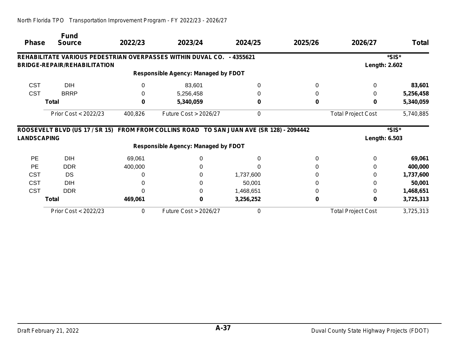| <b>Phase</b>       | <b>Fund</b><br><b>Source</b>        | 2022/23 | 2023/24                                                                                  | 2024/25   | 2025/26 | 2026/27                   | <b>Total</b> |
|--------------------|-------------------------------------|---------|------------------------------------------------------------------------------------------|-----------|---------|---------------------------|--------------|
|                    |                                     |         | REHABILITATE VARIOUS PEDESTRIAN OVERPASSES WITHIN DUVAL CO. - 4355621                    |           |         |                           | *SIS*        |
|                    | <b>BRIDGE-REPAIR/REHABILITATION</b> |         |                                                                                          |           |         | <b>Length: 2.602</b>      |              |
|                    |                                     |         | <b>Responsible Agency: Managed by FDOT</b>                                               |           |         |                           |              |
| <b>CST</b>         | <b>DIH</b>                          | 0       | 83,601                                                                                   |           |         | 0                         | 83,601       |
| <b>CST</b>         | <b>BRRP</b>                         |         | 5,256,458                                                                                |           |         |                           | 5,256,458    |
|                    | <b>Total</b>                        | O       | 5,340,059                                                                                |           |         | 0                         | 5,340,059    |
|                    | Prior Cost < 2022/23                | 400,826 | Future $Cost > 2026/27$                                                                  | 0         |         | <b>Total Project Cost</b> | 5,740,885    |
|                    |                                     |         | ROOSEVELT BLVD (US 17 / SR 15) FROM FROM COLLINS ROAD TO SAN JUAN AVE (SR 128) - 2094442 |           |         |                           | *SIS*        |
| <b>LANDSCAPING</b> |                                     |         |                                                                                          |           |         | Length: 6.503             |              |
|                    |                                     |         | <b>Responsible Agency: Managed by FDOT</b>                                               |           |         |                           |              |
| <b>PE</b>          | <b>DIH</b>                          | 69,061  |                                                                                          |           |         | 0                         | 69,061       |
| <b>PE</b>          | <b>DDR</b>                          | 400,000 |                                                                                          |           |         |                           | 400,000      |
| <b>CST</b>         | <b>DS</b>                           |         |                                                                                          | 1,737,600 |         |                           | 1,737,600    |
| <b>CST</b>         | <b>DIH</b>                          |         |                                                                                          | 50,001    |         |                           | 50,001       |
| <b>CST</b>         | <b>DDR</b>                          |         |                                                                                          | 1,468,651 |         |                           | 1,468,651    |
|                    | <b>Total</b>                        | 469,061 |                                                                                          | 3,256,252 |         | 0                         | 3,725,313    |
|                    | Prior Cost < 2022/23                | 0       | Future Cost > 2026/27                                                                    | 0         |         | <b>Total Project Cost</b> | 3,725,313    |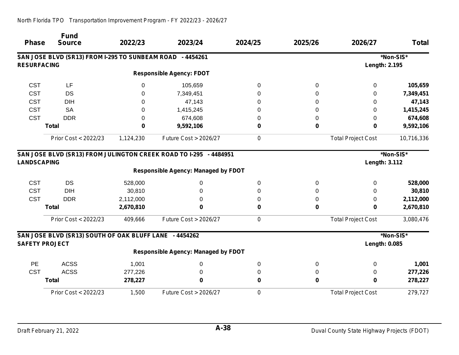| <b>Phase</b>          | <b>Fund</b><br><b>Source</b>                              | 2022/23     | 2023/24                                                           | 2024/25  | 2025/26     | 2026/27                   | <b>Total</b> |
|-----------------------|-----------------------------------------------------------|-------------|-------------------------------------------------------------------|----------|-------------|---------------------------|--------------|
|                       | SAN JOSE BLVD (SR13) FROM I-295 TO SUNBEAM ROAD - 4454261 |             |                                                                   |          |             |                           | *Non-SIS*    |
| <b>RESURFACING</b>    |                                                           |             |                                                                   |          |             | <b>Length: 2.195</b>      |              |
|                       |                                                           |             | <b>Responsible Agency: FDOT</b>                                   |          |             |                           |              |
| <b>CST</b>            | LF                                                        | $\Omega$    | 105,659                                                           | 0        | 0           | $\Omega$                  | 105,659      |
| <b>CST</b>            | <b>DS</b>                                                 | 0           | 7,349,451                                                         | 0        | 0           | 0                         | 7,349,451    |
| <b>CST</b>            | <b>DIH</b>                                                | 0           | 47,143                                                            | 0        | 0           | 0                         | 47,143       |
| <b>CST</b>            | <b>SA</b>                                                 | 0           | 1,415,245                                                         | 0        | 0           | 0                         | 1,415,245    |
| <b>CST</b>            | <b>DDR</b>                                                | 0           | 674,608                                                           | 0        | 0           | 0                         | 674,608      |
|                       | <b>Total</b>                                              | $\mathbf 0$ | 9,592,106                                                         | 0        | 0           | 0                         | 9,592,106    |
|                       | Prior Cost < 2022/23                                      | 1,124,230   | Future Cost > 2026/27                                             | 0        |             | <b>Total Project Cost</b> | 10,716,336   |
|                       |                                                           |             | SAN JOSE BLVD (SR13) FROM JULINGTON CREEK ROAD TO I-295 - 4484951 |          |             |                           | *Non-SIS*    |
| <b>LANDSCAPING</b>    |                                                           |             |                                                                   |          |             | <b>Length: 3.112</b>      |              |
|                       |                                                           |             | <b>Responsible Agency: Managed by FDOT</b>                        |          |             |                           |              |
| <b>CST</b>            | <b>DS</b>                                                 | 528,000     | 0                                                                 | 0        | 0           | 0                         | 528,000      |
| <b>CST</b>            | <b>DIH</b>                                                | 30,810      | 0                                                                 | 0        | 0           | 0                         | 30,810       |
| <b>CST</b>            | <b>DDR</b>                                                | 2,112,000   | 0                                                                 | 0        | 0           | 0                         | 2,112,000    |
|                       | <b>Total</b>                                              | 2,670,810   | $\bf{0}$                                                          | $\bf{0}$ | $\mathbf 0$ | 0                         | 2,670,810    |
|                       | Prior Cost < 2022/23                                      | 409,666     | Future Cost > 2026/27                                             | 0        |             | <b>Total Project Cost</b> | 3,080,476    |
|                       | SAN JOSE BLVD (SR13) SOUTH OF OAK BLUFF LANE - 4454262    |             |                                                                   |          |             |                           | *Non-SIS*    |
| <b>SAFETY PROJECT</b> |                                                           |             |                                                                   |          |             | <b>Length: 0.085</b>      |              |
|                       |                                                           |             | <b>Responsible Agency: Managed by FDOT</b>                        |          |             |                           |              |
| PE                    | <b>ACSS</b>                                               | 1,001       | 0                                                                 | 0        | 0           | $\Omega$                  | 1,001        |
| <b>CST</b>            | <b>ACSS</b>                                               | 277,226     | 0                                                                 | 0        | 0           | 0                         | 277,226      |
|                       | <b>Total</b>                                              | 278,227     | $\bf{0}$                                                          | $\bf{0}$ | 0           | 0                         | 278,227      |
|                       | Prior Cost < 2022/23                                      | 1,500       | Future Cost > 2026/27                                             | 0        |             | <b>Total Project Cost</b> | 279,727      |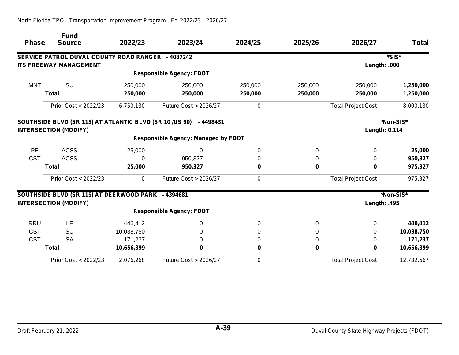| <b>Phase</b> | <b>Fund</b><br><b>Source</b>                            | 2022/23    | 2023/24                                    | 2024/25 | 2025/26     | 2026/27                   | <b>Total</b> |
|--------------|---------------------------------------------------------|------------|--------------------------------------------|---------|-------------|---------------------------|--------------|
|              |                                                         |            |                                            |         |             |                           |              |
|              | SERVICE PATROL DUVAL COUNTY ROAD RANGER - 4087242       |            |                                            |         |             |                           | *SIS*        |
|              | <b>ITS FREEWAY MANAGEMENT</b>                           |            |                                            |         |             | Length: .000              |              |
|              |                                                         |            | <b>Responsible Agency: FDOT</b>            |         |             |                           |              |
| <b>MNT</b>   | SU                                                      | 250,000    | 250,000                                    | 250,000 | 250,000     | 250,000                   | 1,250,000    |
|              | <b>Total</b>                                            | 250,000    | 250,000                                    | 250,000 | 250,000     | 250,000                   | 1,250,000    |
|              | Prior Cost < 2022/23                                    | 6,750,130  | <b>Future Cost &gt; 2026/27</b>            | 0       |             | <b>Total Project Cost</b> | 8,000,130    |
|              | SOUTHSIDE BLVD (SR 115) AT ATLANTIC BLVD (SR 10 /US 90) |            | $-4498431$                                 |         |             |                           | *Non-SIS*    |
|              | <b>INTERSECTION (MODIFY)</b>                            |            |                                            |         |             | <b>Length: 0.114</b>      |              |
|              |                                                         |            | <b>Responsible Agency: Managed by FDOT</b> |         |             |                           |              |
| <b>PE</b>    | <b>ACSS</b>                                             | 25,000     | 0                                          | 0       | 0           | 0                         | 25,000       |
| <b>CST</b>   | <b>ACSS</b>                                             | 0          | 950,327                                    | 0       | 0           | 0                         | 950,327      |
|              | <b>Total</b>                                            | 25,000     | 950,327                                    | 0       | $\mathbf 0$ | $\bf{0}$                  | 975,327      |
|              | Prior Cost < 2022/23                                    | 0          | Future Cost > 2026/27                      | 0       |             | <b>Total Project Cost</b> | 975,327      |
|              | SOUTHSIDE BLVD (SR 115) AT DEERWOOD PARK - 4394681      |            |                                            |         |             |                           | *Non-SIS*    |
|              | <b>INTERSECTION (MODIFY)</b>                            |            |                                            |         |             | Length: .495              |              |
|              |                                                         |            | <b>Responsible Agency: FDOT</b>            |         |             |                           |              |
| <b>RRU</b>   | LF                                                      | 446,412    | 0                                          | 0       | 0           | $\Omega$                  | 446,412      |
| <b>CST</b>   | SU                                                      | 10,038,750 | 0                                          | 0       | 0           | 0                         | 10,038,750   |
| <b>CST</b>   | <b>SA</b>                                               | 171,237    | 0                                          | 0       | 0           | 0                         | 171,237      |
|              | <b>Total</b>                                            | 10,656,399 | 0                                          | 0       | 0           | 0                         | 10,656,399   |
|              | Prior Cost < 2022/23                                    | 2,076,268  | Future Cost > 2026/27                      | 0       |             | <b>Total Project Cost</b> | 12,732,667   |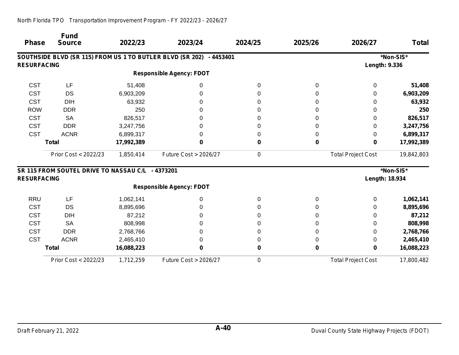| <b>Phase</b>       | <b>Fund</b><br><b>Source</b>                     | 2022/23    | 2023/24                                                             | 2024/25  | 2025/26 | 2026/27                   | <b>Total</b> |
|--------------------|--------------------------------------------------|------------|---------------------------------------------------------------------|----------|---------|---------------------------|--------------|
|                    |                                                  |            |                                                                     |          |         |                           |              |
|                    |                                                  |            | SOUTHSIDE BLVD (SR 115) FROM US 1 TO BUTLER BLVD (SR 202) - 4453401 |          |         |                           | *Non-SIS*    |
| <b>RESURFACING</b> |                                                  |            |                                                                     |          |         | <b>Length: 9.336</b>      |              |
|                    |                                                  |            | <b>Responsible Agency: FDOT</b>                                     |          |         |                           |              |
| <b>CST</b>         | LF                                               | 51,408     | 0                                                                   | $\Omega$ | 0       | 0                         | 51,408       |
| <b>CST</b>         | DS                                               | 6,903,209  | 0                                                                   |          | 0       | 0                         | 6,903,209    |
| <b>CST</b>         | <b>DIH</b>                                       | 63,932     | O                                                                   |          |         | O                         | 63,932       |
| <b>ROW</b>         | <b>DDR</b>                                       | 250        |                                                                     |          |         |                           | 250          |
| <b>CST</b>         | <b>SA</b>                                        | 826,517    |                                                                     |          |         | 0                         | 826,517      |
| <b>CST</b>         | <b>DDR</b>                                       | 3,247,756  |                                                                     |          |         | 0                         | 3,247,756    |
| <b>CST</b>         | <b>ACNR</b>                                      | 6,899,317  |                                                                     |          |         | 0                         | 6,899,317    |
|                    | <b>Total</b>                                     | 17,992,389 | 0                                                                   | n        | 0       | 0                         | 17,992,389   |
|                    | Prior Cost < 2022/23                             | 1,850,414  | Future Cost > 2026/27                                               | 0        |         | <b>Total Project Cost</b> | 19,842,803   |
|                    | SR 115 FROM SOUTEL DRIVE TO NASSAU C/L - 4373201 |            |                                                                     |          |         |                           | *Non-SIS*    |
| <b>RESURFACING</b> |                                                  |            |                                                                     |          |         | Length: 18.934            |              |
|                    |                                                  |            | <b>Responsible Agency: FDOT</b>                                     |          |         |                           |              |
| <b>RRU</b>         | LF                                               | 1,062,141  | 0                                                                   | 0        | 0       | 0                         | 1,062,141    |
| <b>CST</b>         | <b>DS</b>                                        | 8,895,696  |                                                                     |          | 0       | O                         | 8,895,696    |
| <b>CST</b>         | <b>DIH</b>                                       | 87,212     |                                                                     |          | 0       | 0                         | 87,212       |
| <b>CST</b>         | <b>SA</b>                                        | 808,998    |                                                                     |          | 0       | 0                         | 808,998      |
| <b>CST</b>         | <b>DDR</b>                                       | 2,768,766  |                                                                     |          |         | O                         | 2,768,766    |
| <b>CST</b>         | <b>ACNR</b>                                      | 2,465,410  |                                                                     |          |         | 0                         | 2,465,410    |
|                    | <b>Total</b>                                     | 16,088,223 | 0                                                                   |          | 0       | 0                         | 16,088,223   |
|                    | Prior Cost < 2022/23                             | 1,712,259  | Future Cost > 2026/27                                               | 0        |         | <b>Total Project Cost</b> | 17,800,482   |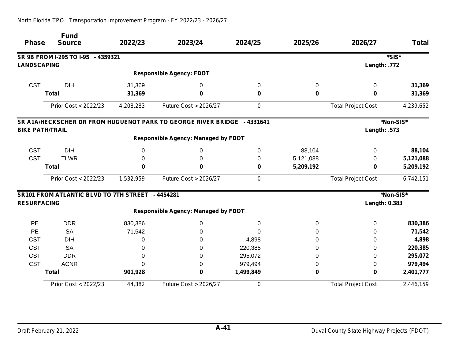| <b>Phase</b>           | <b>Fund</b><br><b>Source</b>           | 2022/23   | 2023/24                                                                 | 2024/25   | 2025/26   | 2026/27                   | <b>Total</b> |
|------------------------|----------------------------------------|-----------|-------------------------------------------------------------------------|-----------|-----------|---------------------------|--------------|
|                        | SR 9B FROM I-295 TO I-95 - 4359321     |           |                                                                         |           |           |                           | *SIS*        |
| <b>LANDSCAPING</b>     |                                        |           |                                                                         |           |           | Length: .772              |              |
|                        |                                        |           | <b>Responsible Agency: FDOT</b>                                         |           |           |                           |              |
| <b>CST</b>             | <b>DIH</b>                             | 31,369    | 0                                                                       | 0         | 0         | 0                         | 31,369       |
|                        | <b>Total</b>                           | 31,369    | 0                                                                       | 0         | 0         | 0                         | 31,369       |
|                        | Prior Cost < 2022/23                   | 4,208,283 | Future Cost > 2026/27                                                   | 0         |           | <b>Total Project Cost</b> | 4,239,652    |
|                        |                                        |           | SR A1A/HECKSCHER DR FROM HUGUENOT PARK TO GEORGE RIVER BRIDGE - 4331641 |           |           |                           | *Non-SIS*    |
| <b>BIKE PATH/TRAIL</b> |                                        |           |                                                                         |           |           | Length: .573              |              |
|                        |                                        |           | <b>Responsible Agency: Managed by FDOT</b>                              |           |           |                           |              |
| <b>CST</b>             | <b>DIH</b>                             | 0         | 0                                                                       | 0         | 88,104    | 0                         | 88,104       |
| <b>CST</b>             | <b>TLWR</b>                            | 0         | 0                                                                       | 0         | 5,121,088 | 0                         | 5,121,088    |
|                        | <b>Total</b>                           | 0         | 0                                                                       | 0         | 5,209,192 | 0                         | 5,209,192    |
|                        | Prior Cost < 2022/23                   | 1,532,959 | Future Cost > 2026/27                                                   | 0         |           | <b>Total Project Cost</b> | 6,742,151    |
|                        | SR101 FROM ATLANTIC BLVD TO 7TH STREET |           | - 4454281                                                               |           |           |                           | *Non-SIS*    |
| <b>RESURFACING</b>     |                                        |           |                                                                         |           |           | Length: 0.383             |              |
|                        |                                        |           | <b>Responsible Agency: Managed by FDOT</b>                              |           |           |                           |              |
| PE                     | <b>DDR</b>                             | 830,386   | 0                                                                       | 0         | 0         | 0                         | 830,386      |
| <b>PE</b>              | <b>SA</b>                              | 71,542    | 0                                                                       | 0         | 0         | $\Omega$                  | 71,542       |
| <b>CST</b>             | <b>DIH</b>                             | 0         | 0                                                                       | 4,898     | 0         | 0                         | 4,898        |
| <b>CST</b>             | <b>SA</b>                              |           | 0                                                                       | 220,385   | 0         | 0                         | 220,385      |
| <b>CST</b>             | <b>DDR</b>                             | 0         | 0                                                                       | 295,072   | 0         | 0                         | 295,072      |
| <b>CST</b>             | <b>ACNR</b>                            | 0         | 0                                                                       | 979,494   | 0         | 0                         | 979,494      |
|                        | <b>Total</b>                           | 901,928   | 0                                                                       | 1,499,849 | 0         | 0                         | 2,401,777    |
|                        | Prior Cost < 2022/23                   | 44,382    | Future Cost > 2026/27                                                   | 0         |           | <b>Total Project Cost</b> | 2,446,159    |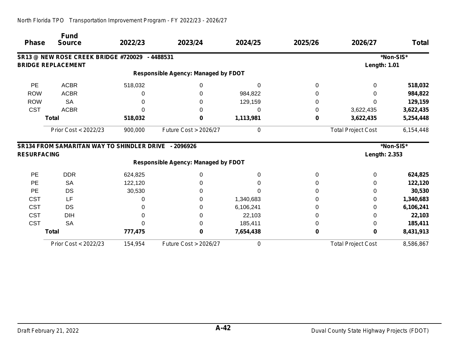| <b>Phase</b>       | <b>Fund</b><br><b>Source</b>                         | 2022/23 | 2023/24                                    | 2024/25   | 2025/26  | 2026/27                   | <b>Total</b> |
|--------------------|------------------------------------------------------|---------|--------------------------------------------|-----------|----------|---------------------------|--------------|
|                    | <b>SR13 @ NEW ROSE CREEK BRIDGE #720029</b>          |         | $-4488531$                                 |           |          |                           | *Non-SIS*    |
|                    | <b>BRIDGE REPLACEMENT</b>                            |         |                                            |           |          | <b>Length: 1.01</b>       |              |
|                    |                                                      |         | <b>Responsible Agency: Managed by FDOT</b> |           |          |                           |              |
| PE                 | <b>ACBR</b>                                          | 518,032 | 0                                          | 0         | $\Omega$ | 0                         | 518,032      |
| <b>ROW</b>         | <b>ACBR</b>                                          |         | 0                                          | 984,822   | 0        | 0                         | 984,822      |
| <b>ROW</b>         | <b>SA</b>                                            |         |                                            | 129,159   |          | 0                         | 129,159      |
| <b>CST</b>         | <b>ACBR</b>                                          |         |                                            | ∩         | 0        | 3,622,435                 | 3,622,435    |
|                    | <b>Total</b>                                         | 518,032 | 0                                          | 1,113,981 | 0        | 3,622,435                 | 5,254,448    |
|                    | Prior Cost < 2022/23                                 | 900,000 | <b>Future Cost &gt; 2026/27</b>            | 0         |          | <b>Total Project Cost</b> | 6, 154, 448  |
|                    | SR134 FROM SAMARITAN WAY TO SHINDLER DRIVE - 2096926 |         |                                            |           |          |                           | *Non-SIS*    |
| <b>RESURFACING</b> |                                                      |         |                                            |           |          | Length: 2.353             |              |
|                    |                                                      |         | <b>Responsible Agency: Managed by FDOT</b> |           |          |                           |              |
| PE                 | <b>DDR</b>                                           | 624,825 | 0                                          | 0         | 0        | 0                         | 624,825      |
| PE                 | <b>SA</b>                                            | 122,120 |                                            |           |          | 0                         | 122,120      |
| PE                 | DS                                                   | 30,530  |                                            |           |          | 0                         | 30,530       |
| <b>CST</b>         | LF                                                   |         | 0                                          | 1,340,683 |          | 0                         | 1,340,683    |
| <b>CST</b>         | <b>DS</b>                                            |         |                                            | 6,106,241 |          |                           | 6,106,241    |
| <b>CST</b>         | <b>DIH</b>                                           |         | 0                                          | 22,103    |          | 0                         | 22,103       |
| <b>CST</b>         | <b>SA</b>                                            |         | 0                                          | 185,411   |          | 0                         | 185,411      |
|                    | <b>Total</b>                                         | 777,475 |                                            | 7,654,438 | 0        | 0                         | 8,431,913    |
|                    | Prior Cost < 2022/23                                 | 154,954 | Future Cost > 2026/27                      | 0         |          | <b>Total Project Cost</b> | 8,586,867    |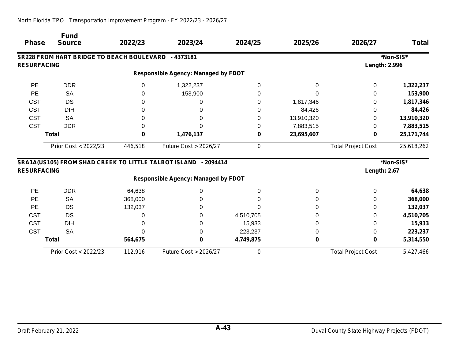|                    | <b>Fund</b>                                         |         |                                                                |           |            |                           |              |
|--------------------|-----------------------------------------------------|---------|----------------------------------------------------------------|-----------|------------|---------------------------|--------------|
| <b>Phase</b>       | <b>Source</b>                                       | 2022/23 | 2023/24                                                        | 2024/25   | 2025/26    | 2026/27                   | <b>Total</b> |
|                    | SR228 FROM HART BRIDGE TO BEACH BOULEVARD - 4373181 |         |                                                                |           |            |                           | *Non-SIS*    |
| <b>RESURFACING</b> |                                                     |         |                                                                |           |            | <b>Length: 2.996</b>      |              |
|                    |                                                     |         | <b>Responsible Agency: Managed by FDOT</b>                     |           |            |                           |              |
| PE                 | <b>DDR</b>                                          | 0       | 1,322,237                                                      | 0         | 0          | 0                         | 1,322,237    |
| PE                 | <b>SA</b>                                           | 0       | 153,900                                                        |           | n          | 0                         | 153,900      |
| <b>CST</b>         | <b>DS</b>                                           |         | 0                                                              | 0         | 1,817,346  | 0                         | 1,817,346    |
| <b>CST</b>         | <b>DIH</b>                                          | 0       |                                                                | 0         | 84,426     | 0                         | 84,426       |
| <b>CST</b>         | <b>SA</b>                                           | O       | 0                                                              | 0         | 13,910,320 | 0                         | 13,910,320   |
| <b>CST</b>         | <b>DDR</b>                                          |         |                                                                | 0         | 7,883,515  | 0                         | 7,883,515    |
|                    | <b>Total</b>                                        | 0       | 1,476,137                                                      | 0         | 23,695,607 | 0                         | 25, 171, 744 |
|                    | Prior Cost < 2022/23                                | 446,518 | Future Cost > 2026/27                                          | 0         |            | <b>Total Project Cost</b> | 25,618,262   |
|                    |                                                     |         | SRA1A(US105) FROM SHAD CREEK TO LITTLE TALBOT ISLAND - 2094414 |           |            |                           | *Non-SIS*    |
| <b>RESURFACING</b> |                                                     |         |                                                                |           |            | <b>Length: 2.67</b>       |              |
|                    |                                                     |         | <b>Responsible Agency: Managed by FDOT</b>                     |           |            |                           |              |
| <b>PE</b>          | <b>DDR</b>                                          | 64,638  | 0                                                              | 0         | 0          | $\Omega$                  | 64,638       |
| PE                 | <b>SA</b>                                           | 368,000 | 0                                                              |           | 0          | 0                         | 368,000      |
| PE                 | DS                                                  | 132,037 | 0                                                              |           | 0          | 0                         | 132,037      |
| <b>CST</b>         | <b>DS</b>                                           |         | 0                                                              | 4,510,705 | 0          | 0                         | 4,510,705    |
| <b>CST</b>         | <b>DIH</b>                                          |         | 0                                                              | 15,933    | 0          | 0                         | 15,933       |
| <b>CST</b>         | <b>SA</b>                                           |         | 0                                                              | 223,237   | 0          | 0                         | 223,237      |
|                    | <b>Total</b>                                        | 564,675 | 0                                                              | 4,749,875 | 0          | 0                         | 5,314,550    |
|                    | Prior Cost < 2022/23                                | 112,916 | Future Cost > 2026/27                                          | 0         |            | <b>Total Project Cost</b> | 5,427,466    |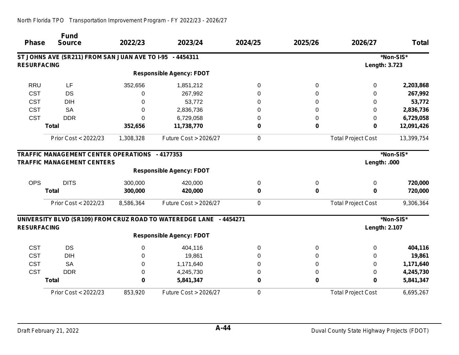| <b>Phase</b>       | <b>Fund</b><br><b>Source</b>                             | 2022/23     | 2023/24                                                            | 2024/25  | 2025/26 | 2026/27                   | <b>Total</b> |
|--------------------|----------------------------------------------------------|-------------|--------------------------------------------------------------------|----------|---------|---------------------------|--------------|
|                    | ST JOHNS AVE (SR211) FROM SAN JUAN AVE TO I-95 - 4454311 |             |                                                                    |          |         |                           | *Non-SIS*    |
| <b>RESURFACING</b> |                                                          |             |                                                                    |          |         | <b>Length: 3.723</b>      |              |
|                    |                                                          |             | <b>Responsible Agency: FDOT</b>                                    |          |         |                           |              |
| <b>RRU</b>         | LF                                                       | 352,656     | 1,851,212                                                          | 0        | 0       | 0                         | 2,203,868    |
| <b>CST</b>         | <b>DS</b>                                                | 0           | 267,992                                                            | 0        | 0       | 0                         | 267,992      |
| <b>CST</b>         | <b>DIH</b>                                               | 0           | 53,772                                                             | 0        | 0       | 0                         | 53,772       |
| <b>CST</b>         | <b>SA</b>                                                | $\Omega$    | 2,836,736                                                          | 0        | 0       | 0                         | 2,836,736    |
| <b>CST</b>         | <b>DDR</b>                                               | $\Omega$    | 6,729,058                                                          | 0        | 0       | 0                         | 6,729,058    |
|                    | <b>Total</b>                                             | 352,656     | 11,738,770                                                         | 0        | 0       | 0                         | 12,091,426   |
|                    | Prior Cost < 2022/23                                     | 1,308,328   | Future Cost > 2026/27                                              | 0        |         | <b>Total Project Cost</b> | 13,399,754   |
|                    | TRAFFIC MANAGEMENT CENTER OPERATIONS - 4177353           |             |                                                                    |          |         |                           | *Non-SIS*    |
|                    | <b>TRAFFIC MANAGEMENT CENTERS</b>                        |             |                                                                    |          |         | Length: .000              |              |
|                    |                                                          |             | <b>Responsible Agency: FDOT</b>                                    |          |         |                           |              |
| <b>OPS</b>         | <b>DITS</b>                                              | 300,000     | 420,000                                                            | 0        | 0       | $\Omega$                  | 720,000      |
|                    | <b>Total</b>                                             | 300,000     | 420,000                                                            | 0        | 0       | 0                         | 720,000      |
|                    | Prior Cost < 2022/23                                     | 8,586,364   | Future Cost > 2026/27                                              | 0        |         | <b>Total Project Cost</b> | 9,306,364    |
|                    |                                                          |             | UNIVERSITY BLVD (SR109) FROM CRUZ ROAD TO WATEREDGE LANE - 4454271 |          |         |                           | *Non-SIS*    |
| <b>RESURFACING</b> |                                                          |             |                                                                    |          |         | <b>Length: 2.107</b>      |              |
|                    |                                                          |             | <b>Responsible Agency: FDOT</b>                                    |          |         |                           |              |
| <b>CST</b>         | <b>DS</b>                                                | $\Omega$    | 404,116                                                            | $\Omega$ | 0       | $\Omega$                  | 404,116      |
| <b>CST</b>         | <b>DIH</b>                                               | 0           | 19,861                                                             | 0        | 0       | 0                         | 19,861       |
| <b>CST</b>         | <b>SA</b>                                                | 0           | 1,171,640                                                          | 0        | 0       | 0                         | 1,171,640    |
| <b>CST</b>         | <b>DDR</b>                                               | 0           | 4,245,730                                                          | 0        | 0       | 0                         | 4,245,730    |
|                    | <b>Total</b>                                             | $\mathbf 0$ | 5,841,347                                                          | 0        | 0       | 0                         | 5,841,347    |
|                    | Prior Cost < 2022/23                                     | 853,920     | Future Cost > 2026/27                                              | 0        |         | <b>Total Project Cost</b> | 6,695,267    |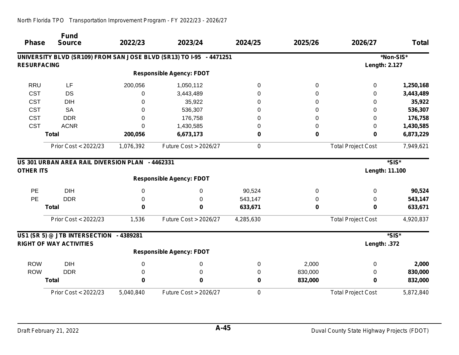### **Phase Fund Source 2022/23 2023/24 2024/25 2025/26 2026/27 Total UNIVERSITY BLVD (SR109) FROM SAN JOSE BLVD (SR13) TO I-95 - 4471251 \*Non-SIS\* RESURFACING Length: 2.127 Responsible Agency: FDOT** RRU LF 200,056 1,050,112 0 0 0 **1,250,168** CST DS 0 3,443,489 0 0 0 **3,443,489** CST DIH 0 35,922 0 0 0 **35,922** CST SA 0 536,307 0 0 0 **536,307** CST DDR 0 176,758 0 0 0 **176,758** CST ACNR 0 1,430,585 0 0 0 **1,430,585 Total 200,056 6,673,173 0 0 0 6,873,229** *Prior Cost < 2022/23 1,076,392 Future Cost > 2026/27 0 Total Project Cost 7,949,621* **US 301 URBAN AREA RAIL DIVERSION PLAN - 4462331 \*SIS\* OTHER ITS Length: 11.100 Responsible Agency: FDOT** PE DIH 0 0 90,524 0 0 **90,524** PE DDR 0 0 543,147 0 0 **543,147 Total 0 0 633,671 0 0 633,671** *Prior Cost < 2022/23 1,536 Future Cost > 2026/27 4,285,630 Total Project Cost 4,920,837* **US1 (SR 5) @ JTB INTERSECTION - 4389281 \*SIS\* RIGHT OF WAY ACTIVITIES Length: .372 Responsible Agency: FDOT** ROW DIH 0 0 0 2,000 0 **2,000** ROW DDR 0 0 0 830,000 0 **830,000 Total 0 0 0 832,000 0 832,000** *Prior Cost < 2022/23 5,040,840 Future Cost > 2026/27 0 Total Project Cost 5,872,840*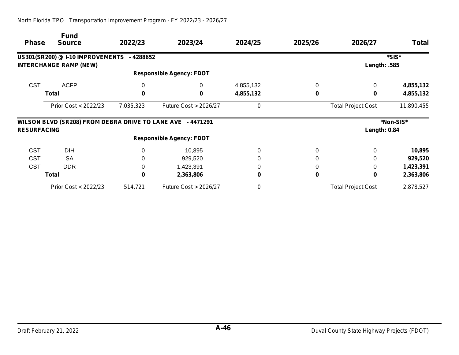| <b>Phase</b>       | <b>Fund</b><br><b>Source</b>                               | 2022/23   | 2023/24                         | 2024/25   | 2025/26 | 2026/27                   | Total      |
|--------------------|------------------------------------------------------------|-----------|---------------------------------|-----------|---------|---------------------------|------------|
|                    | US301(SR200) @ I-10 IMPROVEMENTS - 4288652                 |           |                                 |           |         |                           | *SIS*      |
|                    | <b>INTERCHANGE RAMP (NEW)</b>                              |           |                                 |           |         | Length: .585              |            |
|                    |                                                            |           | <b>Responsible Agency: FDOT</b> |           |         |                           |            |
| <b>CST</b>         | <b>ACFP</b>                                                | 0         | $\Omega$                        | 4,855,132 | 0       | 0                         | 4,855,132  |
|                    | <b>Total</b>                                               | 0         | 0                               | 4,855,132 | 0       | 0                         | 4,855,132  |
|                    | Prior Cost < $2022/23$                                     | 7,035,323 | Future Cost > 2026/27           | 0         |         | <b>Total Project Cost</b> | 11,890,455 |
|                    | WILSON BLVD (SR208) FROM DEBRA DRIVE TO LANE AVE - 4471291 |           |                                 |           |         |                           | *Non-SIS*  |
| <b>RESURFACING</b> |                                                            |           |                                 |           |         | Length: 0.84              |            |
|                    |                                                            |           | <b>Responsible Agency: FDOT</b> |           |         |                           |            |
| <b>CST</b>         | <b>DIH</b>                                                 | $\Omega$  | 10,895                          | 0         | 0       | 0                         | 10,895     |
| <b>CST</b>         | <b>SA</b>                                                  |           | 929,520                         |           | 0       | 0                         | 929,520    |
| <b>CST</b>         | <b>DDR</b>                                                 |           | 1,423,391                       |           | O       | 0                         | 1,423,391  |
|                    | Total                                                      | 0         | 2,363,806                       | 0         | 0       | 0                         | 2,363,806  |
|                    | Prior Cost < 2022/23                                       | 514,721   | <b>Future Cost &gt; 2026/27</b> | 0         |         | <b>Total Project Cost</b> | 2,878,527  |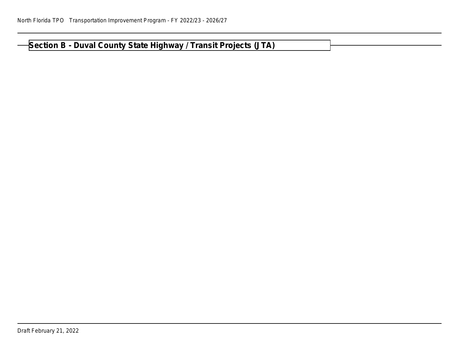# **Section B - Duval County State Highway / Transit Projects (JTA)**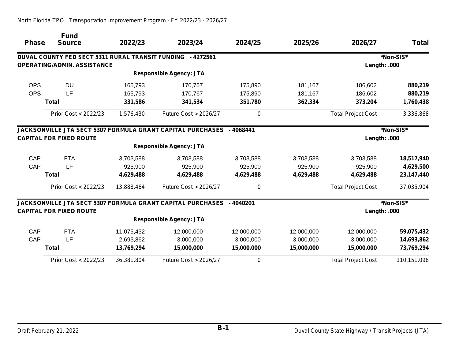| <b>Phase</b> | <b>Fund</b><br><b>Source</b>                               | 2022/23    | 2023/24                                                           | 2024/25    | 2025/26    | 2026/27                   | <b>Total</b>  |
|--------------|------------------------------------------------------------|------------|-------------------------------------------------------------------|------------|------------|---------------------------|---------------|
|              |                                                            |            |                                                                   |            |            |                           |               |
|              | DUVAL COUNTY FED SECT 5311 RURAL TRANSIT FUNDING - 4272561 |            |                                                                   |            |            |                           | *Non-SIS*     |
|              | <b>OPERATING/ADMIN. ASSISTANCE</b>                         |            |                                                                   |            |            | Length: .000              |               |
|              |                                                            |            | <b>Responsible Agency: JTA</b>                                    |            |            |                           |               |
| <b>OPS</b>   | <b>DU</b>                                                  | 165,793    | 170,767                                                           | 175,890    | 181,167    | 186,602                   | 880,219       |
| <b>OPS</b>   | LF                                                         | 165,793    | 170,767                                                           | 175,890    | 181,167    | 186,602                   | 880,219       |
|              | <b>Total</b>                                               | 331,586    | 341,534                                                           | 351,780    | 362,334    | 373,204                   | 1,760,438     |
|              | Prior Cost < 2022/23                                       | 1,576,430  | <b>Future Cost &gt; 2026/27</b>                                   | 0          |            | <b>Total Project Cost</b> | 3,336,868     |
|              |                                                            |            | <b>JACKSONVILLE JTA SECT 5307 FORMULA GRANT CAPITAL PURCHASES</b> | $-4068441$ |            |                           | *Non-SIS*     |
|              | <b>CAPITAL FOR FIXED ROUTE</b>                             |            |                                                                   |            |            | Length: .000              |               |
|              |                                                            |            | <b>Responsible Agency: JTA</b>                                    |            |            |                           |               |
| CAP          | <b>FTA</b>                                                 | 3,703,588  | 3,703,588                                                         | 3,703,588  | 3,703,588  | 3,703,588                 | 18,517,940    |
| CAP          | LF                                                         | 925,900    | 925,900                                                           | 925,900    | 925,900    | 925,900                   | 4,629,500     |
|              | <b>Total</b>                                               | 4,629,488  | 4,629,488                                                         | 4,629,488  | 4,629,488  | 4,629,488                 | 23,147,440    |
|              | Prior Cost < 2022/23                                       | 13,888,464 | <b>Future Cost &gt; 2026/27</b>                                   | 0          |            | <b>Total Project Cost</b> | 37,035,904    |
|              |                                                            |            | <b>JACKSONVILLE JTA SECT 5307 FORMULA GRANT CAPITAL PURCHASES</b> | $-4040201$ |            |                           | *Non-SIS*     |
|              | <b>CAPITAL FOR FIXED ROUTE</b>                             |            |                                                                   |            |            | Length: .000              |               |
|              |                                                            |            | <b>Responsible Agency: JTA</b>                                    |            |            |                           |               |
| CAP          | <b>FTA</b>                                                 | 11,075,432 | 12,000,000                                                        | 12,000,000 | 12,000,000 | 12,000,000                | 59,075,432    |
| CAP          | LF                                                         | 2,693,862  | 3,000,000                                                         | 3,000,000  | 3,000,000  | 3,000,000                 | 14,693,862    |
|              | <b>Total</b>                                               | 13,769,294 | 15,000,000                                                        | 15,000,000 | 15,000,000 | 15,000,000                | 73,769,294    |
|              | Prior Cost < 2022/23                                       | 36,381,804 | Future Cost > 2026/27                                             | 0          |            | <b>Total Project Cost</b> | 110, 151, 098 |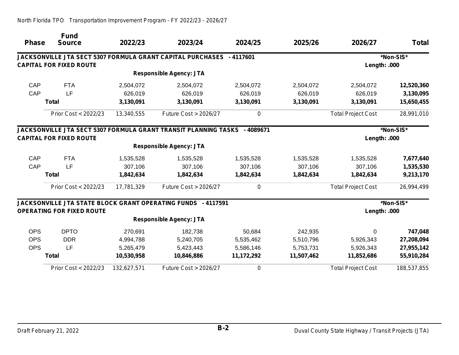| <b>Phase</b> | <b>Fund</b><br><b>Source</b>     | 2022/23     | 2023/24                                                                   | 2024/25    | 2025/26    | 2026/27                   | <b>Total</b> |
|--------------|----------------------------------|-------------|---------------------------------------------------------------------------|------------|------------|---------------------------|--------------|
|              |                                  |             | <b>JACKSONVILLE JTA SECT 5307 FORMULA GRANT CAPITAL PURCHASES</b>         | - 4117601  |            |                           | *Non-SIS*    |
|              | <b>CAPITAL FOR FIXED ROUTE</b>   |             |                                                                           |            |            | Length: .000              |              |
|              |                                  |             | <b>Responsible Agency: JTA</b>                                            |            |            |                           |              |
| CAP          | <b>FTA</b>                       | 2,504,072   | 2,504,072                                                                 | 2,504,072  | 2,504,072  | 2,504,072                 | 12,520,360   |
| CAP          | LF                               | 626,019     | 626,019                                                                   | 626,019    | 626,019    | 626,019                   | 3,130,095    |
|              | <b>Total</b>                     | 3,130,091   | 3,130,091                                                                 | 3,130,091  | 3,130,091  | 3,130,091                 | 15,650,455   |
|              | Prior Cost < 2022/23             | 13,340,555  | Future Cost > 2026/27                                                     | 0          |            | <b>Total Project Cost</b> | 28,991,010   |
|              |                                  |             | JACKSONVILLE JTA SECT 5307 FORMULA GRANT TRANSIT PLANNING TASKS - 4089671 |            |            |                           | *Non-SIS*    |
|              | <b>CAPITAL FOR FIXED ROUTE</b>   |             |                                                                           |            |            | Length: .000              |              |
|              |                                  |             | <b>Responsible Agency: JTA</b>                                            |            |            |                           |              |
| CAP          | <b>FTA</b>                       | 1,535,528   | 1,535,528                                                                 | 1,535,528  | 1,535,528  | 1,535,528                 | 7,677,640    |
| CAP          | LF                               | 307,106     | 307,106                                                                   | 307,106    | 307,106    | 307,106                   | 1,535,530    |
|              | <b>Total</b>                     | 1,842,634   | 1,842,634                                                                 | 1,842,634  | 1,842,634  | 1,842,634                 | 9,213,170    |
|              | Prior Cost < 2022/23             | 17,781,329  | <b>Future Cost &gt; 2026/27</b>                                           | 0          |            | <b>Total Project Cost</b> | 26,994,499   |
|              |                                  |             | JACKSONVILLE JTA STATE BLOCK GRANT OPERATING FUNDS - 4117591              |            |            |                           | *Non-SIS*    |
|              | <b>OPERATING FOR FIXED ROUTE</b> |             |                                                                           |            |            | Length: .000              |              |
|              |                                  |             | <b>Responsible Agency: JTA</b>                                            |            |            |                           |              |
| <b>OPS</b>   | <b>DPTO</b>                      | 270,691     | 182,738                                                                   | 50,684     | 242,935    | 0                         | 747,048      |
| <b>OPS</b>   | <b>DDR</b>                       | 4,994,788   | 5,240,705                                                                 | 5,535,462  | 5,510,796  | 5,926,343                 | 27,208,094   |
| <b>OPS</b>   | LF                               | 5,265,479   | 5,423,443                                                                 | 5,586,146  | 5,753,731  | 5,926,343                 | 27,955,142   |
|              | <b>Total</b>                     | 10,530,958  | 10,846,886                                                                | 11,172,292 | 11,507,462 | 11,852,686                | 55,910,284   |
|              | Prior Cost < 2022/23             | 132,627,571 | Future Cost > 2026/27                                                     | 0          |            | <b>Total Project Cost</b> | 188,537,855  |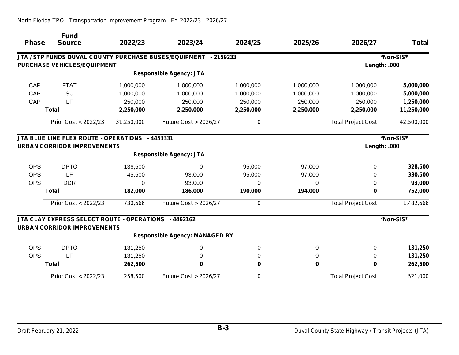| <b>Phase</b> | <b>Fund</b><br><b>Source</b>                          | 2022/23    | 2023/24                               | 2024/25   | 2025/26     | 2026/27                   | <b>Total</b> |
|--------------|-------------------------------------------------------|------------|---------------------------------------|-----------|-------------|---------------------------|--------------|
|              | JTA / STP FUNDS DUVAL COUNTY PURCHASE BUSES/EQUIPMENT |            | $-2159233$                            |           |             |                           | *Non-SIS*    |
|              | PURCHASE VEHICLES/EQUIPMENT                           |            |                                       |           |             | Length: .000              |              |
|              |                                                       |            | <b>Responsible Agency: JTA</b>        |           |             |                           |              |
| CAP          | <b>FTAT</b>                                           | 1,000,000  | 1,000,000                             | 1,000,000 | 1,000,000   | 1,000,000                 | 5,000,000    |
| CAP          | <b>SU</b>                                             | 1,000,000  | 1,000,000                             | 1,000,000 | 1,000,000   | 1,000,000                 | 5,000,000    |
| CAP          | LF                                                    | 250,000    | 250,000                               | 250,000   | 250,000     | 250,000                   | 1,250,000    |
|              | <b>Total</b>                                          | 2,250,000  | 2,250,000                             | 2,250,000 | 2,250,000   | 2,250,000                 | 11,250,000   |
|              | Prior Cost < 2022/23                                  | 31,250,000 | Future Cost > 2026/27                 | 0         |             | <b>Total Project Cost</b> | 42,500,000   |
|              | JTA BLUE LINE FLEX ROUTE - OPERATIONS - 4453331       |            |                                       |           |             |                           | *Non-SIS*    |
|              | <b>URBAN CORRIDOR IMPROVEMENTS</b>                    |            |                                       |           |             | Length: .000              |              |
|              |                                                       |            | <b>Responsible Agency: JTA</b>        |           |             |                           |              |
| <b>OPS</b>   | <b>DPTO</b>                                           | 136,500    | 0                                     | 95,000    | 97,000      | $\Omega$                  | 328,500      |
| <b>OPS</b>   | LF                                                    | 45,500     | 93,000                                | 95,000    | 97,000      | 0                         | 330,500      |
| <b>OPS</b>   | <b>DDR</b>                                            | 0          | 93,000                                | 0         | 0           | 0                         | 93,000       |
|              | <b>Total</b>                                          | 182,000    | 186,000                               | 190,000   | 194,000     | 0                         | 752,000      |
|              | Prior Cost < 2022/23                                  | 730,666    | Future Cost > 2026/27                 | 0         |             | <b>Total Project Cost</b> | 1,482,666    |
|              | JTA CLAY EXPRESS SELECT ROUTE - OPERATIONS - 4462162  |            |                                       |           |             |                           | *Non-SIS*    |
|              | <b>URBAN CORRIDOR IMPROVEMENTS</b>                    |            |                                       |           |             |                           |              |
|              |                                                       |            | <b>Responsible Agency: MANAGED BY</b> |           |             |                           |              |
| <b>OPS</b>   | <b>DPTO</b>                                           | 131,250    | 0                                     | 0         | 0           | $\Omega$                  | 131,250      |
| <b>OPS</b>   | LF                                                    | 131,250    | 0                                     | 0         | 0           | $\Omega$                  | 131,250      |
|              | <b>Total</b>                                          | 262,500    | 0                                     | 0         | $\mathbf 0$ | $\bf{0}$                  | 262,500      |
|              | Prior Cost < 2022/23                                  | 258,500    | Future Cost > 2026/27                 | 0         |             | <b>Total Project Cost</b> | 521,000      |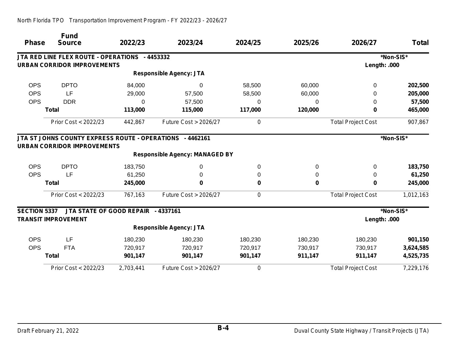| <b>Phase</b>        | <b>Fund</b><br><b>Source</b>                   | 2022/23   | 2023/24                               | 2024/25  | 2025/26 | 2026/27                   | <b>Total</b> |
|---------------------|------------------------------------------------|-----------|---------------------------------------|----------|---------|---------------------------|--------------|
|                     | JTA RED LINE FLEX ROUTE - OPERATIONS - 4453332 |           |                                       |          |         |                           | *Non-SIS*    |
|                     | <b>URBAN CORRIDOR IMPROVEMENTS</b>             |           |                                       |          |         | Length: .000              |              |
|                     |                                                |           | <b>Responsible Agency: JTA</b>        |          |         |                           |              |
| <b>OPS</b>          | <b>DPTO</b>                                    | 84,000    | 0                                     | 58,500   | 60,000  | 0                         | 202,500      |
| <b>OPS</b>          | LF                                             | 29,000    | 57,500                                | 58,500   | 60,000  | 0                         | 205,000      |
| <b>OPS</b>          | <b>DDR</b>                                     | $\Omega$  | 57,500                                | $\Omega$ | 0       | 0                         | 57,500       |
|                     | <b>Total</b>                                   | 113,000   | 115,000                               | 117,000  | 120,000 | 0                         | 465,000      |
|                     | Prior Cost < 2022/23                           | 442,867   | Future Cost > 2026/27                 | 0        |         | <b>Total Project Cost</b> | 907,867      |
|                     | <b>URBAN CORRIDOR IMPROVEMENTS</b>             |           | <b>Responsible Agency: MANAGED BY</b> |          |         |                           | *Non-SIS*    |
| <b>OPS</b>          | <b>DPTO</b>                                    | 183,750   | 0                                     | 0        | 0       | $\Omega$                  | 183,750      |
| <b>OPS</b>          | LF                                             | 61,250    | 0                                     | 0        | 0       | 0                         | 61,250       |
|                     | <b>Total</b>                                   | 245,000   | 0                                     | 0        | 0       | 0                         | 245,000      |
|                     | Prior Cost < 2022/23                           | 767,163   | Future Cost > 2026/27                 | 0        |         | <b>Total Project Cost</b> | 1,012,163    |
| <b>SECTION 5337</b> | JTA STATE OF GOOD REPAIR - 4337161             |           |                                       |          |         |                           | *Non-SIS*    |
|                     | <b>TRANSIT IMPROVEMENT</b>                     |           |                                       |          |         | Length: .000              |              |
|                     |                                                |           | <b>Responsible Agency: JTA</b>        |          |         |                           |              |
| <b>OPS</b>          | LF                                             | 180,230   | 180,230                               | 180,230  | 180,230 | 180,230                   | 901,150      |
| <b>OPS</b>          | <b>FTA</b>                                     | 720,917   | 720,917                               | 720,917  | 730,917 | 730,917                   | 3,624,585    |
|                     | <b>Total</b>                                   | 901,147   | 901,147                               | 901,147  | 911,147 | 911,147                   | 4,525,735    |
|                     | Prior Cost < 2022/23                           | 2,703,441 | Future Cost > 2026/27                 | 0        |         | <b>Total Project Cost</b> | 7,229,176    |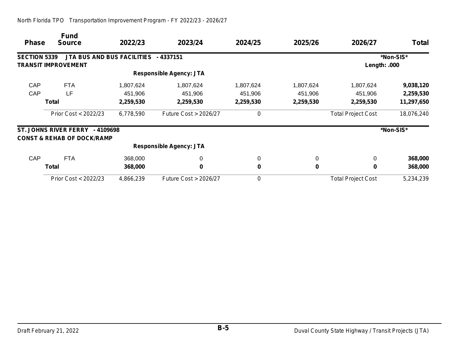| <b>Phase</b>        | <b>Fund</b><br><b>Source</b>                                                      | 2022/23   | 2023/24                         | 2024/25   | 2025/26     | 2026/27                   | Total      |
|---------------------|-----------------------------------------------------------------------------------|-----------|---------------------------------|-----------|-------------|---------------------------|------------|
| <b>SECTION 5339</b> | JTA BUS AND BUS FACILITIES                                                        |           | - 4337151                       |           |             |                           | *Non-SIS*  |
|                     | <b>TRANSIT IMPROVEMENT</b>                                                        |           |                                 |           |             | Length: .000              |            |
|                     |                                                                                   |           | <b>Responsible Agency: JTA</b>  |           |             |                           |            |
| CAP                 | <b>FTA</b>                                                                        | 1,807,624 | 1,807,624                       | 1,807,624 | 1,807,624   | 1,807,624                 | 9,038,120  |
| CAP                 | LF                                                                                | 451,906   | 451,906                         | 451,906   | 451,906     | 451,906                   | 2,259,530  |
|                     | <b>Total</b>                                                                      | 2,259,530 | 2,259,530                       | 2,259,530 | 2,259,530   | 2,259,530                 | 11,297,650 |
|                     | Prior Cost < 2022/23                                                              | 6,778,590 | <b>Future Cost &gt; 2026/27</b> | 0         |             | <b>Total Project Cost</b> | 18,076,240 |
|                     | <b>ST. JOHNS RIVER FERRY</b><br>-4109698<br><b>CONST &amp; REHAB OF DOCK/RAMP</b> |           |                                 |           |             |                           | *Non-SIS*  |
|                     |                                                                                   |           | <b>Responsible Agency: JTA</b>  |           |             |                           |            |
| CAP                 | <b>FTA</b>                                                                        | 368,000   | 0                               | 0         | $\mathbf 0$ | 0                         | 368,000    |
|                     | <b>Total</b>                                                                      | 368,000   | $\bf{0}$                        | 0         | $\mathbf 0$ | 0                         | 368,000    |
|                     | Prior Cost < 2022/23                                                              | 4,866,239 | <b>Future Cost &gt; 2026/27</b> | $\theta$  |             | <b>Total Project Cost</b> | 5,234,239  |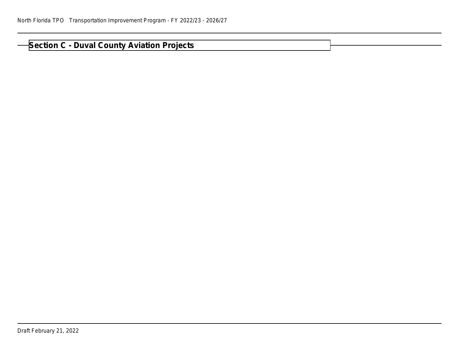## **Section C - Duval County Aviation Projects**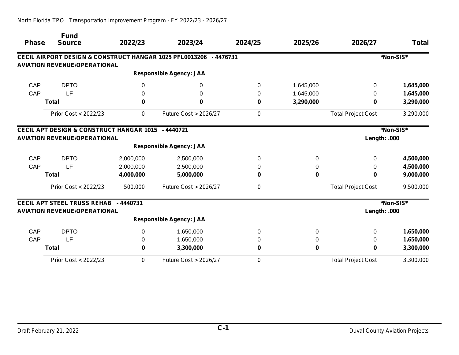### **Phase Fund Source 2022/23 2023/24 2024/25 2025/26 2026/27 Total CECIL AIRPORT DESIGN & CONSTRUCT HANGAR 1025 PFL0013206 - 4476731 \*Non-SIS\* AVIATION REVENUE/OPERATIONAL Responsible Agency: JAA** CAP DPTO 0 0 0 1,645,000 0 **1,645,000** CAP LF 0 0 0 1,645,000 0 **1,645,000 Total 0 0 0 3,290,000 0 3,290,000** *Prior Cost < 2022/23 0 Future Cost > 2026/27 0 Total Project Cost 3,290,000* **CECIL APT DESIGN & CONSTRUCT HANGAR 1015 - 4440721 \*Non-SIS\* AVIATION REVENUE/OPERATIONAL Length: .000 Responsible Agency: JAA** CAP DPTO 2,000,000 2,500,000 0 0 0 **4,500,000** CAP LF 2,000,000 2,500,000 0 0 0 **4,500,000 Total 4,000,000 5,000,000 0 0 0 9,000,000** *Prior Cost < 2022/23 500,000 Future Cost > 2026/27 0 Total Project Cost 9,500,000* **CECIL APT STEEL TRUSS REHAB - 4440731 \*Non-SIS\* AVIATION REVENUE/OPERATIONAL Length: .000 Responsible Agency: JAA** CAP DPTO 0 1,650,000 0 0 0 **1,650,000** CAP LF 0 1,650,000 0 0 0 **1,650,000 Total 0 3,300,000 0 0 0 3,300,000** *Prior Cost < 2022/23 0 Future Cost > 2026/27 0 Total Project Cost 3,300,000*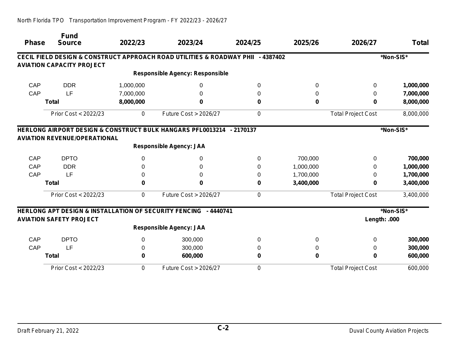|              | <b>Fund</b>                         |           |                                                                                 |         |           |                           |              |
|--------------|-------------------------------------|-----------|---------------------------------------------------------------------------------|---------|-----------|---------------------------|--------------|
| <b>Phase</b> | <b>Source</b>                       | 2022/23   | 2023/24                                                                         | 2024/25 | 2025/26   | 2026/27                   | <b>Total</b> |
|              |                                     |           | CECIL FIELD DESIGN & CONSTRUCT APPROACH ROAD UTILITIES & ROADWAY PHII - 4387402 |         |           |                           | *Non-SIS*    |
|              | <b>AVIATION CAPACITY PROJECT</b>    |           |                                                                                 |         |           |                           |              |
|              |                                     |           | <b>Responsible Agency: Responsible</b>                                          |         |           |                           |              |
| CAP          | <b>DDR</b>                          | 1,000,000 | 0                                                                               | 0       | 0         | 0                         | 1,000,000    |
| CAP          | LF                                  | 7,000,000 | 0                                                                               |         | 0         | 0                         | 7,000,000    |
|              | <b>Total</b>                        | 8,000,000 | 0                                                                               | 0       | 0         | 0                         | 8,000,000    |
|              | Prior Cost < 2022/23                | 0         | Future Cost > 2026/27                                                           | 0       |           | <b>Total Project Cost</b> | 8,000,000    |
|              | <b>AVIATION REVENUE/OPERATIONAL</b> |           | HERLONG AIRPORT DESIGN & CONSTRUCT BULK HANGARS PFL0013214 - 2170137            |         |           |                           | *Non-SIS*    |
|              |                                     |           | <b>Responsible Agency: JAA</b>                                                  |         |           |                           |              |
| CAP          | <b>DPTO</b>                         | $\Omega$  | 0                                                                               | 0       | 700,000   | 0                         | 700,000      |
| CAP          | <b>DDR</b>                          | 0         | $\Omega$                                                                        | 0       | 1,000,000 | 0                         | 1,000,000    |
| CAP          | LF                                  | 0         | $\Omega$                                                                        | 0       | 1,700,000 | 0                         | 1,700,000    |
|              | <b>Total</b>                        | 0         | 0                                                                               | 0       | 3,400,000 | 0                         | 3,400,000    |
|              | Prior Cost < 2022/23                | 0         | Future Cost > 2026/27                                                           | 0       |           | <b>Total Project Cost</b> | 3,400,000    |
|              |                                     |           | HERLONG APT DESIGN & INSTALLATION OF SECURITY FENCING - 4440741                 |         |           |                           | *Non-SIS*    |
|              | <b>AVIATION SAFETY PROJECT</b>      |           |                                                                                 |         |           | Length: .000              |              |
|              |                                     |           | <b>Responsible Agency: JAA</b>                                                  |         |           |                           |              |
| CAP          | <b>DPTO</b>                         | $\Omega$  | 300,000                                                                         | 0       | 0         | 0                         | 300,000      |
| CAP          | LF                                  | 0         | 300,000                                                                         |         | 0         | 0                         | 300,000      |
|              | <b>Total</b>                        | 0         | 600,000                                                                         | 0       | 0         | 0                         | 600,000      |
|              | Prior Cost < 2022/23                | 0         | Future Cost > 2026/27                                                           | 0       |           | <b>Total Project Cost</b> | 600,000      |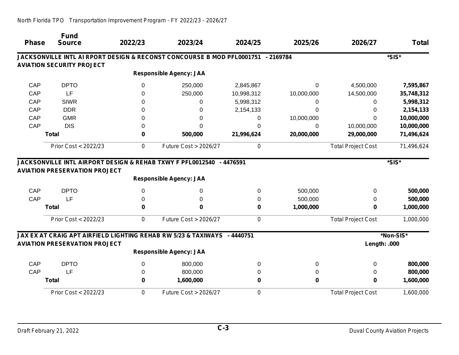| <b>Phase</b> | <b>Fund</b><br><b>Source</b>         | 2022/23     | 2023/24                                                                                                | 2024/25    | 2025/26    | 2026/27                   | <b>Total</b> |
|--------------|--------------------------------------|-------------|--------------------------------------------------------------------------------------------------------|------------|------------|---------------------------|--------------|
|              |                                      |             | JACKSONVILLE INTL AI RPORT DESIGN & RECONST CONCOURSE B MOD PFL0001751 - 2169784                       |            |            |                           | *SIS*        |
|              | <b>AVIATION SECURITY PROJECT</b>     |             |                                                                                                        |            |            |                           |              |
|              |                                      |             | <b>Responsible Agency: JAA</b>                                                                         |            |            |                           |              |
| CAP          | <b>DPTO</b>                          | 0           | 250,000                                                                                                | 2,845,867  | 0          | 4,500,000                 | 7,595,867    |
| CAP          | LF                                   | $\Omega$    | 250,000                                                                                                | 10,998,312 | 10,000,000 | 14,500,000                | 35,748,312   |
| CAP          | <b>SIWR</b>                          | 0           | 0                                                                                                      | 5,998,312  | 0          | 0                         | 5,998,312    |
| CAP          | <b>DDR</b>                           | 0           | 0                                                                                                      | 2,154,133  | 0          | 0                         | 2,154,133    |
| CAP          | <b>GMR</b>                           | 0           | 0                                                                                                      | 0          | 10,000,000 | $\Omega$                  | 10,000,000   |
| CAP          | <b>DIS</b>                           | 0           | $\Omega$                                                                                               | $\Omega$   | $\Omega$   | 10,000,000                | 10,000,000   |
|              | <b>Total</b>                         | 0           | 500,000                                                                                                | 21,996,624 | 20,000,000 | 29,000,000                | 71,496,624   |
|              | Prior Cost < 2022/23                 | 0           | <b>Future Cost &gt; 2026/27</b>                                                                        | 0          |            | <b>Total Project Cost</b> | 71,496,624   |
|              | <b>AVIATION PRESERVATION PROJECT</b> |             | JACKSONVILLE INTL AIRPORT DESIGN & REHAB TXWY F PFL0012540 - 4476591<br><b>Responsible Agency: JAA</b> |            |            |                           | *SIS*        |
| CAP          | <b>DPTO</b>                          | $\Omega$    | 0                                                                                                      | $\Omega$   | 500,000    | $\Omega$                  | 500,000      |
| CAP          | LF                                   | 0           | 0                                                                                                      | 0          | 500,000    | 0                         | 500,000      |
|              | <b>Total</b>                         | 0           | $\mathbf 0$                                                                                            | 0          | 1,000,000  | 0                         | 1,000,000    |
|              | Prior Cost < 2022/23                 | 0           | <b>Future Cost &gt; 2026/27</b>                                                                        | 0          |            | <b>Total Project Cost</b> | 1,000,000    |
|              |                                      |             | JAX EX AT CRAIG APT AIRFIELD LIGHTING REHAB RW 5/23 & TAXIWAYS - 4440751                               |            |            |                           | *Non-SIS*    |
|              | <b>AVIATION PRESERVATION PROJECT</b> |             |                                                                                                        |            |            | Length: .000              |              |
|              |                                      |             | <b>Responsible Agency: JAA</b>                                                                         |            |            |                           |              |
| CAP          | <b>DPTO</b>                          | $\mathbf 0$ | 800,000                                                                                                | 0          | 0          | $\Omega$                  | 800,000      |
| CAP          | LF                                   | 0           | 800,000                                                                                                | 0          | 0          | 0                         | 800,000      |
|              | <b>Total</b>                         | $\bf{0}$    | 1,600,000                                                                                              | 0          | 0          | 0                         | 1,600,000    |
|              | Prior Cost < 2022/23                 | $\Omega$    | Future Cost > 2026/27                                                                                  | 0          |            | <b>Total Project Cost</b> | 1,600,000    |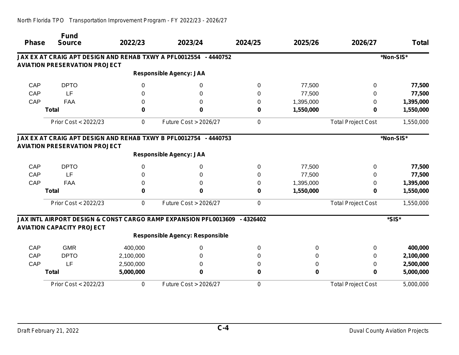| <b>Phase</b> | <b>Fund</b><br><b>Source</b>                                                                   | 2022/23   | 2023/24                                                         | 2024/25    | 2025/26   | 2026/27                   | <b>Total</b> |
|--------------|------------------------------------------------------------------------------------------------|-----------|-----------------------------------------------------------------|------------|-----------|---------------------------|--------------|
|              | JAX EX AT CRAIG APT DESIGN AND REHAB TXWY A PFL0012554<br><b>AVIATION PRESERVATION PROJECT</b> |           | $-4440752$                                                      |            |           |                           | *Non-SIS*    |
|              |                                                                                                |           | <b>Responsible Agency: JAA</b>                                  |            |           |                           |              |
|              |                                                                                                |           |                                                                 |            |           |                           |              |
| CAP          | <b>DPTO</b>                                                                                    | $\Omega$  | 0                                                               | 0          | 77,500    | 0                         | 77,500       |
| CAP          | LF                                                                                             | 0         | 0                                                               | 0          | 77,500    | 0                         | 77,500       |
| CAP          | FAA                                                                                            | 0         | 0                                                               | 0          | 1,395,000 | 0                         | 1,395,000    |
|              | <b>Total</b>                                                                                   | 0         | 0                                                               | 0          | 1,550,000 | 0                         | 1,550,000    |
|              | Prior Cost < 2022/23                                                                           | 0         | Future Cost > 2026/27                                           | 0          |           | <b>Total Project Cost</b> | 1,550,000    |
|              | JAX EX AT CRAIG APT DESIGN AND REHAB TXWY B PFL0012754                                         |           | $-4440753$                                                      |            |           |                           | *Non-SIS*    |
|              | <b>AVIATION PRESERVATION PROJECT</b>                                                           |           |                                                                 |            |           |                           |              |
|              |                                                                                                |           | <b>Responsible Agency: JAA</b>                                  |            |           |                           |              |
| CAP          | <b>DPTO</b>                                                                                    | $\Omega$  | 0                                                               | 0          | 77,500    | 0                         | 77,500       |
| CAP          | LF                                                                                             | 0         | 0                                                               | 0          | 77,500    | $\Omega$                  | 77,500       |
| CAP          | <b>FAA</b>                                                                                     | $\Omega$  | 0                                                               | 0          | 1,395,000 | 0                         | 1,395,000    |
|              | <b>Total</b>                                                                                   | 0         | $\bf{0}$                                                        | 0          | 1,550,000 | 0                         | 1,550,000    |
|              | Prior Cost < 2022/23                                                                           | 0         | Future Cost > 2026/27                                           | 0          |           | <b>Total Project Cost</b> | 1,550,000    |
|              | <b>AVIATION CAPACITY PROJECT</b>                                                               |           | JAX INTL AIRPORT DESIGN & CONST CARGO RAMP EXPANSION PFL0013609 | $-4326402$ |           |                           | *SIS*        |
|              |                                                                                                |           | <b>Responsible Agency: Responsible</b>                          |            |           |                           |              |
| CAP          | <b>GMR</b>                                                                                     | 400,000   | 0                                                               | 0          | 0         | 0                         | 400,000      |
| CAP          | <b>DPTO</b>                                                                                    | 2,100,000 | 0                                                               | 0          | 0         | $\Omega$                  | 2,100,000    |
| CAP          | LF                                                                                             | 2,500,000 | 0                                                               |            | 0         | 0                         | 2,500,000    |
|              | <b>Total</b>                                                                                   | 5,000,000 | 0                                                               | 0          | 0         | 0                         | 5,000,000    |
|              | Prior Cost < 2022/23                                                                           | 0         | Future Cost > 2026/27                                           | 0          |           | <b>Total Project Cost</b> | 5,000,000    |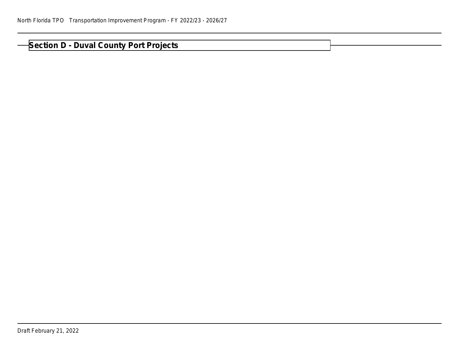## **Section D - Duval County Port Projects**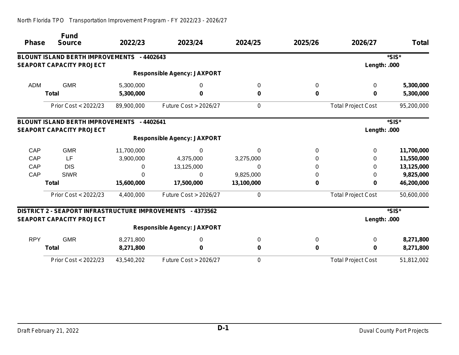|              | <b>Fund</b>                                                |            |                                    |            |         |                           |              |
|--------------|------------------------------------------------------------|------------|------------------------------------|------------|---------|---------------------------|--------------|
| <b>Phase</b> | <b>Source</b>                                              | 2022/23    | 2023/24                            | 2024/25    | 2025/26 | 2026/27                   | <b>Total</b> |
|              | <b>BLOUNT ISLAND BERTH IMPROVEMENTS - 4402643</b>          |            |                                    |            |         |                           | *SIS*        |
|              | <b>SEAPORT CAPACITY PROJECT</b>                            |            |                                    |            |         | Length: .000              |              |
|              |                                                            |            | <b>Responsible Agency: JAXPORT</b> |            |         |                           |              |
| <b>ADM</b>   | <b>GMR</b>                                                 | 5,300,000  | 0                                  | 0          | 0       | 0                         | 5,300,000    |
|              | <b>Total</b>                                               | 5,300,000  | 0                                  | 0          | 0       | 0                         | 5,300,000    |
|              | Prior Cost < 2022/23                                       | 89,900,000 | <b>Future Cost &gt; 2026/27</b>    | 0          |         | <b>Total Project Cost</b> | 95,200,000   |
|              | <b>BLOUNT ISLAND BERTH IMPROVEMENTS - 4402641</b>          |            |                                    |            |         |                           | *SIS*        |
|              | <b>SEAPORT CAPACITY PROJECT</b>                            |            |                                    |            |         | Length: .000              |              |
|              |                                                            |            | <b>Responsible Agency: JAXPORT</b> |            |         |                           |              |
| CAP          | <b>GMR</b>                                                 | 11,700,000 | 0                                  | 0          | 0       | 0                         | 11,700,000   |
| CAP          | LF                                                         | 3,900,000  | 4,375,000                          | 3,275,000  | 0       | 0                         | 11,550,000   |
| CAP          | <b>DIS</b>                                                 | 0          | 13,125,000                         | $\Omega$   | 0       | 0                         | 13,125,000   |
| CAP          | <b>SIWR</b>                                                | 0          | $\mathbf 0$                        | 9,825,000  | 0       | 0                         | 9,825,000    |
|              | <b>Total</b>                                               | 15,600,000 | 17,500,000                         | 13,100,000 | 0       | 0                         | 46,200,000   |
|              | Prior Cost < 2022/23                                       | 4,400,000  | Future Cost > 2026/27              | 0          |         | <b>Total Project Cost</b> | 50,600,000   |
|              | DISTRICT 2 - SEAPORT INFRASTRUCTURE IMPROVEMENTS - 4373562 |            |                                    |            |         |                           | *SIS*        |
|              | <b>SEAPORT CAPACITY PROJECT</b>                            |            |                                    |            |         | Length: .000              |              |
|              |                                                            |            | <b>Responsible Agency: JAXPORT</b> |            |         |                           |              |
| <b>RPY</b>   | <b>GMR</b>                                                 | 8,271,800  | 0                                  | 0          | 0       | 0                         | 8,271,800    |
|              | <b>Total</b>                                               | 8,271,800  | 0                                  | 0          | 0       | 0                         | 8,271,800    |
|              | Prior Cost < 2022/23                                       | 43,540,202 | Future Cost > 2026/27              | 0          |         | <b>Total Project Cost</b> | 51,812,002   |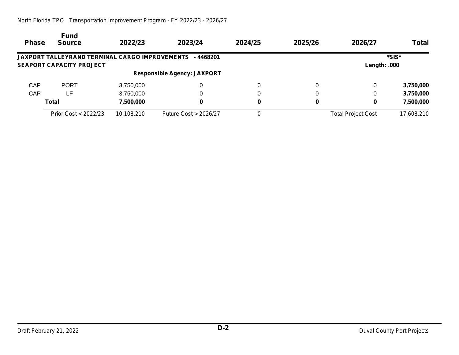| <b>Phase</b> | <b>Fund</b><br><b>Source</b>                   | 2022/23    | 2023/24                            | 2024/25  | 2025/26 | 2026/27                   | <b>Total</b> |
|--------------|------------------------------------------------|------------|------------------------------------|----------|---------|---------------------------|--------------|
|              | JAXPORT TALLEYRAND TERMINAL CARGO IMPROVEMENTS |            | - 4468201                          |          |         |                           | *SIS*        |
|              | <b>SEAPORT CAPACITY PROJECT</b>                |            |                                    |          |         | Length: .000              |              |
|              |                                                |            | <b>Responsible Agency: JAXPORT</b> |          |         |                           |              |
| <b>CAP</b>   | <b>PORT</b>                                    | 3,750,000  | 0                                  | $\Omega$ | 0       | 0                         | 3,750,000    |
| <b>CAP</b>   | LF                                             | 3,750,000  | 0                                  | 0        | 0       | 0                         | 3,750,000    |
|              | <b>Total</b>                                   | 7,500,000  | 0                                  | 0        | 0       | 0                         | 7,500,000    |
|              | Prior Cost < $2022/23$                         | 10.108.210 | Future $Cost > 2026/27$            | 0        |         | <b>Total Project Cost</b> | 17,608,210   |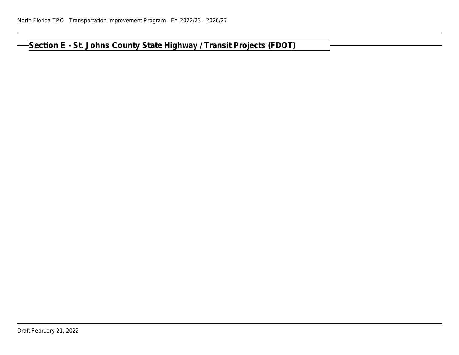## **Section E - St. Johns County State Highway / Transit Projects (FDOT)**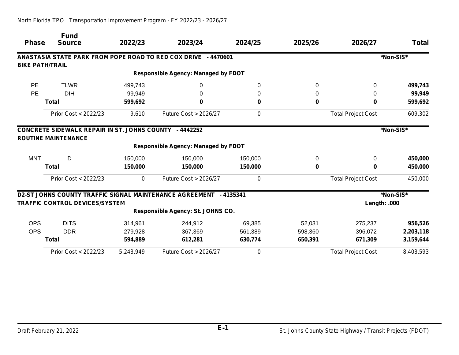|                        | <b>Fund</b>                                                                                 |           |                                                                   |         |         |                           |              |
|------------------------|---------------------------------------------------------------------------------------------|-----------|-------------------------------------------------------------------|---------|---------|---------------------------|--------------|
| <b>Phase</b>           | <b>Source</b>                                                                               | 2022/23   | 2023/24                                                           | 2024/25 | 2025/26 | 2026/27                   | <b>Total</b> |
|                        |                                                                                             |           | ANASTASIA STATE PARK FROM POPE ROAD TO RED COX DRIVE - 4470601    |         |         |                           | *Non-SIS*    |
| <b>BIKE PATH/TRAIL</b> |                                                                                             |           |                                                                   |         |         |                           |              |
|                        |                                                                                             |           | <b>Responsible Agency: Managed by FDOT</b>                        |         |         |                           |              |
| <b>PE</b>              | <b>TLWR</b>                                                                                 | 499,743   | 0                                                                 | 0       | 0       | $\Omega$                  | 499,743      |
| <b>PE</b>              | <b>DIH</b>                                                                                  | 99,949    | 0                                                                 | 0       | 0       | $\Omega$                  | 99,949       |
|                        | <b>Total</b>                                                                                | 599,692   | 0                                                                 | 0       | 0       | $\bf{0}$                  | 599,692      |
|                        | Prior Cost < 2022/23                                                                        | 9,610     | <b>Future Cost &gt; 2026/27</b>                                   | 0       |         | <b>Total Project Cost</b> | 609,302      |
|                        | <b>CONCRETE SIDEWALK REPAIR IN ST. JOHNS COUNTY - 4442252</b><br><b>ROUTINE MAINTENANCE</b> |           |                                                                   |         |         |                           | *Non-SIS*    |
|                        |                                                                                             |           | <b>Responsible Agency: Managed by FDOT</b>                        |         |         |                           |              |
| <b>MNT</b>             | D                                                                                           | 150,000   | 150,000                                                           | 150,000 | 0       | $\Omega$                  | 450,000      |
|                        | <b>Total</b>                                                                                | 150,000   | 150,000                                                           | 150,000 | 0       | 0                         | 450,000      |
|                        | Prior Cost < 2022/23                                                                        | 0         | Future Cost > 2026/27                                             | 0       |         | <b>Total Project Cost</b> | 450,000      |
|                        |                                                                                             |           | D2-ST JOHNS COUNTY TRAFFIC SIGNAL MAINTENANCE AGREEMENT - 4135341 |         |         |                           | *Non-SIS*    |
|                        | <b>TRAFFIC CONTROL DEVICES/SYSTEM</b>                                                       |           |                                                                   |         |         | Length: .000              |              |
|                        |                                                                                             |           | Responsible Agency: St. JOHNS CO.                                 |         |         |                           |              |
| <b>OPS</b>             | <b>DITS</b>                                                                                 | 314,961   | 244,912                                                           | 69,385  | 52,031  | 275,237                   | 956,526      |
| <b>OPS</b>             | <b>DDR</b>                                                                                  | 279,928   | 367,369                                                           | 561,389 | 598,360 | 396,072                   | 2,203,118    |
|                        | <b>Total</b>                                                                                | 594,889   | 612,281                                                           | 630,774 | 650,391 | 671,309                   | 3,159,644    |
|                        | Prior Cost < 2022/23                                                                        | 5,243,949 | <b>Future Cost &gt; 2026/27</b>                                   | 0       |         | <b>Total Project Cost</b> | 8,403,593    |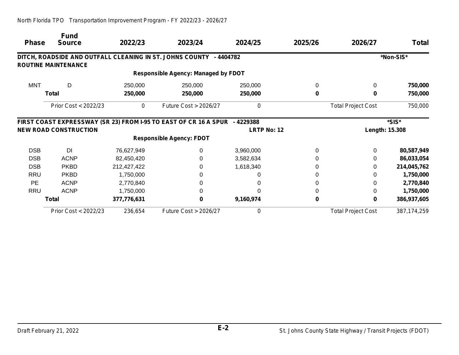| <b>Phase</b> | <b>Fund</b><br><b>Source</b> | 2022/23     | 2023/24                                                            | 2024/25            | 2025/26      | 2026/27                   | <b>Total</b>  |
|--------------|------------------------------|-------------|--------------------------------------------------------------------|--------------------|--------------|---------------------------|---------------|
|              |                              |             | DITCH, ROADSIDE AND OUTFALL CLEANING IN ST. JOHNS COUNTY - 4404782 |                    |              |                           | *Non-SIS*     |
|              | <b>ROUTINE MAINTENANCE</b>   |             |                                                                    |                    |              |                           |               |
|              |                              |             | <b>Responsible Agency: Managed by FDOT</b>                         |                    |              |                           |               |
| <b>MNT</b>   | D                            | 250,000     | 250,000                                                            | 250,000            | 0            | $\Omega$                  | 750,000       |
|              | Total                        | 250,000     | 250,000                                                            | 250,000            | $\bf{0}$     | ŋ                         | 750,000       |
|              | Prior Cost < 2022/23         | 0           | Future Cost > 2026/27                                              | 0                  |              | <b>Total Project Cost</b> | 750,000       |
|              |                              |             | FIRST COAST EXPRESSWAY (SR 23) FROM I-95 TO EAST OF CR 16 A SPUR   | - 4229388          |              |                           | *SIS*         |
|              | <b>NEW ROAD CONSTRUCTION</b> |             |                                                                    | <b>LRTP No: 12</b> |              | Length: 15.308            |               |
|              |                              |             | <b>Responsible Agency: FDOT</b>                                    |                    |              |                           |               |
| <b>DSB</b>   | DI                           | 76,627,949  | 0                                                                  | 3,960,000          | $\mathbf{0}$ | $\Omega$                  | 80,587,949    |
| <b>DSB</b>   | <b>ACNP</b>                  | 82,450,420  | 0                                                                  | 3,582,634          | 0            | $\Omega$                  | 86,033,054    |
| <b>DSB</b>   | <b>PKBD</b>                  | 212,427,422 | 0                                                                  | 1,618,340          | 0            | $\Omega$                  | 214,045,762   |
| <b>RRU</b>   | <b>PKBD</b>                  | 1,750,000   | 0                                                                  |                    | 0            | 0                         | 1,750,000     |
| <b>PE</b>    | <b>ACNP</b>                  | 2,770,840   | 0                                                                  |                    | 0            | 0                         | 2,770,840     |
| <b>RRU</b>   | <b>ACNP</b>                  | 1,750,000   | 0                                                                  |                    | 0            | $\Omega$                  | 1,750,000     |
|              | <b>Total</b>                 | 377,776,631 | 0                                                                  | 9,160,974          | 0            | 0                         | 386,937,605   |
|              | Prior Cost < 2022/23         | 236,654     | Future Cost > 2026/27                                              | 0                  |              | <b>Total Project Cost</b> | 387, 174, 259 |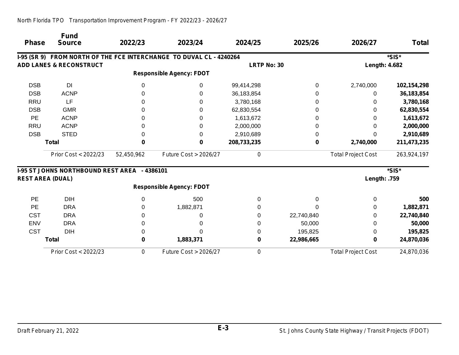| <b>Phase</b> | <b>Fund</b><br><b>Source</b>                 | 2022/23    | 2023/24                                                             | 2024/25            | 2025/26    | 2026/27                   | <b>Total</b> |
|--------------|----------------------------------------------|------------|---------------------------------------------------------------------|--------------------|------------|---------------------------|--------------|
|              |                                              |            | I-95 (SR 9) FROM NORTH OF THE FCE INTERCHANGE TO DUVAL CL - 4240264 |                    |            |                           | *SIS*        |
|              | <b>ADD LANES &amp; RECONSTRUCT</b>           |            |                                                                     | <b>LRTP No: 30</b> |            | <b>Length: 4.682</b>      |              |
|              |                                              |            | <b>Responsible Agency: FDOT</b>                                     |                    |            |                           |              |
| <b>DSB</b>   | DI                                           | 0          | 0                                                                   | 99,414,298         | 0          | 2,740,000                 | 102,154,298  |
| <b>DSB</b>   | <b>ACNP</b>                                  |            | 0                                                                   | 36,183,854         | 0          | 0                         | 36, 183, 854 |
| <b>RRU</b>   | LF                                           |            | 0                                                                   | 3,780,168          | 0          | 0                         | 3,780,168    |
| <b>DSB</b>   | <b>GMR</b>                                   | 0          | 0                                                                   | 62,830,554         | 0          | 0                         | 62,830,554   |
| PE           | <b>ACNP</b>                                  |            | 0                                                                   | 1,613,672          | 0          | 0                         | 1,613,672    |
| <b>RRU</b>   | <b>ACNP</b>                                  |            | 0                                                                   | 2,000,000          | 0          | 0                         | 2,000,000    |
| <b>DSB</b>   | <b>STED</b>                                  | 0          | $\Omega$                                                            | 2,910,689          | 0          | 0                         | 2,910,689    |
|              | <b>Total</b>                                 | 0          | $\bf{0}$                                                            | 208,733,235        | 0          | 2,740,000                 | 211,473,235  |
|              | Prior Cost < 2022/23                         | 52,450,962 | <b>Future Cost &gt; 2026/27</b>                                     | 0                  |            | <b>Total Project Cost</b> | 263,924,197  |
|              | I-95 ST JOHNS NORTHBOUND REST AREA - 4386101 |            |                                                                     |                    |            |                           | *SIS*        |
|              | <b>REST AREA (DUAL)</b>                      |            |                                                                     |                    |            | Length: .759              |              |
|              |                                              |            | <b>Responsible Agency: FDOT</b>                                     |                    |            |                           |              |
| PE           | <b>DIH</b>                                   | 0          | 500                                                                 | 0                  | 0          | 0                         | 500          |
| PE           | <b>DRA</b>                                   |            | 1,882,871                                                           | 0                  | 0          | 0                         | 1,882,871    |
| <b>CST</b>   | <b>DRA</b>                                   | 0          | 0                                                                   | 0                  | 22,740,840 | 0                         | 22,740,840   |
| <b>ENV</b>   | <b>DRA</b>                                   | 0          | 0                                                                   | 0                  | 50,000     | 0                         | 50,000       |
| <b>CST</b>   | <b>DIH</b>                                   | 0          | 0                                                                   | 0                  | 195,825    | 0                         | 195,825      |
|              | <b>Total</b>                                 | 0          | 1,883,371                                                           | 0                  | 22,986,665 | 0                         | 24,870,036   |
|              | Prior Cost < 2022/23                         | 0          | Future Cost > 2026/27                                               | 0                  |            | <b>Total Project Cost</b> | 24,870,036   |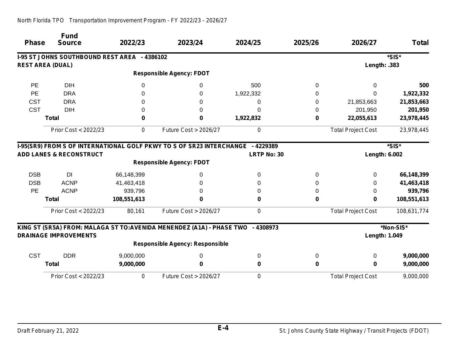| <b>Phase</b> | <b>Fund</b><br><b>Source</b>                 | 2022/23     | 2023/24                                                                        | 2024/25            | 2025/26 | 2026/27                   | <b>Total</b> |
|--------------|----------------------------------------------|-------------|--------------------------------------------------------------------------------|--------------------|---------|---------------------------|--------------|
|              | I-95 ST JOHNS SOUTHBOUND REST AREA - 4386102 |             |                                                                                |                    |         |                           | *SIS*        |
|              | <b>REST AREA (DUAL)</b>                      |             |                                                                                |                    |         | Length: .383              |              |
|              |                                              |             | <b>Responsible Agency: FDOT</b>                                                |                    |         |                           |              |
| <b>PE</b>    | <b>DIH</b>                                   | 0           | 0                                                                              | 500                | 0       | 0                         | 500          |
| <b>PE</b>    | <b>DRA</b>                                   | 0           | 0                                                                              | 1,922,332          | 0       | ∩                         | 1,922,332    |
| <b>CST</b>   | <b>DRA</b>                                   |             | 0                                                                              | 0                  | 0       | 21,853,663                | 21,853,663   |
| <b>CST</b>   | <b>DIH</b>                                   |             | 0                                                                              | O                  | 0       | 201,950                   | 201,950      |
|              | <b>Total</b>                                 | 0           | 0                                                                              | 1,922,832          | 0       | 22,055,613                | 23,978,445   |
|              | Prior Cost < 2022/23                         | 0           | Future Cost > 2026/27                                                          | 0                  |         | <b>Total Project Cost</b> | 23,978,445   |
|              |                                              |             | I-95(SR9) FROM S OF INTERNATIONAL GOLF PKWY TO S OF SR23 INTERCHANGE - 4229389 |                    |         |                           | *SIS*        |
|              | <b>ADD LANES &amp; RECONSTRUCT</b>           |             |                                                                                | <b>LRTP No: 30</b> |         | <b>Length: 6.002</b>      |              |
|              |                                              |             | <b>Responsible Agency: FDOT</b>                                                |                    |         |                           |              |
| <b>DSB</b>   | DI                                           | 66,148,399  | 0                                                                              | $\Omega$           | 0       | 0                         | 66,148,399   |
| <b>DSB</b>   | <b>ACNP</b>                                  | 41,463,418  | 0                                                                              | 0                  | 0       | 0                         | 41,463,418   |
| <b>PE</b>    | <b>ACNP</b>                                  | 939,796     | 0                                                                              | 0                  | 0       | 0                         | 939,796      |
|              | <b>Total</b>                                 | 108,551,613 | 0                                                                              | 0                  | 0       | 0                         | 108,551,613  |
|              | Prior Cost < 2022/23                         | 80,161      | Future Cost > 2026/27                                                          | 0                  |         | <b>Total Project Cost</b> | 108,631,774  |
|              |                                              |             | KING ST (SR5A) FROM: MALAGA ST TO:AVENIDA MENENDEZ (A1A) - PHASE TWO - 4308973 |                    |         |                           | *Non-SIS*    |
|              | <b>DRAINAGE IMPROVEMENTS</b>                 |             |                                                                                |                    |         | Length: 1.049             |              |
|              |                                              |             | <b>Responsible Agency: Responsible</b>                                         |                    |         |                           |              |
| <b>CST</b>   | <b>DDR</b>                                   | 9,000,000   | 0                                                                              | $\Omega$           | 0       | 0                         | 9,000,000    |
|              | <b>Total</b>                                 | 9,000,000   | 0                                                                              | 0                  | 0       | 0                         | 9,000,000    |
|              | Prior Cost < 2022/23                         | 0           | Future Cost > 2026/27                                                          | 0                  |         | <b>Total Project Cost</b> | 9,000,000    |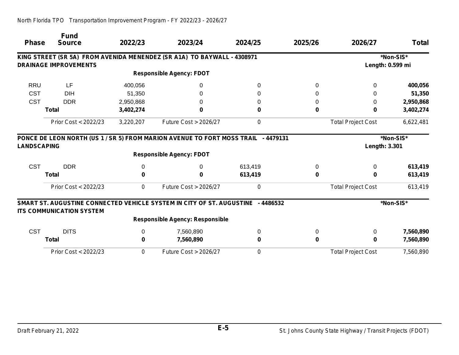| <b>Phase</b>       | <b>Fund</b><br><b>Source</b>    | 2022/23   | 2023/24                                                                           | 2024/25 | 2025/26 | 2026/27                   | <b>Total</b> |
|--------------------|---------------------------------|-----------|-----------------------------------------------------------------------------------|---------|---------|---------------------------|--------------|
|                    |                                 |           |                                                                                   |         |         |                           |              |
|                    |                                 |           | KING STREET (SR 5A) FROM AVENIDA MENENDEZ (SR A1A) TO BAYWALL - 4308971           |         |         |                           | *Non-SIS*    |
|                    | <b>DRAINAGE IMPROVEMENTS</b>    |           |                                                                                   |         |         | Length: 0.599 mi          |              |
|                    |                                 |           | <b>Responsible Agency: FDOT</b>                                                   |         |         |                           |              |
| <b>RRU</b>         | LF                              | 400,056   | 0                                                                                 | 0       | 0       | 0                         | 400,056      |
| <b>CST</b>         | <b>DIH</b>                      | 51,350    | 0                                                                                 |         | 0       | $\Omega$                  | 51,350       |
| <b>CST</b>         | <b>DDR</b>                      | 2,950,868 |                                                                                   |         | 0       | 0                         | 2,950,868    |
|                    | <b>Total</b>                    | 3,402,274 |                                                                                   |         | 0       | 0                         | 3,402,274    |
|                    | Prior Cost < 2022/23            | 3,220,207 | <b>Future Cost &gt; 2026/27</b>                                                   | 0       |         | <b>Total Project Cost</b> | 6,622,481    |
|                    |                                 |           | PONCE DE LEON NORTH (US 1 / SR 5) FROM MARION AVENUE TO FORT MOSS TRAIL - 4479131 |         |         |                           | *Non-SIS*    |
| <b>LANDSCAPING</b> |                                 |           |                                                                                   |         |         | <b>Length: 3.301</b>      |              |
|                    |                                 |           | <b>Responsible Agency: FDOT</b>                                                   |         |         |                           |              |
| <b>CST</b>         | <b>DDR</b>                      | 0         | 0                                                                                 | 613,419 | 0       | 0                         | 613,419      |
|                    | <b>Total</b>                    |           | 0                                                                                 | 613,419 | 0       | 0                         | 613,419      |
|                    | Prior Cost < 2022/23            | 0         | Future Cost > 2026/27                                                             | 0       |         | <b>Total Project Cost</b> | 613,419      |
|                    |                                 |           | SMART ST. AUGUSTINE CONNECTED VEHICLE SYSTEM IN CITY OF ST. AUGUSTINE - 4486532   |         |         |                           | *Non-SIS*    |
|                    | <b>ITS COMMUNICATION SYSTEM</b> |           |                                                                                   |         |         |                           |              |
|                    |                                 |           | <b>Responsible Agency: Responsible</b>                                            |         |         |                           |              |
| <b>CST</b>         | <b>DITS</b>                     | 0         | 7,560,890                                                                         | 0       | 0       | $\Omega$                  | 7,560,890    |
|                    | <b>Total</b>                    |           | 7,560,890                                                                         | 0       | 0       | 0                         | 7,560,890    |
|                    | Prior Cost < 2022/23            | 0         | Future Cost > 2026/27                                                             | 0       |         | <b>Total Project Cost</b> | 7,560,890    |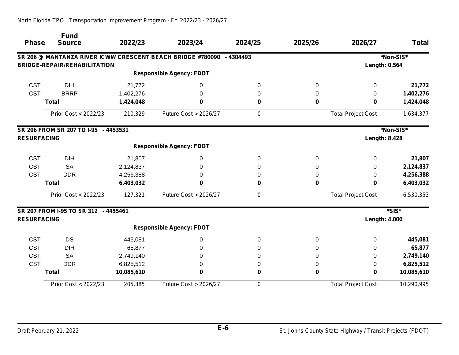| <b>Phase</b>       | <b>Fund</b><br><b>Source</b>         | 2022/23    | 2023/24                                                    | 2024/25    | 2025/26 | 2026/27                   | <b>Total</b> |
|--------------------|--------------------------------------|------------|------------------------------------------------------------|------------|---------|---------------------------|--------------|
|                    |                                      |            | SR 206 @ MANTANZA RIVER ICWW CRESCENT BEACH BRIDGE #780090 | $-4304493$ |         |                           | *Non-SIS*    |
|                    | <b>BRIDGE-REPAIR/REHABILITATION</b>  |            |                                                            |            |         | Length: 0.564             |              |
|                    |                                      |            | <b>Responsible Agency: FDOT</b>                            |            |         |                           |              |
| <b>CST</b>         | <b>DIH</b>                           | 21,772     | 0                                                          | $\Omega$   | 0       | $\Omega$                  | 21,772       |
| <b>CST</b>         | <b>BRRP</b>                          | 1,402,276  | $\Omega$                                                   | 0          | 0       | 0                         | 1,402,276    |
|                    | <b>Total</b>                         | 1,424,048  | 0                                                          | 0          | 0       | 0                         | 1,424,048    |
|                    | Prior Cost < 2022/23                 | 210,329    | Future Cost > 2026/27                                      | 0          |         | <b>Total Project Cost</b> | 1,634,377    |
|                    | SR 206 FROM SR 207 TO I-95 - 4453531 |            |                                                            |            |         |                           | *Non-SIS*    |
| <b>RESURFACING</b> |                                      |            |                                                            |            |         | <b>Length: 8.428</b>      |              |
|                    |                                      |            | <b>Responsible Agency: FDOT</b>                            |            |         |                           |              |
| <b>CST</b>         | <b>DIH</b>                           | 21,807     | 0                                                          | 0          | 0       | 0                         | 21,807       |
| <b>CST</b>         | <b>SA</b>                            | 2,124,837  | 0                                                          | 0          | 0       | 0                         | 2,124,837    |
| <b>CST</b>         | <b>DDR</b>                           | 4,256,388  | 0                                                          | 0          | 0       | 0                         | 4,256,388    |
|                    | <b>Total</b>                         | 6,403,032  | 0                                                          | 0          | 0       | 0                         | 6,403,032    |
|                    | Prior Cost < 2022/23                 | 127,321    | Future Cost > 2026/27                                      | 0          |         | <b>Total Project Cost</b> | 6,530,353    |
|                    | SR 207 FROM I-95 TO SR 312 - 4455461 |            |                                                            |            |         |                           | *SIS*        |
| <b>RESURFACING</b> |                                      |            |                                                            |            |         | <b>Length: 4.000</b>      |              |
|                    |                                      |            | <b>Responsible Agency: FDOT</b>                            |            |         |                           |              |
| <b>CST</b>         | <b>DS</b>                            | 445,081    | 0                                                          | 0          | 0       | 0                         | 445,081      |
| <b>CST</b>         | <b>DIH</b>                           | 65,877     | 0                                                          | 0          | 0       | 0                         | 65,877       |
| <b>CST</b>         | <b>SA</b>                            | 2,749,140  | 0                                                          | 0          | 0       | 0                         | 2,749,140    |
| <b>CST</b>         | <b>DDR</b>                           | 6,825,512  | 0                                                          | 0          | 0       | 0                         | 6,825,512    |
|                    | <b>Total</b>                         | 10,085,610 | $\bf{0}$                                                   | 0          | 0       | 0                         | 10,085,610   |
|                    | Prior Cost < 2022/23                 | 205,385    | Future Cost > 2026/27                                      | 0          |         | <b>Total Project Cost</b> | 10,290,995   |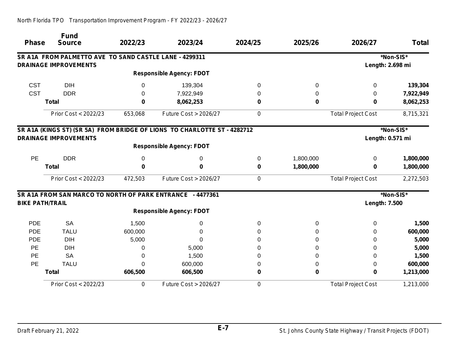| <b>Phase</b>           | <b>Fund</b><br><b>Source</b>                              | 2022/23  | 2023/24                                                                  | 2024/25     | 2025/26     | 2026/27                   | <b>Total</b> |
|------------------------|-----------------------------------------------------------|----------|--------------------------------------------------------------------------|-------------|-------------|---------------------------|--------------|
|                        | SR A1A FROM PALMETTO AVE TO SAND CASTLE LANE - 4299311    |          |                                                                          |             |             |                           | *Non-SIS*    |
|                        | <b>DRAINAGE IMPROVEMENTS</b>                              |          |                                                                          |             |             | Length: 2.698 mi          |              |
|                        |                                                           |          | <b>Responsible Agency: FDOT</b>                                          |             |             |                           |              |
| <b>CST</b>             | <b>DIH</b>                                                | $\Omega$ | 139,304                                                                  | 0           | 0           | $\Omega$                  | 139,304      |
| <b>CST</b>             | <b>DDR</b>                                                | $\Omega$ | 7,922,949                                                                | 0           | $\mathbf 0$ | 0                         | 7,922,949    |
|                        | <b>Total</b>                                              | $\bf{0}$ | 8,062,253                                                                | 0           | 0           | 0                         | 8,062,253    |
|                        | Prior Cost < 2022/23                                      | 653,068  | Future Cost > 2026/27                                                    | 0           |             | <b>Total Project Cost</b> | 8,715,321    |
|                        |                                                           |          | SR A1A (KINGS ST) (SR 5A) FROM BRIDGE OF LIONS TO CHARLOTTE ST - 4282712 |             |             |                           | *Non-SIS*    |
|                        | <b>DRAINAGE IMPROVEMENTS</b>                              |          |                                                                          |             |             | Length: 0.571 mi          |              |
|                        |                                                           |          | <b>Responsible Agency: FDOT</b>                                          |             |             |                           |              |
| <b>PE</b>              | <b>DDR</b>                                                | $\Omega$ | 0                                                                        | $\mathbf 0$ | 1,800,000   | 0                         | 1,800,000    |
|                        | <b>Total</b>                                              | 0        | 0                                                                        | 0           | 1,800,000   | 0                         | 1,800,000    |
|                        | Prior Cost < 2022/23                                      | 472,503  | Future Cost > 2026/27                                                    | 0           |             | <b>Total Project Cost</b> | 2,272,503    |
|                        | SR A1A FROM SAN MARCO TO NORTH OF PARK ENTRANCE - 4477361 |          |                                                                          |             |             |                           | *Non-SIS*    |
| <b>BIKE PATH/TRAIL</b> |                                                           |          |                                                                          |             |             | <b>Length: 7.500</b>      |              |
|                        |                                                           |          | <b>Responsible Agency: FDOT</b>                                          |             |             |                           |              |
| <b>PDE</b>             | <b>SA</b>                                                 | 1,500    | 0                                                                        | 0           | 0           | 0                         | 1,500        |
| <b>PDE</b>             | <b>TALU</b>                                               | 600,000  | 0                                                                        | 0           | 0           | 0                         | 600,000      |
| <b>PDE</b>             | <b>DIH</b>                                                | 5,000    | $\Omega$                                                                 | 0           | 0           | 0                         | 5,000        |
| PE                     | <b>DIH</b>                                                | 0        | 5,000                                                                    | 0           | 0           | 0                         | 5,000        |
| PE                     | <b>SA</b>                                                 | 0        | 1,500                                                                    | 0           | 0           | $\Omega$                  | 1,500        |
| PE                     | <b>TALU</b>                                               | $\Omega$ | 600,000                                                                  | 0           | 0           | 0                         | 600,000      |
|                        | <b>Total</b>                                              | 606,500  | 606,500                                                                  | 0           | 0           | $\bf{0}$                  | 1,213,000    |
|                        | Prior Cost < 2022/23                                      | 0        | Future Cost > 2026/27                                                    | 0           |             | <b>Total Project Cost</b> | 1,213,000    |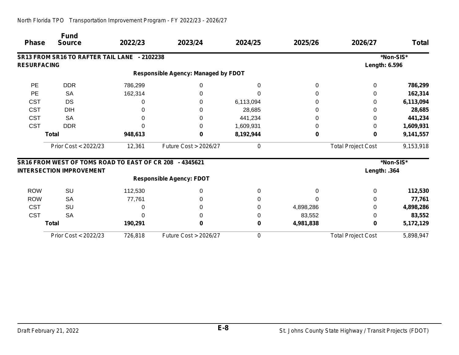| <b>Phase</b>       | <b>Fund</b><br><b>Source</b>                            | 2022/23      | 2023/24                                    | 2024/25   | 2025/26   | 2026/27                   | <b>Total</b> |
|--------------------|---------------------------------------------------------|--------------|--------------------------------------------|-----------|-----------|---------------------------|--------------|
|                    |                                                         |              |                                            |           |           |                           |              |
|                    | SR13 FROM SR16 TO RAFTER TAIL LANE - 2102238            |              |                                            |           |           |                           | *Non-SIS*    |
| <b>RESURFACING</b> |                                                         |              |                                            |           |           | <b>Length: 6.596</b>      |              |
|                    |                                                         |              | <b>Responsible Agency: Managed by FDOT</b> |           |           |                           |              |
| PE                 | <b>DDR</b>                                              | 786,299      | 0                                          | $\Omega$  | 0         | 0                         | 786,299      |
| PE                 | <b>SA</b>                                               | 162,314      | 0                                          |           | 0         | 0                         | 162,314      |
| <b>CST</b>         | <b>DS</b>                                               | 0            | 0                                          | 6,113,094 | 0         | 0                         | 6,113,094    |
| <b>CST</b>         | <b>DIH</b>                                              | 0            | 0                                          | 28,685    | 0         | 0                         | 28,685       |
| <b>CST</b>         | <b>SA</b>                                               | 0            | 0                                          | 441,234   | 0         |                           | 441,234      |
| <b>CST</b>         | <b>DDR</b>                                              |              | $\Omega$                                   | 1,609,931 | 0         | 0                         | 1,609,931    |
|                    | <b>Total</b>                                            | 948,613      | 0                                          | 8,192,944 | 0         | 0                         | 9,141,557    |
|                    | Prior Cost < 2022/23                                    | 12,361       | Future Cost > 2026/27                      | 0         |           | <b>Total Project Cost</b> | 9,153,918    |
|                    | SR16 FROM WEST OF TOMS ROAD TO EAST OF CR 208 - 4345621 |              |                                            |           |           |                           | *Non-SIS*    |
|                    | <b>INTERSECTION IMPROVEMENT</b>                         |              |                                            |           |           | Length: .364              |              |
|                    |                                                         |              | <b>Responsible Agency: FDOT</b>            |           |           |                           |              |
| <b>ROW</b>         | <b>SU</b>                                               | 112,530      | 0                                          | 0         | 0         | 0                         | 112,530      |
| <b>ROW</b>         | <b>SA</b>                                               | 77,761       | 0                                          |           | 0         | 0                         | 77,761       |
| <b>CST</b>         | SU                                                      | 0            |                                            | 0         | 4,898,286 | 0                         | 4,898,286    |
| <b>CST</b>         | <b>SA</b>                                               | <sup>0</sup> | 0                                          | 0         | 83,552    | 0                         | 83,552       |
|                    | <b>Total</b>                                            | 190,291      | 0                                          | 0         | 4,981,838 | O                         | 5,172,129    |
|                    | Prior Cost < 2022/23                                    | 726,818      | Future Cost > 2026/27                      | 0         |           | <b>Total Project Cost</b> | 5,898,947    |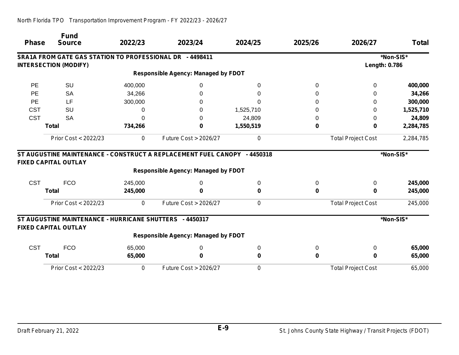| <b>Phase</b> | <b>Fund</b><br><b>Source</b>                                                           | 2022/23 | 2023/24                                    | 2024/25   | 2025/26 | 2026/27                   | Total     |
|--------------|----------------------------------------------------------------------------------------|---------|--------------------------------------------|-----------|---------|---------------------------|-----------|
|              | SRA1A FROM GATE GAS STATION TO PROFESSIONAL DR - 4498411                               |         |                                            |           |         |                           | *Non-SIS* |
|              | <b>INTERSECTION (MODIFY)</b>                                                           |         |                                            |           |         | <b>Length: 0.786</b>      |           |
|              |                                                                                        |         | <b>Responsible Agency: Managed by FDOT</b> |           |         |                           |           |
| <b>PE</b>    | SU                                                                                     | 400,000 | 0                                          | 0         | 0       | 0                         | 400,000   |
| PE           | <b>SA</b>                                                                              | 34,266  | 0                                          | O         |         |                           | 34,266    |
| <b>PE</b>    | LF                                                                                     | 300,000 | 0                                          | O         | 0       | 0                         | 300,000   |
| <b>CST</b>   | SU                                                                                     | 0       | 0                                          | 1,525,710 | 0       | 0                         | 1,525,710 |
| <b>CST</b>   | <b>SA</b>                                                                              |         | 0                                          | 24,809    | 0       | 0                         | 24,809    |
|              | <b>Total</b>                                                                           | 734,266 | 0                                          | 1,550,519 | 0       | 0                         | 2,284,785 |
|              | Prior Cost < 2022/23                                                                   | 0       | Future Cost > 2026/27                      | 0         |         | <b>Total Project Cost</b> | 2,284,785 |
|              | <b>FIXED CAPITAL OUTLAY</b>                                                            |         | <b>Responsible Agency: Managed by FDOT</b> |           |         |                           |           |
| <b>CST</b>   | <b>FCO</b>                                                                             | 245,000 | 0                                          | 0         | 0       | 0                         | 245,000   |
|              | <b>Total</b>                                                                           | 245,000 | 0                                          | O         | 0       | 0                         | 245,000   |
|              | Prior Cost < 2022/23                                                                   | 0       | Future Cost > 2026/27                      | 0         |         | <b>Total Project Cost</b> | 245,000   |
|              | ST AUGUSTINE MAINTENANCE - HURRICANE SHUTTERS - 4450317<br><b>FIXED CAPITAL OUTLAY</b> |         |                                            |           |         |                           | *Non-SIS* |
|              |                                                                                        |         | <b>Responsible Agency: Managed by FDOT</b> |           |         |                           |           |
| <b>CST</b>   | <b>FCO</b>                                                                             | 65,000  | 0                                          | 0         | 0       | 0                         | 65,000    |
|              | <b>Total</b>                                                                           | 65,000  | 0                                          | 0         | 0       | 0                         | 65,000    |
|              | Prior Cost < 2022/23                                                                   | 0       | Future Cost > 2026/27                      | 0         |         | <b>Total Project Cost</b> | 65,000    |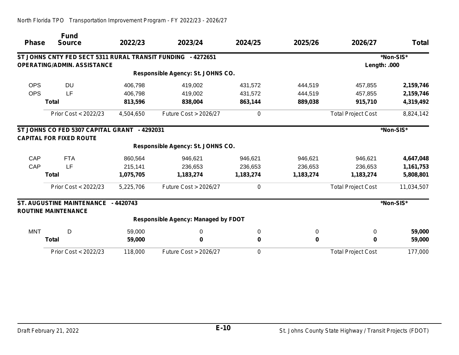|              | <b>Fund</b>                                                                    |           |                                            |           |           |                           |              |
|--------------|--------------------------------------------------------------------------------|-----------|--------------------------------------------|-----------|-----------|---------------------------|--------------|
| <b>Phase</b> | <b>Source</b>                                                                  | 2022/23   | 2023/24                                    | 2024/25   | 2025/26   | 2026/27                   | <b>Total</b> |
|              | ST JOHNS CNTY FED SECT 5311 RURAL TRANSIT FUNDING - 4272651                    |           |                                            |           |           |                           | *Non-SIS*    |
|              | <b>OPERATING/ADMIN. ASSISTANCE</b>                                             |           |                                            |           |           | Length: .000              |              |
|              |                                                                                |           | Responsible Agency: St. JOHNS CO.          |           |           |                           |              |
| <b>OPS</b>   | <b>DU</b>                                                                      | 406,798   | 419,002                                    | 431,572   | 444,519   | 457,855                   | 2,159,746    |
| <b>OPS</b>   | LF                                                                             | 406,798   | 419,002                                    | 431,572   | 444,519   | 457,855                   | 2,159,746    |
|              | <b>Total</b>                                                                   | 813,596   | 838,004                                    | 863,144   | 889,038   | 915,710                   | 4,319,492    |
|              | Prior Cost < 2022/23                                                           | 4,504,650 | Future Cost > 2026/27                      | 0         |           | <b>Total Project Cost</b> | 8,824,142    |
|              | ST JOHNS CO FED 5307 CAPITAL GRANT - 4292031<br><b>CAPITAL FOR FIXED ROUTE</b> |           |                                            |           |           |                           | *Non-SIS*    |
|              |                                                                                |           | Responsible Agency: St. JOHNS CO.          |           |           |                           |              |
| CAP          | <b>FTA</b>                                                                     | 860,564   | 946,621                                    | 946,621   | 946,621   | 946,621                   | 4,647,048    |
| CAP          | LF                                                                             | 215,141   | 236,653                                    | 236,653   | 236,653   | 236,653                   | 1,161,753    |
|              | <b>Total</b>                                                                   | 1,075,705 | 1,183,274                                  | 1,183,274 | 1,183,274 | 1,183,274                 | 5,808,801    |
|              | Prior Cost < 2022/23                                                           | 5,225,706 | <b>Future Cost &gt; 2026/27</b>            | 0         |           | <b>Total Project Cost</b> | 11,034,507   |
|              | <b>ST. AUGUSTINE MAINTENANCE</b><br><b>ROUTINE MAINTENANCE</b>                 | - 4420743 |                                            |           |           |                           | *Non-SIS*    |
|              |                                                                                |           | <b>Responsible Agency: Managed by FDOT</b> |           |           |                           |              |
| <b>MNT</b>   | D                                                                              | 59,000    | 0                                          | 0         | $\pmb{0}$ | 0                         | 59,000       |
|              | <b>Total</b>                                                                   | 59,000    | 0                                          | 0         | 0         | 0                         | 59,000       |
|              | Prior Cost < 2022/23                                                           | 118,000   | <b>Future Cost &gt; 2026/27</b>            | 0         |           | <b>Total Project Cost</b> | 177,000      |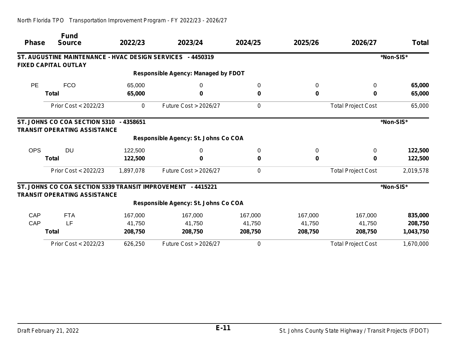|              | <b>Fund</b>                                                 | 2022/23   | 2023/24                                    | 2024/25 |         | 2026/27                   |              |
|--------------|-------------------------------------------------------------|-----------|--------------------------------------------|---------|---------|---------------------------|--------------|
| <b>Phase</b> | <b>Source</b>                                               |           |                                            |         | 2025/26 |                           | <b>Total</b> |
|              | ST. AUGUSTINE MAINTENANCE - HVAC DESIGN SERVICES - 4450319  |           |                                            |         |         |                           | *Non-SIS*    |
|              | <b>FIXED CAPITAL OUTLAY</b>                                 |           |                                            |         |         |                           |              |
|              |                                                             |           | <b>Responsible Agency: Managed by FDOT</b> |         |         |                           |              |
| <b>PE</b>    | <b>FCO</b>                                                  | 65,000    | 0                                          | 0       | 0       | $\Omega$                  | 65,000       |
|              | <b>Total</b>                                                | 65,000    | $\bf{0}$                                   | 0       | 0       | $\bf{0}$                  | 65,000       |
|              | Prior Cost < 2022/23                                        | 0         | <b>Future Cost &gt; 2026/27</b>            | 0       |         | <b>Total Project Cost</b> | 65,000       |
|              | ST. JOHNS CO COA SECTION 5310 - 4358651                     |           |                                            |         |         |                           | *Non-SIS*    |
|              | <b>TRANSIT OPERATING ASSISTANCE</b>                         |           |                                            |         |         |                           |              |
|              |                                                             |           | Responsible Agency: St. Johns Co COA       |         |         |                           |              |
| <b>OPS</b>   | <b>DU</b>                                                   | 122,500   | 0                                          | 0       | 0       | 0                         | 122,500      |
|              | <b>Total</b>                                                | 122,500   | 0                                          | 0       | 0       | 0                         | 122,500      |
|              | Prior Cost < 2022/23                                        | 1,897,078 | Future Cost > 2026/27                      | 0       |         | <b>Total Project Cost</b> | 2,019,578    |
|              | ST. JOHNS CO COA SECTION 5339 TRANSIT IMPROVEMENT - 4415221 |           |                                            |         |         |                           | *Non-SIS*    |
|              | <b>TRANSIT OPERATING ASSISTANCE</b>                         |           |                                            |         |         |                           |              |
|              |                                                             |           | Responsible Agency: St. Johns Co COA       |         |         |                           |              |
| CAP          | <b>FTA</b>                                                  | 167,000   | 167,000                                    | 167,000 | 167,000 | 167,000                   | 835,000      |
| CAP          | LF                                                          | 41,750    | 41,750                                     | 41,750  | 41,750  | 41,750                    | 208,750      |
|              | <b>Total</b>                                                | 208,750   | 208,750                                    | 208,750 | 208,750 | 208,750                   | 1,043,750    |
|              | Prior Cost < 2022/23                                        | 626,250   | <b>Future Cost &gt; 2026/27</b>            | 0       |         | <b>Total Project Cost</b> | 1,670,000    |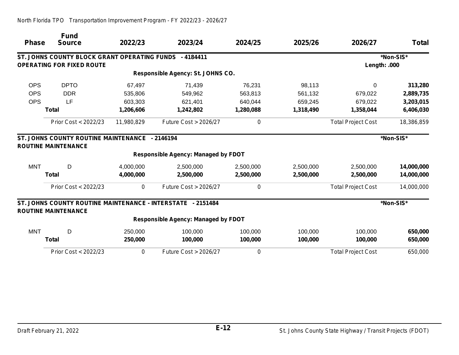| <b>Phase</b> | <b>Fund</b><br><b>Source</b>                                                              | 2022/23    | 2023/24                                    | 2024/25   | 2025/26   | 2026/27                   | <b>Total</b> |
|--------------|-------------------------------------------------------------------------------------------|------------|--------------------------------------------|-----------|-----------|---------------------------|--------------|
|              | ST. JOHNS COUNTY BLOCK GRANT OPERATING FUNDS - 4184411                                    |            |                                            |           |           |                           | *Non-SIS*    |
|              | <b>OPERATING FOR FIXED ROUTE</b>                                                          |            |                                            |           |           | Length: .000              |              |
|              |                                                                                           |            | Responsible Agency: St. JOHNS CO.          |           |           |                           |              |
| <b>OPS</b>   | <b>DPTO</b>                                                                               | 67,497     | 71,439                                     | 76,231    | 98,113    | 0                         | 313,280      |
| <b>OPS</b>   | <b>DDR</b>                                                                                | 535,806    | 549,962                                    | 563,813   | 561,132   | 679,022                   | 2,889,735    |
| <b>OPS</b>   | LF                                                                                        | 603,303    | 621,401                                    | 640,044   | 659,245   | 679,022                   | 3,203,015    |
|              | <b>Total</b>                                                                              | 1,206,606  | 1,242,802                                  | 1,280,088 | 1,318,490 | 1,358,044                 | 6,406,030    |
|              | Prior Cost < 2022/23                                                                      | 11,980,829 | <b>Future Cost &gt; 2026/27</b>            | 0         |           | <b>Total Project Cost</b> | 18,386,859   |
|              | ST. JOHNS COUNTY ROUTINE MAINTENANCE - 2146194<br><b>ROUTINE MAINTENANCE</b>              |            |                                            |           |           |                           | *Non-SIS*    |
|              |                                                                                           |            | <b>Responsible Agency: Managed by FDOT</b> |           |           |                           |              |
| <b>MNT</b>   | D                                                                                         | 4,000,000  | 2,500,000                                  | 2,500,000 | 2,500,000 | 2,500,000                 | 14,000,000   |
|              | <b>Total</b>                                                                              | 4,000,000  | 2,500,000                                  | 2,500,000 | 2,500,000 | 2,500,000                 | 14,000,000   |
|              | Prior Cost < 2022/23                                                                      | 0          | <b>Future Cost &gt; 2026/27</b>            | 0         |           | <b>Total Project Cost</b> | 14,000,000   |
|              | ST. JOHNS COUNTY ROUTINE MAINTENANCE - INTERSTATE - 2151484<br><b>ROUTINE MAINTENANCE</b> |            |                                            |           |           |                           | *Non-SIS*    |
|              |                                                                                           |            | <b>Responsible Agency: Managed by FDOT</b> |           |           |                           |              |
| <b>MNT</b>   | D                                                                                         | 250,000    | 100,000                                    | 100,000   | 100,000   | 100,000                   | 650,000      |
|              | <b>Total</b>                                                                              | 250,000    | 100,000                                    | 100,000   | 100,000   | 100,000                   | 650,000      |
|              | Prior Cost < 2022/23                                                                      | 0          | Future Cost > 2026/27                      | 0         |           | <b>Total Project Cost</b> | 650,000      |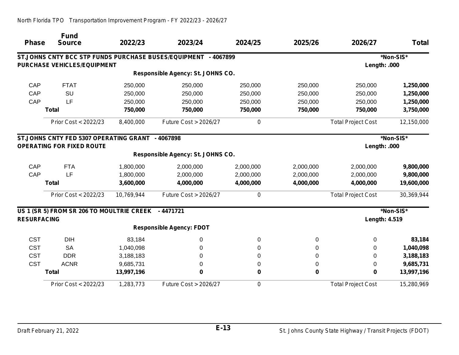| <b>Phase</b>       | <b>Fund</b><br><b>Source</b>                         | 2022/23    | 2023/24                           | 2024/25   | 2025/26   | 2026/27                   | <b>Total</b> |
|--------------------|------------------------------------------------------|------------|-----------------------------------|-----------|-----------|---------------------------|--------------|
|                    | ST.JOHNS CNTY BCC STP FUNDS PURCHASE BUSES/EQUIPMENT |            | -4067899                          |           |           |                           | *Non-SIS*    |
|                    | PURCHASE VEHICLES/EQUIPMENT                          |            |                                   |           |           | Length: .000              |              |
|                    |                                                      |            | Responsible Agency: St. JOHNS CO. |           |           |                           |              |
| CAP                | <b>FTAT</b>                                          | 250,000    | 250,000                           | 250,000   | 250,000   | 250,000                   | 1,250,000    |
| CAP                | SU                                                   | 250,000    | 250,000                           | 250,000   | 250,000   | 250,000                   | 1,250,000    |
| CAP                | LF                                                   | 250,000    | 250,000                           | 250,000   | 250,000   | 250,000                   | 1,250,000    |
|                    | <b>Total</b>                                         | 750,000    | 750,000                           | 750,000   | 750,000   | 750,000                   | 3,750,000    |
|                    | Prior Cost < 2022/23                                 | 8,400,000  | Future Cost > 2026/27             | 0         |           | <b>Total Project Cost</b> | 12,150,000   |
|                    | ST.JOHNS CNTY FED 5307 OPERATING GRANT - 4067898     |            |                                   |           |           |                           | *Non-SIS*    |
|                    | <b>OPERATING FOR FIXED ROUTE</b>                     |            |                                   |           |           | Length: .000              |              |
|                    |                                                      |            | Responsible Agency: St. JOHNS CO. |           |           |                           |              |
| CAP                | <b>FTA</b>                                           | 1,800,000  | 2,000,000                         | 2,000,000 | 2,000,000 | 2,000,000                 | 9,800,000    |
| CAP                | LF                                                   | 1,800,000  | 2,000,000                         | 2,000,000 | 2,000,000 | 2,000,000                 | 9,800,000    |
|                    | <b>Total</b>                                         | 3,600,000  | 4,000,000                         | 4,000,000 | 4,000,000 | 4,000,000                 | 19,600,000   |
|                    | Prior Cost < 2022/23                                 | 10,769,944 | <b>Future Cost &gt; 2026/27</b>   | 0         |           | <b>Total Project Cost</b> | 30,369,944   |
|                    | US 1 (SR 5) FROM SR 206 TO MOULTRIE CREEK            |            | $-4471721$                        |           |           |                           | *Non-SIS*    |
| <b>RESURFACING</b> |                                                      |            |                                   |           |           | Length: 4.519             |              |
|                    |                                                      |            | <b>Responsible Agency: FDOT</b>   |           |           |                           |              |
| <b>CST</b>         | <b>DIH</b>                                           | 83,184     | 0                                 | $\Omega$  | 0         | $\Omega$                  | 83,184       |
| <b>CST</b>         | <b>SA</b>                                            | 1,040,098  | 0                                 | 0         | 0         | $\Omega$                  | 1,040,098    |
| <b>CST</b>         | <b>DDR</b>                                           | 3,188,183  | 0                                 | 0         | 0         | $\Omega$                  | 3,188,183    |
| <b>CST</b>         | <b>ACNR</b>                                          | 9,685,731  | 0                                 | 0         | 0         | 0                         | 9,685,731    |
|                    | <b>Total</b>                                         | 13,997,196 | 0                                 | $\bf{0}$  | 0         | $\bf{0}$                  | 13,997,196   |
|                    | Prior Cost < 2022/23                                 | 1,283,773  | Future Cost > 2026/27             | 0         |           | <b>Total Project Cost</b> | 15,280,969   |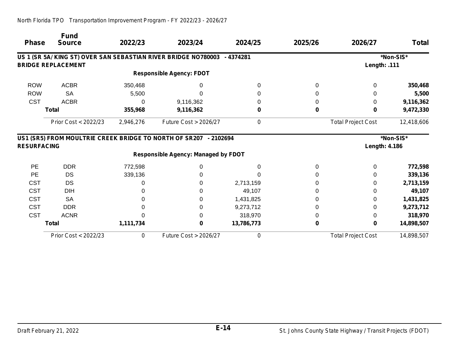| <b>Phase</b>       | <b>Fund</b><br><b>Source</b> | 2022/23   | 2023/24                                                          | 2024/25    | 2025/26 | 2026/27                   | <b>Total</b> |
|--------------------|------------------------------|-----------|------------------------------------------------------------------|------------|---------|---------------------------|--------------|
|                    |                              |           | US 1 (SR 5A/KING ST) OVER SAN SEBASTIAN RIVER BRIDGE NO780003    | - 4374281  |         |                           | *Non-SIS*    |
|                    | <b>BRIDGE REPLACEMENT</b>    |           |                                                                  |            |         | Length: .111              |              |
|                    |                              |           | <b>Responsible Agency: FDOT</b>                                  |            |         |                           |              |
| <b>ROW</b>         | <b>ACBR</b>                  | 350,468   |                                                                  |            | 0       | $\Omega$                  | 350,468      |
| <b>ROW</b>         | <b>SA</b>                    | 5,500     |                                                                  |            | 0       | 0                         | 5,500        |
| <b>CST</b>         | <b>ACBR</b>                  | 0         | 9,116,362                                                        |            | 0       |                           | 9,116,362    |
|                    | <b>Total</b>                 | 355,968   | 9,116,362                                                        | 0          | 0       | 0                         | 9,472,330    |
|                    | Prior Cost < 2022/23         | 2,946,276 | Future Cost > 2026/27                                            | 0          |         | <b>Total Project Cost</b> | 12,418,606   |
|                    |                              |           | US1 (SR5) FROM MOULTRIE CREEK BRIDGE TO NORTH OF SR207 - 2102694 |            |         |                           | *Non-SIS*    |
| <b>RESURFACING</b> |                              |           |                                                                  |            |         | <b>Length: 4.186</b>      |              |
|                    |                              |           | <b>Responsible Agency: Managed by FDOT</b>                       |            |         |                           |              |
| <b>PE</b>          | <b>DDR</b>                   | 772,598   | 0                                                                |            | 0       | 0                         | 772,598      |
| PE                 | <b>DS</b>                    | 339,136   |                                                                  |            | 0       | 0                         | 339,136      |
| <b>CST</b>         | DS                           |           |                                                                  | 2,713,159  | 0       | 0                         | 2,713,159    |
| <b>CST</b>         | <b>DIH</b>                   |           | 0                                                                | 49,107     | 0       | 0                         | 49,107       |
| <b>CST</b>         | <b>SA</b>                    |           | 0                                                                | 1,431,825  | 0       | 0                         | 1,431,825    |
| <b>CST</b>         | <b>DDR</b>                   |           | 0                                                                | 9,273,712  | 0       | 0                         | 9,273,712    |
| <b>CST</b>         | <b>ACNR</b>                  |           | 0                                                                | 318,970    | 0       | 0                         | 318,970      |
|                    | <b>Total</b>                 | 1,111,734 | 0                                                                | 13,786,773 | 0       | $\bf{0}$                  | 14,898,507   |
|                    | Prior Cost < 2022/23         | 0         | Future Cost > 2026/27                                            | 0          |         | <b>Total Project Cost</b> | 14,898,507   |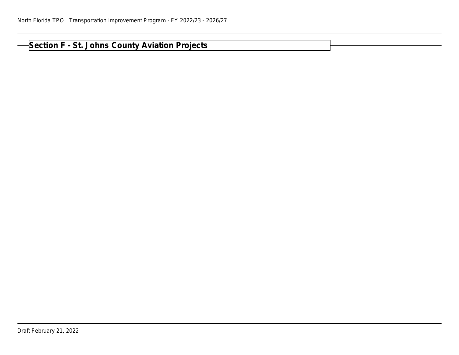# **Section F - St. Johns County Aviation Projects**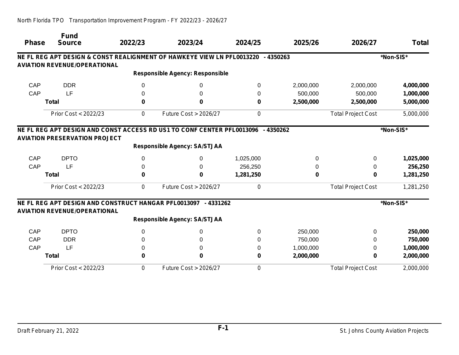| <b>Phase</b> | <b>Fund</b><br><b>Source</b>         | 2022/23      | 2023/24                                                                | 2024/25   | 2025/26   | 2026/27                   | <b>Total</b> |
|--------------|--------------------------------------|--------------|------------------------------------------------------------------------|-----------|-----------|---------------------------|--------------|
|              |                                      |              |                                                                        |           |           |                           |              |
|              |                                      |              | NE FL REG APT DESIGN & CONST REALIGNMENT OF HAWKEYE VIEW LN PFL0013220 |           | - 4350263 |                           | *Non-SIS*    |
|              | <b>AVIATION REVENUE/OPERATIONAL</b>  |              |                                                                        |           |           |                           |              |
|              |                                      |              | <b>Responsible Agency: Responsible</b>                                 |           |           |                           |              |
| CAP          | <b>DDR</b>                           | 0            | 0                                                                      | $\Omega$  | 2,000,000 | 2,000,000                 | 4,000,000    |
| CAP          | LF                                   | 0            | 0                                                                      | 0         | 500,000   | 500,000                   | 1,000,000    |
|              | <b>Total</b>                         | 0            | 0                                                                      | 0         | 2,500,000 | 2,500,000                 | 5,000,000    |
|              | Prior Cost < 2022/23                 | 0            | Future Cost > 2026/27                                                  | 0         |           | <b>Total Project Cost</b> | 5,000,000    |
|              |                                      |              | NE FL REG APT DESIGN AND CONST ACCESS RD US1 TO CONF CENTER PFL0013096 |           | - 4350262 |                           | *Non-SIS*    |
|              | <b>AVIATION PRESERVATION PROJECT</b> |              |                                                                        |           |           |                           |              |
|              |                                      |              | <b>Responsible Agency: SA/STJAA</b>                                    |           |           |                           |              |
| CAP          | <b>DPTO</b>                          | $\Omega$     | $\Omega$                                                               | 1,025,000 | 0         | $\Omega$                  | 1,025,000    |
| CAP          | LF                                   | 0            | 0                                                                      | 256,250   | 0         | 0                         | 256,250      |
|              | <b>Total</b>                         | 0            | 0                                                                      | 1,281,250 | 0         | $\bf{0}$                  | 1,281,250    |
|              | Prior Cost < 2022/23                 | 0            | Future Cost > 2026/27                                                  | 0         |           | <b>Total Project Cost</b> | 1,281,250    |
|              | <b>AVIATION REVENUE/OPERATIONAL</b>  |              | NE FL REG APT DESIGN AND CONSTRUCT HANGAR PFL0013097 - 4331262         |           |           |                           | *Non-SIS*    |
|              |                                      |              | <b>Responsible Agency: SA/STJAA</b>                                    |           |           |                           |              |
| CAP          | <b>DPTO</b>                          | $\mathbf{0}$ | 0                                                                      | $\Omega$  | 250,000   | $\Omega$                  | 250,000      |
| CAP          | <b>DDR</b>                           | O            | 0                                                                      | 0         | 750,000   | 0                         | 750,000      |
| CAP          | LF                                   | 0            | 0                                                                      | $\Omega$  | 1,000,000 | 0                         | 1,000,000    |
|              | <b>Total</b>                         |              | 0                                                                      |           |           |                           |              |
|              |                                      | 0            |                                                                        | 0         | 2,000,000 | 0                         | 2,000,000    |
|              | Prior Cost < 2022/23                 | 0            | Future Cost > 2026/27                                                  | 0         |           | <b>Total Project Cost</b> | 2,000,000    |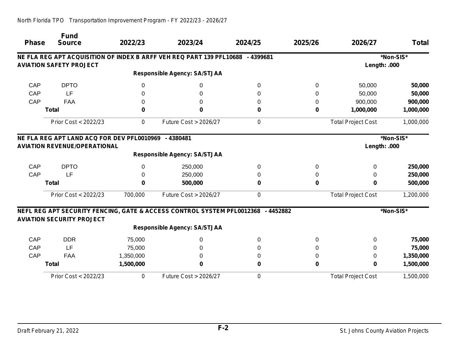| <b>Phase</b> | <b>Fund</b><br><b>Source</b>                         | 2022/23   | 2023/24                                                                | 2024/25  | 2025/26  | 2026/27                   | <b>Total</b> |
|--------------|------------------------------------------------------|-----------|------------------------------------------------------------------------|----------|----------|---------------------------|--------------|
|              |                                                      |           | NE FLA REG APT ACQUISITION OF INDEX B ARFF VEH REQ PART 139 PFL10688   | -4399681 |          |                           | *Non-SIS*    |
|              | <b>AVIATION SAFETY PROJECT</b>                       |           |                                                                        |          |          | Length: .000              |              |
|              |                                                      |           | <b>Responsible Agency: SA/STJAA</b>                                    |          |          |                           |              |
| CAP          | <b>DPTO</b>                                          | 0         | 0                                                                      | $\Omega$ | 0        | 50,000                    | 50,000       |
| CAP          | LF                                                   | 0         | 0                                                                      | 0        | $\Omega$ | 50,000                    | 50,000       |
| CAP          | <b>FAA</b>                                           | 0         | 0                                                                      | 0        | 0        | 900,000                   | 900,000      |
|              | <b>Total</b>                                         | 0         | 0                                                                      | 0        | 0        | 1,000,000                 | 1,000,000    |
|              | Prior Cost < 2022/23                                 | 0         | <b>Future Cost &gt; 2026/27</b>                                        | 0        |          | <b>Total Project Cost</b> | 1,000,000    |
|              | NE FLA REG APT LAND ACQ FOR DEV PFL0010969 - 4380481 |           |                                                                        |          |          |                           | *Non-SIS*    |
|              | <b>AVIATION REVENUE/OPERATIONAL</b>                  |           |                                                                        |          |          | Length: .000              |              |
|              |                                                      |           | <b>Responsible Agency: SA/STJAA</b>                                    |          |          |                           |              |
| CAP          | <b>DPTO</b>                                          | 0         | 250,000                                                                | $\Omega$ | 0        | 0                         | 250,000      |
| CAP          | LF                                                   | 0         | 250,000                                                                | 0        | 0        | 0                         | 250,000      |
|              | <b>Total</b>                                         | $\bf{0}$  | 500,000                                                                | 0        | 0        | 0                         | 500,000      |
|              | Prior Cost < 2022/23                                 | 700,000   | Future Cost > 2026/27                                                  | 0        |          | <b>Total Project Cost</b> | 1,200,000    |
|              |                                                      |           | NEFL REG APT SECURITY FENCING, GATE & ACCESS CONTROL SYSTEM PFL0012368 | -4452882 |          |                           | *Non-SIS*    |
|              | <b>AVIATION SECURITY PROJECT</b>                     |           |                                                                        |          |          |                           |              |
|              |                                                      |           | <b>Responsible Agency: SA/STJAA</b>                                    |          |          |                           |              |
| CAP          | <b>DDR</b>                                           | 75,000    | 0                                                                      | $\Omega$ | 0        | 0                         | 75,000       |
| CAP          | LF                                                   | 75,000    | 0                                                                      | 0        | 0        | 0                         | 75,000       |
| CAP          | <b>FAA</b>                                           | 1,350,000 | $\Omega$                                                               | 0        | 0        | 0                         | 1,350,000    |
|              | <b>Total</b>                                         | 1,500,000 | 0                                                                      | 0        | 0        | 0                         | 1,500,000    |
|              | Prior Cost < 2022/23                                 | 0         | Future Cost > 2026/27                                                  | 0        |          | <b>Total Project Cost</b> | 1,500,000    |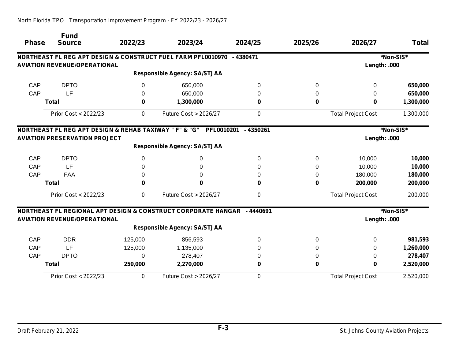| <b>Phase</b> | <b>Fund</b><br><b>Source</b>                                          | 2022/23 | 2023/24                                                       | 2024/25    | 2025/26     | 2026/27                   | Total     |
|--------------|-----------------------------------------------------------------------|---------|---------------------------------------------------------------|------------|-------------|---------------------------|-----------|
|              |                                                                       |         | NORTHEAST FL REG APT DESIGN & CONSTRUCT FUEL FARM PFL0010970  | $-4380471$ |             |                           | *Non-SIS* |
|              | <b>AVIATION REVENUE/OPERATIONAL</b>                                   |         |                                                               |            |             | Length: .000              |           |
|              |                                                                       |         | <b>Responsible Agency: SA/STJAA</b>                           |            |             |                           |           |
| CAP          | <b>DPTO</b>                                                           | 0       | 650,000                                                       | 0          | 0           | $\Omega$                  | 650,000   |
| CAP          | LF                                                                    | 0       | 650,000                                                       | 0          | 0           | $\Omega$                  | 650,000   |
|              | <b>Total</b>                                                          | 0       | 1,300,000                                                     | 0          | 0           | 0                         | 1,300,000 |
|              | Prior Cost < 2022/23                                                  | 0       | <b>Future Cost &gt; 2026/27</b>                               | 0          |             | <b>Total Project Cost</b> | 1,300,000 |
|              | <b>NORTHEAST FL REG APT DESIGN &amp; REHAB TAXIWAY " F" &amp; "G"</b> |         | PFL0010201                                                    | $-4350261$ |             |                           | *Non-SIS* |
|              | <b>AVIATION PRESERVATION PROJECT</b>                                  |         |                                                               |            |             | Length: .000              |           |
|              |                                                                       |         | <b>Responsible Agency: SA/STJAA</b>                           |            |             |                           |           |
| CAP          | <b>DPTO</b>                                                           | 0       | 0                                                             | 0          | 0           | 10,000                    | 10,000    |
| CAP          | LF                                                                    | 0       | 0                                                             | 0          | 0           | 10,000                    | 10,000    |
| CAP          | <b>FAA</b>                                                            | 0       | 0                                                             | 0          | 0           | 180,000                   | 180,000   |
|              | <b>Total</b>                                                          | 0       | 0                                                             | 0          | 0           | 200,000                   | 200,000   |
|              | Prior Cost < 2022/23                                                  | 0       | <b>Future Cost &gt; 2026/27</b>                               | 0          |             | <b>Total Project Cost</b> | 200,000   |
|              |                                                                       |         | NORTHEAST FL REGIONAL APT DESIGN & CONSTRUCT CORPORATE HANGAR | -4440691   |             |                           | *Non-SIS* |
|              | <b>AVIATION REVENUE/OPERATIONAL</b>                                   |         |                                                               |            |             | Length: .000              |           |
|              |                                                                       |         | <b>Responsible Agency: SA/STJAA</b>                           |            |             |                           |           |
| CAP          | <b>DDR</b>                                                            | 125,000 | 856,593                                                       | 0          | 0           | $\Omega$                  | 981,593   |
| CAP          | LF                                                                    | 125,000 | 1,135,000                                                     |            | 0           | 0                         | 1,260,000 |
| CAP          | <b>DPTO</b>                                                           | 0       | 278,407                                                       |            | 0           | 0                         | 278,407   |
|              | <b>Total</b>                                                          | 250,000 | 2,270,000                                                     |            | $\mathbf 0$ | 0                         | 2,520,000 |
|              | Prior Cost < 2022/23                                                  | 0       | Future Cost > 2026/27                                         | 0          |             | <b>Total Project Cost</b> | 2,520,000 |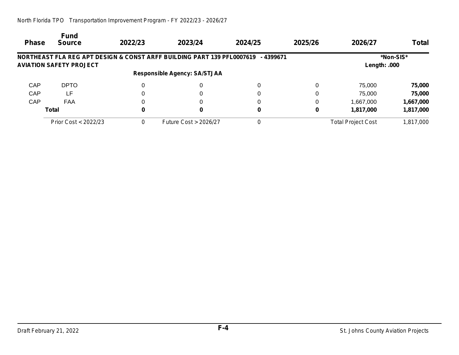| <b>Phase</b>                   | <b>Fund</b><br><b>Source</b> | 2022/23 | 2023/24                                                                | 2024/25   | 2025/26 | 2026/27                   | <b>Total</b> |
|--------------------------------|------------------------------|---------|------------------------------------------------------------------------|-----------|---------|---------------------------|--------------|
|                                |                              |         | NORTHEAST FLA REG APT DESIGN & CONST ARFF BUILDING PART 139 PFL0007619 | - 4399671 |         |                           | *Non-SIS*    |
| <b>AVIATION SAFETY PROJECT</b> | Length: .000                 |         |                                                                        |           |         |                           |              |
|                                |                              |         | <b>Responsible Agency: SA/STJAA</b>                                    |           |         |                           |              |
| CAP                            | <b>DPTO</b>                  | 0       | 0                                                                      | 0         | 0       | 75,000                    | 75,000       |
| CAP                            | LF                           | 0       | 0                                                                      | 0         | 0       | 75.000                    | 75,000       |
| CAP                            | <b>FAA</b>                   |         | 0                                                                      | 0         | 0       | 1,667,000                 | 1,667,000    |
|                                | Total                        | 0       | 0                                                                      | 0         | 0       | 1,817,000                 | 1,817,000    |
|                                | Prior Cost < 2022/23         | 0       | Future $Cost > 2026/27$                                                | 0         |         | <b>Total Project Cost</b> | 1,817,000    |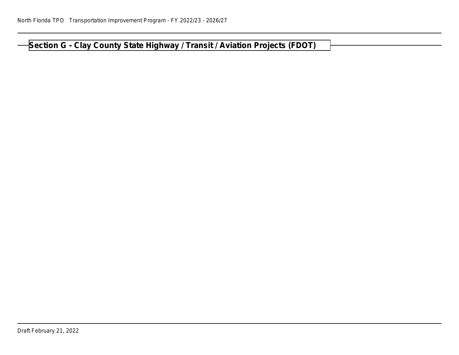# **Section G - Clay County State Highway / Transit / Aviation Projects (FDOT)**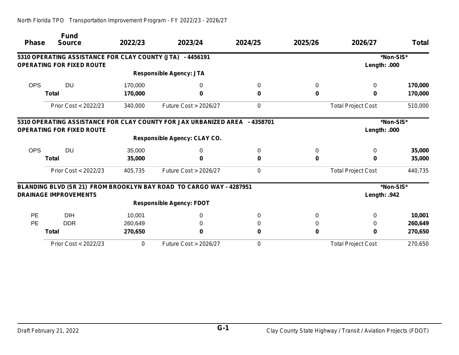|              | <b>Fund</b>                                               |         |                                                                     |            |         |                           |              |
|--------------|-----------------------------------------------------------|---------|---------------------------------------------------------------------|------------|---------|---------------------------|--------------|
| <b>Phase</b> | <b>Source</b>                                             | 2022/23 | 2023/24                                                             | 2024/25    | 2025/26 | 2026/27                   | <b>Total</b> |
|              | 5310 OPERATING ASSISTANCE FOR CLAY COUNTY (JTA) - 4456191 |         |                                                                     |            |         |                           | *Non-SIS*    |
|              | <b>OPERATING FOR FIXED ROUTE</b>                          |         |                                                                     |            |         | Length: .000              |              |
|              |                                                           |         | <b>Responsible Agency: JTA</b>                                      |            |         |                           |              |
| <b>OPS</b>   | <b>DU</b>                                                 | 170,000 | 0                                                                   | 0          | 0       | $\Omega$                  | 170,000      |
|              | <b>Total</b>                                              | 170,000 | 0                                                                   | 0          | 0       | 0                         | 170,000      |
|              | Prior Cost < 2022/23                                      | 340,000 | Future Cost > 2026/27                                               | 0          |         | <b>Total Project Cost</b> | 510,000      |
|              |                                                           |         | 5310 OPERATING ASSISTANCE FOR CLAY COUNTY FOR JAX URBANIZED AREA    | $-4358701$ |         |                           | *Non-SIS*    |
|              | <b>OPERATING FOR FIXED ROUTE</b>                          |         |                                                                     |            |         | Length: .000              |              |
|              |                                                           |         | <b>Responsible Agency: CLAY CO.</b>                                 |            |         |                           |              |
| <b>OPS</b>   | <b>DU</b>                                                 | 35,000  | 0                                                                   | 0          | 0       | $\Omega$                  | 35,000       |
|              | <b>Total</b>                                              | 35,000  |                                                                     |            | 0       | 0                         | 35,000       |
|              | Prior Cost < 2022/23                                      | 405,735 | <b>Future Cost &gt; 2026/27</b>                                     | 0          |         | <b>Total Project Cost</b> | 440,735      |
|              |                                                           |         | BLANDING BLVD (SR 21) FROM BROOKLYN BAY ROAD TO CARGO WAY - 4287951 |            |         |                           | *Non-SIS*    |
|              | <b>DRAINAGE IMPROVEMENTS</b>                              |         |                                                                     |            |         | Length: .942              |              |
|              |                                                           |         | <b>Responsible Agency: FDOT</b>                                     |            |         |                           |              |
| <b>PE</b>    | <b>DIH</b>                                                | 10,001  | 0                                                                   | 0          | 0       | 0                         | 10,001       |
| <b>PE</b>    | <b>DDR</b>                                                | 260,649 |                                                                     |            | 0       | 0                         | 260,649      |
|              | <b>Total</b>                                              | 270,650 |                                                                     |            | 0       | 0                         | 270,650      |
|              | Prior Cost < 2022/23                                      | 0       | <b>Future Cost &gt; 2026/27</b>                                     | 0          |         | <b>Total Project Cost</b> | 270,650      |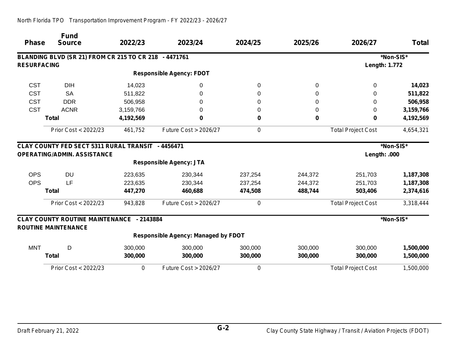| <b>Phase</b>       | <b>Fund</b><br><b>Source</b>                                                            | 2022/23   | 2023/24                                    | 2024/25 | 2025/26 | 2026/27                   | <b>Total</b> |
|--------------------|-----------------------------------------------------------------------------------------|-----------|--------------------------------------------|---------|---------|---------------------------|--------------|
|                    | BLANDING BLVD (SR 21) FROM CR 215 TO CR 218 - 4471761                                   |           |                                            |         |         |                           | *Non-SIS*    |
| <b>RESURFACING</b> |                                                                                         |           |                                            |         |         | <b>Length: 1.772</b>      |              |
|                    |                                                                                         |           | <b>Responsible Agency: FDOT</b>            |         |         |                           |              |
| <b>CST</b>         | <b>DIH</b>                                                                              | 14,023    | 0                                          | 0       | 0       | 0                         | 14,023       |
| <b>CST</b>         | <b>SA</b>                                                                               | 511,822   | $\Omega$                                   | O       | 0       | 0                         | 511,822      |
| <b>CST</b>         | <b>DDR</b>                                                                              | 506,958   | 0                                          | 0       | 0       | 0                         | 506,958      |
| <b>CST</b>         | <b>ACNR</b>                                                                             | 3,159,766 | 0                                          | 0       | 0       | 0                         | 3,159,766    |
|                    | <b>Total</b>                                                                            | 4,192,569 | 0                                          | 0       | 0       | 0                         | 4,192,569    |
|                    | Prior Cost < 2022/23                                                                    | 461,752   | <b>Future Cost &gt; 2026/27</b>            | 0       |         | <b>Total Project Cost</b> | 4,654,321    |
|                    | CLAY COUNTY FED SECT 5311 RURAL TRANSIT - 4456471<br><b>OPERATING/ADMIN. ASSISTANCE</b> |           | <b>Responsible Agency: JTA</b>             |         |         | Length: .000              | *Non-SIS*    |
| <b>OPS</b>         | <b>DU</b>                                                                               | 223,635   | 230,344                                    | 237,254 | 244,372 | 251,703                   | 1,187,308    |
| <b>OPS</b>         | LF                                                                                      | 223,635   | 230,344                                    | 237,254 | 244,372 | 251,703                   | 1,187,308    |
|                    | <b>Total</b>                                                                            | 447,270   | 460,688                                    | 474,508 | 488,744 | 503,406                   | 2,374,616    |
|                    | Prior Cost < 2022/23                                                                    | 943,828   | Future Cost > 2026/27                      | 0       |         | <b>Total Project Cost</b> | 3,318,444    |
|                    | <b>CLAY COUNTY ROUTINE MAINTENANCE - 2143884</b><br><b>ROUTINE MAINTENANCE</b>          |           |                                            |         |         |                           | *Non-SIS*    |
|                    |                                                                                         |           | <b>Responsible Agency: Managed by FDOT</b> |         |         |                           |              |
| <b>MNT</b>         | D                                                                                       | 300,000   | 300,000                                    | 300,000 | 300,000 | 300,000                   | 1,500,000    |
|                    | <b>Total</b>                                                                            | 300,000   | 300,000                                    | 300,000 | 300,000 | 300,000                   | 1,500,000    |
|                    | Prior Cost < 2022/23                                                                    | 0         | <b>Future Cost &gt; 2026/27</b>            | 0       |         | <b>Total Project Cost</b> | 1,500,000    |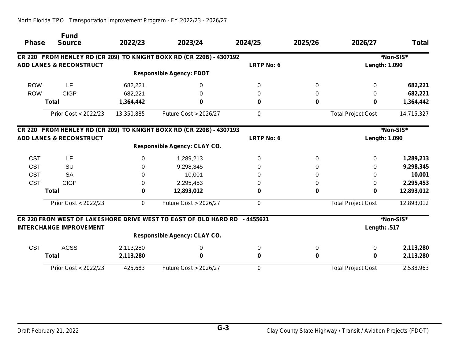| <b>Phase</b> | <b>Fund</b><br><b>Source</b>       | 2022/23    | 2023/24                                                                   | 2024/25           | 2025/26 | 2026/27                   | <b>Total</b> |
|--------------|------------------------------------|------------|---------------------------------------------------------------------------|-------------------|---------|---------------------------|--------------|
|              |                                    |            | CR 220 FROM HENLEY RD (CR 209) TO KNIGHT BOXX RD (CR 220B) - 4307192      |                   |         |                           | *Non-SIS*    |
|              | <b>ADD LANES &amp; RECONSTRUCT</b> |            |                                                                           | <b>LRTP No: 6</b> |         | Length: 1.090             |              |
|              |                                    |            | <b>Responsible Agency: FDOT</b>                                           |                   |         |                           |              |
| <b>ROW</b>   | <b>LF</b>                          | 682,221    | 0                                                                         | $\Omega$          | 0       | 0                         | 682,221      |
| <b>ROW</b>   | <b>CIGP</b>                        | 682,221    | 0                                                                         |                   | 0       | 0                         | 682,221      |
|              | <b>Total</b>                       | 1,364,442  | 0                                                                         | 0                 | 0       | 0                         | 1,364,442    |
|              | Prior Cost < 2022/23               | 13,350,885 | <b>Future Cost &gt; 2026/27</b>                                           | 0                 |         | <b>Total Project Cost</b> | 14,715,327   |
|              |                                    |            | CR 220 FROM HENLEY RD (CR 209) TO KNIGHT BOXX RD (CR 220B) - 4307193      |                   |         |                           | *Non-SIS*    |
|              | <b>ADD LANES &amp; RECONSTRUCT</b> |            |                                                                           | <b>LRTP No: 6</b> |         | Length: 1.090             |              |
|              |                                    |            | <b>Responsible Agency: CLAY CO.</b>                                       |                   |         |                           |              |
| <b>CST</b>   | LF                                 | $\Omega$   | 1,289,213                                                                 | $\Omega$          | 0       | 0                         | 1,289,213    |
| <b>CST</b>   | <b>SU</b>                          | 0          | 9,298,345                                                                 | 0                 | 0       | 0                         | 9,298,345    |
| <b>CST</b>   | <b>SA</b>                          | 0          | 10,001                                                                    |                   | 0       |                           | 10,001       |
| <b>CST</b>   | <b>CIGP</b>                        | 0          | 2,295,453                                                                 |                   | 0       | 0                         | 2,295,453    |
|              | <b>Total</b>                       | 0          | 12,893,012                                                                | 0                 | 0       | 0                         | 12,893,012   |
|              | Prior Cost < 2022/23               | 0          | Future Cost > 2026/27                                                     | 0                 |         | <b>Total Project Cost</b> | 12,893,012   |
|              |                                    |            | CR 220 FROM WEST OF LAKESHORE DRIVE WEST TO EAST OF OLD HARD RD - 4455621 |                   |         |                           | *Non-SIS*    |
|              | <b>INTERCHANGE IMPROVEMENT</b>     |            |                                                                           |                   |         | Length: .517              |              |
|              |                                    |            | <b>Responsible Agency: CLAY CO.</b>                                       |                   |         |                           |              |
| <b>CST</b>   | <b>ACSS</b>                        | 2,113,280  | 0                                                                         | 0                 | 0       | 0                         | 2,113,280    |
|              | <b>Total</b>                       | 2,113,280  | 0                                                                         | 0                 | 0       | 0                         | 2,113,280    |
|              | Prior Cost < 2022/23               | 425,683    | Future Cost > 2026/27                                                     | 0                 |         | <b>Total Project Cost</b> | 2,538,963    |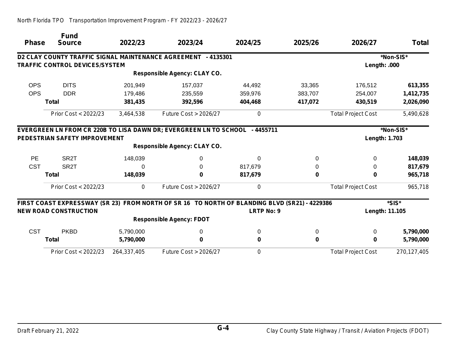| <b>Phase</b> | <b>Fund</b><br><b>Source</b>          | 2022/23     | 2023/24                                                                                       | 2024/25           | 2025/26 | 2026/27                   | <b>Total</b>  |
|--------------|---------------------------------------|-------------|-----------------------------------------------------------------------------------------------|-------------------|---------|---------------------------|---------------|
|              |                                       |             |                                                                                               |                   |         |                           |               |
|              |                                       |             | D2 CLAY COUNTY TRAFFIC SIGNAL MAINTENANCE AGREEMENT - 4135301                                 |                   |         |                           | *Non-SIS*     |
|              | <b>TRAFFIC CONTROL DEVICES/SYSTEM</b> |             |                                                                                               |                   |         | Length: .000              |               |
|              |                                       |             | <b>Responsible Agency: CLAY CO.</b>                                                           |                   |         |                           |               |
| <b>OPS</b>   | <b>DITS</b>                           | 201,949     | 157,037                                                                                       | 44,492            | 33,365  | 176,512                   | 613,355       |
| <b>OPS</b>   | <b>DDR</b>                            | 179,486     | 235,559                                                                                       | 359,976           | 383,707 | 254,007                   | 1,412,735     |
|              | <b>Total</b>                          | 381,435     | 392,596                                                                                       | 404,468           | 417,072 | 430,519                   | 2,026,090     |
|              | Prior Cost < 2022/23                  | 3,464,538   | <b>Future Cost &gt; 2026/27</b>                                                               | 0                 |         | <b>Total Project Cost</b> | 5,490,628     |
|              |                                       |             | EVERGREEN LN FROM CR 220B TO LISA DAWN DR; EVERGREEN LN TO SCHOOL - 4455711                   |                   |         |                           | *Non-SIS*     |
|              | PEDESTRIAN SAFETY IMPROVEMENT         |             |                                                                                               |                   |         | Length: 1.703             |               |
|              |                                       |             | <b>Responsible Agency: CLAY CO.</b>                                                           |                   |         |                           |               |
| <b>PE</b>    | SR <sub>2</sub> T                     | 148,039     | 0                                                                                             | $\Omega$          | 0       | $\Omega$                  | 148,039       |
| <b>CST</b>   | SR <sub>2</sub> T                     | 0           | 0                                                                                             | 817,679           | 0       | 0                         | 817,679       |
|              | <b>Total</b>                          | 148,039     | 0                                                                                             | 817,679           | 0       | 0                         | 965,718       |
|              | Prior Cost < 2022/23                  | $\theta$    | Future $Cost > 2026/27$                                                                       | 0                 |         | <b>Total Project Cost</b> | 965,718       |
|              |                                       |             | FIRST COAST EXPRESSWAY (SR 23) FROM NORTH OF SR 16 TO NORTH OF BLANDING BLVD (SR21) - 4229386 |                   |         |                           | *SIS*         |
|              | <b>NEW ROAD CONSTRUCTION</b>          |             |                                                                                               | <b>LRTP No: 9</b> |         | Length: 11.105            |               |
|              |                                       |             | <b>Responsible Agency: FDOT</b>                                                               |                   |         |                           |               |
| <b>CST</b>   | <b>PKBD</b>                           | 5,790,000   | 0                                                                                             | 0                 | 0       | 0                         | 5,790,000     |
|              | <b>Total</b>                          | 5,790,000   | 0                                                                                             | 0                 | 0       | 0                         | 5,790,000     |
|              | Prior Cost < 2022/23                  | 264,337,405 | <b>Future Cost &gt; 2026/27</b>                                                               | 0                 |         | <b>Total Project Cost</b> | 270, 127, 405 |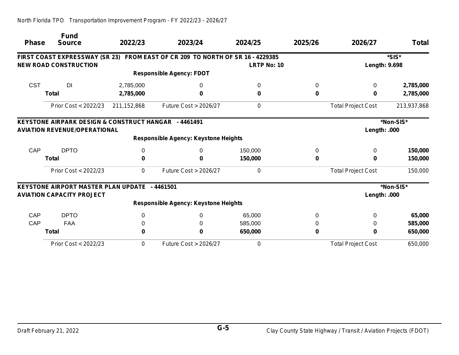|              | <b>Fund</b>                                          |               |                                                                                |                    |         |                           |              |
|--------------|------------------------------------------------------|---------------|--------------------------------------------------------------------------------|--------------------|---------|---------------------------|--------------|
| <b>Phase</b> | <b>Source</b>                                        | 2022/23       | 2023/24                                                                        | 2024/25            | 2025/26 | 2026/27                   | <b>Total</b> |
|              |                                                      |               | FIRST COAST EXPRESSWAY (SR 23) FROM EAST OF CR 209 TO NORTH OF SR 16 - 4229385 |                    |         |                           | *SIS*        |
|              | <b>NEW ROAD CONSTRUCTION</b>                         |               |                                                                                | <b>LRTP No: 10</b> |         | <b>Length: 9.698</b>      |              |
|              |                                                      |               | <b>Responsible Agency: FDOT</b>                                                |                    |         |                           |              |
| <b>CST</b>   | DI                                                   | 2,785,000     | 0                                                                              | 0                  | 0       | $\Omega$                  | 2,785,000    |
|              | <b>Total</b>                                         | 2,785,000     | 0                                                                              | 0                  | 0       | 0                         | 2,785,000    |
|              | Prior Cost < 2022/23                                 | 211, 152, 868 | Future Cost > 2026/27                                                          | 0                  |         | <b>Total Project Cost</b> | 213,937,868  |
|              | KEYSTONE AIRPARK DESIGN & CONSTRUCT HANGAR - 4461491 |               |                                                                                |                    |         |                           | *Non-SIS*    |
|              | <b>AVIATION REVENUE/OPERATIONAL</b>                  |               |                                                                                |                    |         | Length: .000              |              |
|              |                                                      |               | <b>Responsible Agency: Keystone Heights</b>                                    |                    |         |                           |              |
| CAP          | <b>DPTO</b>                                          | 0             | 0                                                                              | 150,000            | 0       | $\Omega$                  | 150,000      |
|              | <b>Total</b>                                         |               | 0                                                                              | 150,000            | 0       | 0                         | 150,000      |
|              | Prior Cost < 2022/23                                 | 0             | Future Cost > 2026/27                                                          | 0                  |         | <b>Total Project Cost</b> | 150,000      |
|              | <b>KEYSTONE AIRPORT MASTER PLAN UPDATE - 4461501</b> |               |                                                                                |                    |         |                           | *Non-SIS*    |
|              | <b>AVIATION CAPACITY PROJECT</b>                     |               |                                                                                |                    |         | Length: .000              |              |
|              |                                                      |               | <b>Responsible Agency: Keystone Heights</b>                                    |                    |         |                           |              |
| CAP          | <b>DPTO</b>                                          | 0             | 0                                                                              | 65,000             | 0       | 0                         | 65,000       |
| CAP          | <b>FAA</b>                                           |               | $\Omega$                                                                       | 585,000            | 0       | 0                         | 585,000      |
|              | <b>Total</b>                                         |               | 0                                                                              | 650,000            | 0       | 0                         | 650,000      |
|              | Prior Cost < 2022/23                                 | 0             | Future Cost > 2026/27                                                          | 0                  |         | <b>Total Project Cost</b> | 650,000      |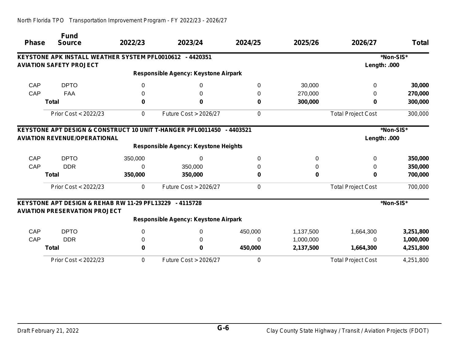| <b>Phase</b> | <b>Fund</b><br><b>Source</b>                             | 2022/23 | 2023/24                                                               | 2024/25  | 2025/26   | 2026/27                   | Total     |
|--------------|----------------------------------------------------------|---------|-----------------------------------------------------------------------|----------|-----------|---------------------------|-----------|
|              | KEYSTONE APK INSTALL WEATHER SYSTEM PFL0010612 - 4420351 |         |                                                                       |          |           |                           | *Non-SIS* |
|              | <b>AVIATION SAFETY PROJECT</b>                           |         |                                                                       |          |           | Length: .000              |           |
|              |                                                          |         | <b>Responsible Agency: Keystone Airpark</b>                           |          |           |                           |           |
| CAP          | <b>DPTO</b>                                              | 0       | 0                                                                     | 0        | 30,000    | 0                         | 30,000    |
| CAP          | <b>FAA</b>                                               | 0       | 0                                                                     | 0        | 270,000   | 0                         | 270,000   |
|              | <b>Total</b>                                             | 0       | 0                                                                     | 0        | 300,000   | 0                         | 300,000   |
|              | Prior Cost < 2022/23                                     | 0       | <b>Future Cost &gt; 2026/27</b>                                       | 0        |           | <b>Total Project Cost</b> | 300,000   |
|              |                                                          |         | KEYSTONE APT DESIGN & CONSTRUCT 10 UNIT T-HANGER PFL0011450 - 4403521 |          |           |                           | *Non-SIS* |
|              | <b>AVIATION REVENUE/OPERATIONAL</b>                      |         |                                                                       |          |           | Length: .000              |           |
|              |                                                          |         | <b>Responsible Agency: Keystone Heights</b>                           |          |           |                           |           |
| CAP          | <b>DPTO</b>                                              | 350,000 | 0                                                                     | $\Omega$ | 0         | $\Omega$                  | 350,000   |
| CAP          | <b>DDR</b>                                               | O       | 350,000                                                               | 0        | 0         | 0                         | 350,000   |
|              | <b>Total</b>                                             | 350,000 | 350,000                                                               | 0        | 0         | 0                         | 700,000   |
|              | Prior Cost < 2022/23                                     | 0       | Future Cost > 2026/27                                                 | 0        |           | <b>Total Project Cost</b> | 700,000   |
|              | KEYSTONE APT DESIGN & REHAB RW 11-29 PFL13229 - 4115728  |         |                                                                       |          |           |                           | *Non-SIS* |
|              | <b>AVIATION PRESERVATION PROJECT</b>                     |         |                                                                       |          |           |                           |           |
|              |                                                          |         | Responsible Agency: Keystone Airpark                                  |          |           |                           |           |
| CAP          | <b>DPTO</b>                                              | 0       | 0                                                                     | 450,000  | 1,137,500 | 1,664,300                 | 3,251,800 |
| CAP          | <b>DDR</b>                                               |         | 0                                                                     | $\Omega$ | 1,000,000 | 0                         | 1,000,000 |
|              | <b>Total</b>                                             | 0       | 0                                                                     | 450,000  | 2,137,500 | 1,664,300                 | 4,251,800 |
|              | Prior Cost < 2022/23                                     | 0       | Future Cost > 2026/27                                                 | 0        |           | <b>Total Project Cost</b> | 4,251,800 |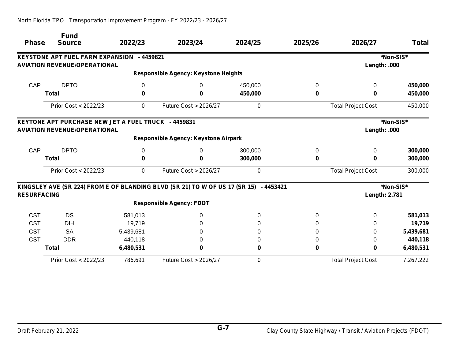|                    | <b>Fund</b>                                         |           |                                                                                       |         |         |                           |              |
|--------------------|-----------------------------------------------------|-----------|---------------------------------------------------------------------------------------|---------|---------|---------------------------|--------------|
| <b>Phase</b>       | <b>Source</b>                                       | 2022/23   | 2023/24                                                                               | 2024/25 | 2025/26 | 2026/27                   | <b>Total</b> |
|                    | KEYSTONE APT FUEL FARM EXPANSION - 4459821          |           |                                                                                       |         |         |                           | *Non-SIS*    |
|                    | <b>AVIATION REVENUE/OPERATIONAL</b>                 |           |                                                                                       |         |         | Length: .000              |              |
|                    |                                                     |           | <b>Responsible Agency: Keystone Heights</b>                                           |         |         |                           |              |
| CAP                | <b>DPTO</b>                                         | 0         | $\Omega$                                                                              | 450,000 | 0       | 0                         | 450,000      |
|                    | <b>Total</b>                                        | 0         | 0                                                                                     | 450,000 | 0       | 0                         | 450,000      |
|                    | Prior Cost < 2022/23                                | 0         | Future Cost > 2026/27                                                                 | 0       |         | <b>Total Project Cost</b> | 450,000      |
|                    | KEYTONE APT PURCHASE NEW JET A FUEL TRUCK - 4459831 |           |                                                                                       |         |         |                           | *Non-SIS*    |
|                    | <b>AVIATION REVENUE/OPERATIONAL</b>                 |           |                                                                                       |         |         | Length: .000              |              |
|                    |                                                     |           | Responsible Agency: Keystone Airpark                                                  |         |         |                           |              |
| CAP                | <b>DPTO</b>                                         | 0         | $\Omega$                                                                              | 300,000 | 0       | 0                         | 300,000      |
|                    | <b>Total</b>                                        | 0         | 0                                                                                     | 300,000 | 0       | n                         | 300,000      |
|                    | Prior Cost < 2022/23                                | 0         | <b>Future Cost &gt; 2026/27</b>                                                       | 0       |         | <b>Total Project Cost</b> | 300,000      |
|                    |                                                     |           | KINGSLEY AVE (SR 224) FROM E OF BLANDING BLVD (SR 21) TO W OF US 17 (SR 15) - 4453421 |         |         |                           | *Non-SIS*    |
| <b>RESURFACING</b> |                                                     |           |                                                                                       |         |         | Length: 2.781             |              |
|                    |                                                     |           | <b>Responsible Agency: FDOT</b>                                                       |         |         |                           |              |
| <b>CST</b>         | <b>DS</b>                                           | 581,013   | $\Omega$                                                                              | 0       | 0       | 0                         | 581,013      |
| <b>CST</b>         | <b>DIH</b>                                          | 19,719    | 0                                                                                     |         | 0       | 0                         | 19,719       |
| <b>CST</b>         | <b>SA</b>                                           | 5,439,681 | 0                                                                                     | 0       | 0       | 0                         | 5,439,681    |
| <b>CST</b>         | <b>DDR</b>                                          | 440,118   | 0                                                                                     |         | 0       | 0                         | 440,118      |
|                    | <b>Total</b>                                        | 6,480,531 | 0                                                                                     | 0       | 0       | 0                         | 6,480,531    |
|                    | Prior Cost < 2022/23                                | 786,691   | <b>Future Cost &gt; 2026/27</b>                                                       | 0       |         | <b>Total Project Cost</b> | 7,267,222    |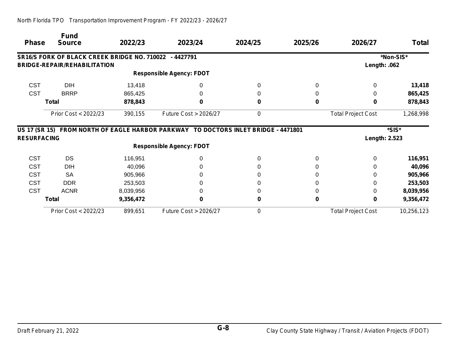| <b>Phase</b>       | <b>Fund</b><br><b>Source</b>                        | 2022/23   | 2023/24                                                                            | 2024/25 | 2025/26 | 2026/27                   | <b>Total</b> |
|--------------------|-----------------------------------------------------|-----------|------------------------------------------------------------------------------------|---------|---------|---------------------------|--------------|
|                    | <b>SR16/S FORK OF BLACK CREEK BRIDGE NO. 710022</b> |           | - 4427791                                                                          |         |         |                           | *Non-SIS*    |
|                    | <b>BRIDGE-REPAIR/REHABILITATION</b>                 |           |                                                                                    |         |         | Length: .062              |              |
|                    |                                                     |           | <b>Responsible Agency: FDOT</b>                                                    |         |         |                           |              |
| <b>CST</b>         | <b>DIH</b>                                          | 13,418    | 0                                                                                  |         | 0       | 0                         | 13,418       |
| <b>CST</b>         | <b>BRRP</b>                                         | 865,425   |                                                                                    |         | 0       |                           | 865,425      |
|                    | <b>Total</b>                                        | 878,843   | 0                                                                                  | 0       | 0       | 0                         | 878,843      |
|                    | Prior Cost < 2022/23                                | 390, 155  | Future Cost > 2026/27                                                              | 0       |         | <b>Total Project Cost</b> | 1,268,998    |
|                    |                                                     |           | US 17 (SR 15) FROM NORTH OF EAGLE HARBOR PARKWAY TO DOCTORS INLET BRIDGE - 4471801 |         |         |                           | *SIS*        |
| <b>RESURFACING</b> |                                                     |           |                                                                                    |         |         | <b>Length: 2.523</b>      |              |
|                    |                                                     |           | <b>Responsible Agency: FDOT</b>                                                    |         |         |                           |              |
| <b>CST</b>         | <b>DS</b>                                           | 116,951   | $\Omega$                                                                           |         |         | $\Omega$                  | 116,951      |
| <b>CST</b>         | <b>DIH</b>                                          | 40,096    |                                                                                    |         |         | <sup>0</sup>              | 40,096       |
| <b>CST</b>         | <b>SA</b>                                           | 905,966   |                                                                                    |         |         |                           | 905,966      |
| <b>CST</b>         | <b>DDR</b>                                          | 253,503   |                                                                                    |         |         |                           | 253,503      |
| <b>CST</b>         | <b>ACNR</b>                                         | 8,039,956 |                                                                                    |         |         | 0                         | 8,039,956    |
|                    | <b>Total</b>                                        | 9,356,472 | 0                                                                                  | 0       | 0       | 0                         | 9,356,472    |
|                    |                                                     |           |                                                                                    |         |         |                           |              |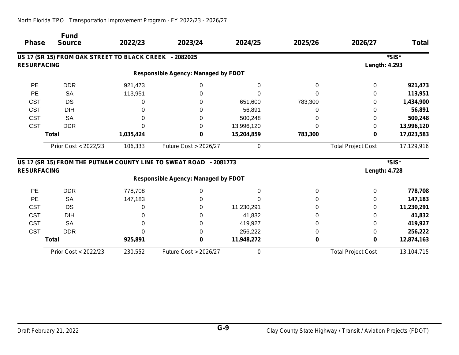|                    | <b>Fund</b>                                            |           |                                                                   |            |         |                           |              |
|--------------------|--------------------------------------------------------|-----------|-------------------------------------------------------------------|------------|---------|---------------------------|--------------|
| <b>Phase</b>       | <b>Source</b>                                          | 2022/23   | 2023/24                                                           | 2024/25    | 2025/26 | 2026/27                   | <b>Total</b> |
|                    | US 17 (SR 15) FROM OAK STREET TO BLACK CREEK - 2082025 |           |                                                                   |            |         |                           | *SIS*        |
| <b>RESURFACING</b> |                                                        |           |                                                                   |            |         | <b>Length: 4.293</b>      |              |
|                    |                                                        |           | <b>Responsible Agency: Managed by FDOT</b>                        |            |         |                           |              |
| <b>PE</b>          | <b>DDR</b>                                             | 921,473   | 0                                                                 |            | ი       | 0                         | 921,473      |
| PE                 | <b>SA</b>                                              | 113,951   | O                                                                 |            |         | 0                         | 113,951      |
| <b>CST</b>         | <b>DS</b>                                              |           |                                                                   | 651,600    | 783,300 | 0                         | 1,434,900    |
| <b>CST</b>         | <b>DIH</b>                                             |           | 0                                                                 | 56,891     |         | 0                         | 56,891       |
| <b>CST</b>         | <b>SA</b>                                              |           | 0                                                                 | 500,248    |         | 0                         | 500,248      |
| <b>CST</b>         | <b>DDR</b>                                             |           | 0                                                                 | 13,996,120 |         | 0                         | 13,996,120   |
|                    | <b>Total</b>                                           | 1,035,424 | 0                                                                 | 15,204,859 | 783,300 | 0                         | 17,023,583   |
|                    | Prior Cost < 2022/23                                   | 106,333   | Future Cost > 2026/27                                             | 0          |         | <b>Total Project Cost</b> | 17,129,916   |
|                    |                                                        |           | US 17 (SR 15) FROM THE PUTNAM COUNTY LINE TO SWEAT ROAD - 2081773 |            |         |                           | *SIS*        |
| <b>RESURFACING</b> |                                                        |           |                                                                   |            |         | <b>Length: 4.728</b>      |              |
|                    |                                                        |           | <b>Responsible Agency: Managed by FDOT</b>                        |            |         |                           |              |
| PE                 | <b>DDR</b>                                             | 778,708   | 0                                                                 | $\Omega$   | 0       | 0                         | 778,708      |
| PE                 | <b>SA</b>                                              | 147,183   | 0                                                                 |            | 0       | 0                         | 147,183      |
| <b>CST</b>         | DS                                                     |           | 0                                                                 | 11,230,291 |         | 0                         | 11,230,291   |
| <b>CST</b>         | <b>DIH</b>                                             |           |                                                                   | 41,832     |         |                           | 41,832       |
| <b>CST</b>         | <b>SA</b>                                              |           | 0                                                                 | 419,927    | 0       | 0                         | 419,927      |
| <b>CST</b>         | <b>DDR</b>                                             |           | 0                                                                 | 256,222    |         | 0                         | 256,222      |
|                    | <b>Total</b>                                           | 925,891   | 0                                                                 | 11,948,272 | 0       | 0                         | 12,874,163   |
|                    | Prior Cost < 2022/23                                   | 230,552   | Future Cost > 2026/27                                             | 0          |         | <b>Total Project Cost</b> | 13, 104, 715 |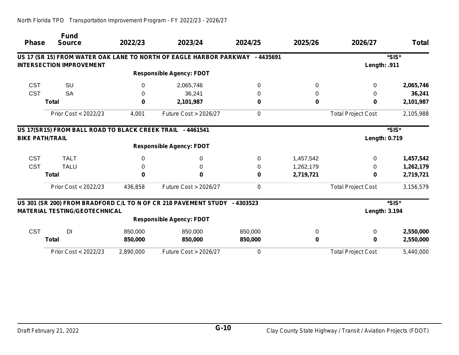|                        | <b>Fund</b>                                               |              |                                                                              |          |           |                           |              |
|------------------------|-----------------------------------------------------------|--------------|------------------------------------------------------------------------------|----------|-----------|---------------------------|--------------|
| <b>Phase</b>           | <b>Source</b>                                             | 2022/23      | 2023/24                                                                      | 2024/25  | 2025/26   | 2026/27                   | <b>Total</b> |
|                        |                                                           |              | US 17 (SR 15) FROM WATER OAK LANE TO NORTH OF EAGLE HARBOR PARKWAY - 4435691 |          |           |                           | *SIS*        |
|                        | <b>INTERSECTION IMPROVEMENT</b>                           |              |                                                                              |          |           | Length: .911              |              |
|                        |                                                           |              | <b>Responsible Agency: FDOT</b>                                              |          |           |                           |              |
| <b>CST</b>             | <b>SU</b>                                                 | $\Omega$     | 2,065,746                                                                    | $\Omega$ | 0         | 0                         | 2,065,746    |
| <b>CST</b>             | <b>SA</b>                                                 | 0            | 36,241                                                                       | 0        | 0         | 0                         | 36,241       |
|                        | <b>Total</b>                                              | $\mathbf{0}$ | 2,101,987                                                                    | 0        | 0         | 0                         | 2,101,987    |
|                        | Prior Cost < 2022/23                                      | 4,001        | Future Cost > 2026/27                                                        | 0        |           | <b>Total Project Cost</b> | 2,105,988    |
|                        | US 17(SR15) FROM BALL ROAD TO BLACK CREEK TRAIL - 4461541 |              |                                                                              |          |           |                           | *SIS*        |
| <b>BIKE PATH/TRAIL</b> |                                                           |              |                                                                              |          |           | <b>Length: 0.719</b>      |              |
|                        |                                                           |              | <b>Responsible Agency: FDOT</b>                                              |          |           |                           |              |
| <b>CST</b>             | <b>TALT</b>                                               | 0            | 0                                                                            | $\Omega$ | 1,457,542 | 0                         | 1,457,542    |
| <b>CST</b>             | <b>TALU</b>                                               |              | 0                                                                            | 0        | 1,262,179 | 0                         | 1,262,179    |
|                        | <b>Total</b>                                              | 0            | 0                                                                            | 0        | 2,719,721 | 0                         | 2,719,721    |
|                        | Prior Cost < 2022/23                                      | 436,858      | Future Cost > 2026/27                                                        | 0        |           | <b>Total Project Cost</b> | 3,156,579    |
|                        |                                                           |              | US 301 (SR 200) FROM BRADFORD C/L TO N OF CR 218 PAVEMENT STUDY - 4303523    |          |           |                           | *SIS*        |
|                        | <b>MATERIAL TESTING/GEOTECHNICAL</b>                      |              |                                                                              |          |           | Length: 3.194             |              |
|                        |                                                           |              | <b>Responsible Agency: FDOT</b>                                              |          |           |                           |              |
| <b>CST</b>             | DI                                                        | 850,000      | 850,000                                                                      | 850,000  | 0         | 0                         | 2,550,000    |
|                        | Total                                                     | 850,000      | 850,000                                                                      | 850,000  | 0         | 0                         | 2,550,000    |
|                        | Prior Cost < 2022/23                                      | 2,890,000    | <b>Future Cost &gt; 2026/27</b>                                              | 0        |           | <b>Total Project Cost</b> | 5,440,000    |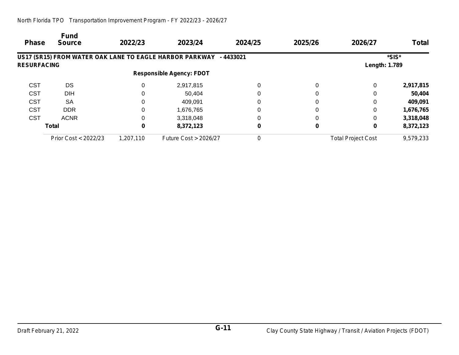|  | North Florida TPO Transportation Improvement Program - FY 2022/23 - 2026/27 |  |
|--|-----------------------------------------------------------------------------|--|
|--|-----------------------------------------------------------------------------|--|

| <b>Phase</b>       | <b>Fund</b><br><b>Source</b> | 2022/23   | 2023/24                                                           | 2024/25  | 2025/26 | 2026/27                   | <b>Total</b> |
|--------------------|------------------------------|-----------|-------------------------------------------------------------------|----------|---------|---------------------------|--------------|
|                    |                              |           | US17 (SR15) FROM WATER OAK LANE TO EAGLE HARBOR PARKWAY - 4433021 |          |         |                           | *SIS*        |
| <b>RESURFACING</b> |                              |           |                                                                   |          |         | <b>Length: 1.789</b>      |              |
|                    |                              |           | <b>Responsible Agency: FDOT</b>                                   |          |         |                           |              |
| <b>CST</b>         | <b>DS</b>                    | 0         | 2,917,815                                                         | 0        | 0       | 0                         | 2,917,815    |
| <b>CST</b>         | <b>DIH</b>                   | 0         | 50,404                                                            |          |         | 0                         | 50,404       |
| <b>CST</b>         | <b>SA</b>                    | 0         | 409,091                                                           |          |         | 0                         | 409,091      |
| <b>CST</b>         | <b>DDR</b>                   | 0         | 1,676,765                                                         |          |         | 0                         | 1,676,765    |
| <b>CST</b>         | <b>ACNR</b>                  | 0         | 3,318,048                                                         | $\Omega$ |         | 0                         | 3,318,048    |
|                    | <b>Total</b>                 | 0         | 8,372,123                                                         | 0        |         | 0                         | 8,372,123    |
|                    | Prior Cost < 2022/23         | 1,207,110 | <b>Future Cost &gt; 2026/27</b>                                   | 0        |         | <b>Total Project Cost</b> | 9,579,233    |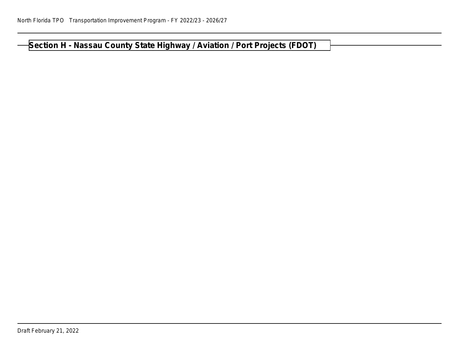# **Section H - Nassau County State Highway / Aviation / Port Projects (FDOT)**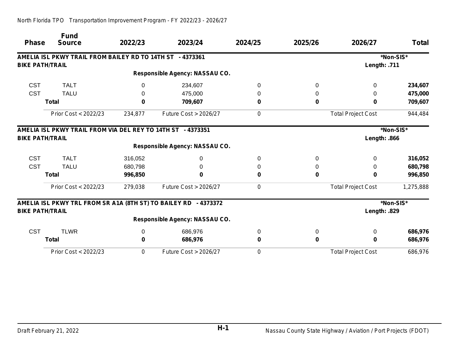|                        | <b>Fund</b>                                                 |         |                                                                 |          |         |                           |              |
|------------------------|-------------------------------------------------------------|---------|-----------------------------------------------------------------|----------|---------|---------------------------|--------------|
| <b>Phase</b>           | <b>Source</b>                                               | 2022/23 | 2023/24                                                         | 2024/25  | 2025/26 | 2026/27                   | <b>Total</b> |
|                        | AMELIA ISL PKWY TRAIL FROM BAILEY RD TO 14TH ST - 4373361   |         |                                                                 |          |         |                           | *Non-SIS*    |
| <b>BIKE PATH/TRAIL</b> |                                                             |         |                                                                 |          |         | Length: .711              |              |
|                        |                                                             |         | <b>Responsible Agency: NASSAU CO.</b>                           |          |         |                           |              |
| <b>CST</b>             | <b>TALT</b>                                                 | 0       | 234,607                                                         | 0        | 0       | 0                         | 234,607      |
| <b>CST</b>             | <b>TALU</b>                                                 | 0       | 475,000                                                         | 0        | 0       | 0                         | 475,000      |
|                        | <b>Total</b>                                                | 0       | 709,607                                                         | 0        | 0       | 0                         | 709,607      |
|                        | Prior Cost < 2022/23                                        | 234,877 | Future Cost > 2026/27                                           | 0        |         | <b>Total Project Cost</b> | 944,484      |
|                        | AMELIA ISL PKWY TRAIL FROM VIA DEL REY TO 14TH ST - 4373351 |         |                                                                 |          |         |                           | *Non-SIS*    |
| <b>BIKE PATH/TRAIL</b> |                                                             |         |                                                                 |          |         | Length: .866              |              |
|                        |                                                             |         | Responsible Agency: NASSAU CO.                                  |          |         |                           |              |
| <b>CST</b>             | <b>TALT</b>                                                 | 316,052 | 0                                                               | $\Omega$ | 0       | 0                         | 316,052      |
| <b>CST</b>             | <b>TALU</b>                                                 | 680,798 | 0                                                               | $\Omega$ | 0       |                           | 680,798      |
|                        | <b>Total</b>                                                | 996,850 | 0                                                               | 0        | 0       | 0                         | 996,850      |
|                        | Prior Cost < 2022/23                                        | 279,038 | <b>Future Cost &gt; 2026/27</b>                                 | 0        |         | <b>Total Project Cost</b> | 1,275,888    |
|                        |                                                             |         | AMELIA ISL PKWY TRL FROM SR A1A (8TH ST) TO BAILEY RD - 4373372 |          |         |                           | *Non-SIS*    |
| <b>BIKE PATH/TRAIL</b> |                                                             |         |                                                                 |          |         | <b>Length: .829</b>       |              |
|                        |                                                             |         | Responsible Agency: NASSAU CO.                                  |          |         |                           |              |
| <b>CST</b>             | <b>TLWR</b>                                                 | 0       | 686,976                                                         | 0        | 0       | 0                         | 686,976      |
|                        | <b>Total</b>                                                | 0       | 686,976                                                         | 0        | 0       | 0                         | 686,976      |
|                        | Prior Cost < 2022/23                                        | 0       | <b>Future Cost &gt; 2026/27</b>                                 | 0        |         | <b>Total Project Cost</b> | 686,976      |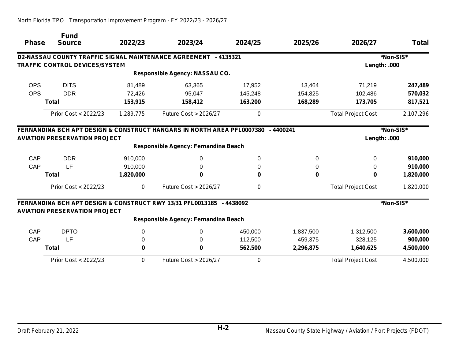**Phase Fund Source 2022/23 2023/24 2024/25 2025/26 2026/27 Total D2-NASSAU COUNTY TRAFFIC SIGNAL MAINTENANCE AGREEMENT - 4135321 \*Non-SIS\* TRAFFIC CONTROL DEVICES/SYSTEM Length: .000 Responsible Agency: NASSAU CO.** OPS DITS 81,489 63,365 17,952 13,464 71,219 **247,489** OPS DDR 72,426 95,047 145,248 154,825 102,486 **570,032 Total 153,915 158,412 163,200 168,289 173,705 817,521** *Prior Cost < 2022/23 1,289,775 Future Cost > 2026/27 0 Total Project Cost 2,107,296* **FERNANDINA BCH APT DESIGN & CONSTRUCT HANGARS IN NORTH AREA PFL0007380 - 4400241 \*Non-SIS\* AVIATION PRESERVATION PROJECT Length: .000 Responsible Agency: Fernandina Beach** CAP DDR 910,000 0 0 0 0 **910,000** CAP LF 910,000 0 0 0 0 **910,000 Total 1,820,000 0 0 0 0 1,820,000** *Prior Cost < 2022/23 0 Future Cost > 2026/27 0 Total Project Cost 1,820,000* **FERNANDINA BCH APT DESIGN & CONSTRUCT RWY 13/31 PFL0013185 - 4438092 \*Non-SIS\* AVIATION PRESERVATION PROJECT Responsible Agency: Fernandina Beach** CAP DPTO 0 0 450,000 1,837,500 1,312,500 **3,600,000** CAP LF 0 0 112,500 459,375 328,125 **900,000**

**Total 0 0 562,500 2,296,875 1,640,625 4,500,000**

*Prior Cost < 2022/23 0 Future Cost > 2026/27 0 Total Project Cost 4,500,000*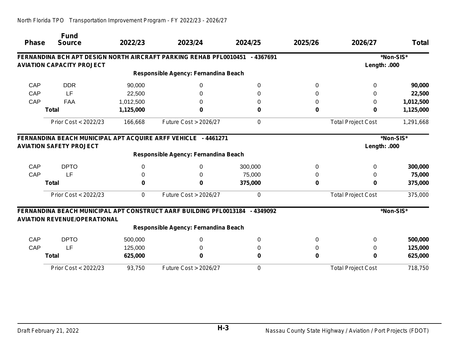| <b>Phase</b> | <b>Fund</b><br><b>Source</b>        | 2022/23   | 2023/24                                                                                               | 2024/25  | 2025/26 | 2026/27                   | Total     |
|--------------|-------------------------------------|-----------|-------------------------------------------------------------------------------------------------------|----------|---------|---------------------------|-----------|
|              |                                     |           | FERNANDINA BCH APT DESIGN NORTH AIRCRAFT PARKING REHAB PFL0010451 - 4367691                           |          |         |                           | *Non-SIS* |
|              | <b>AVIATION CAPACITY PROJECT</b>    |           |                                                                                                       |          |         | Length: .000              |           |
|              |                                     |           | Responsible Agency: Fernandina Beach                                                                  |          |         |                           |           |
| CAP          | <b>DDR</b>                          | 90,000    | 0                                                                                                     | 0        | 0       | 0                         | 90,000    |
| CAP          | LF                                  | 22,500    | 0                                                                                                     | 0        |         | 0                         | 22,500    |
| CAP          | <b>FAA</b>                          | 1,012,500 | 0                                                                                                     | O        | 0       | 0                         | 1,012,500 |
|              | <b>Total</b>                        | 1,125,000 | 0                                                                                                     | Ω        | 0       | 0                         | 1,125,000 |
|              | Prior Cost < 2022/23                | 166,668   | Future Cost > 2026/27                                                                                 | 0        |         | <b>Total Project Cost</b> | 1,291,668 |
|              | <b>AVIATION SAFETY PROJECT</b>      |           | FERNANDINA BEACH MUNICIPAL APT ACQUIRE ARFF VEHICLE - 4461271<br>Responsible Agency: Fernandina Beach |          |         | Length: .000              | *Non-SIS* |
| CAP          | <b>DPTO</b>                         | 0         | 0                                                                                                     | 300,000  | 0       | 0                         | 300,000   |
| CAP          | <b>LF</b>                           |           | 0                                                                                                     | 75,000   | 0       | 0                         | 75,000    |
|              | <b>Total</b>                        | 0         | 0                                                                                                     | 375,000  | 0       | 0                         | 375,000   |
|              | Prior Cost < 2022/23                | 0         | Future Cost > 2026/27                                                                                 | 0        |         | <b>Total Project Cost</b> | 375,000   |
|              | <b>AVIATION REVENUE/OPERATIONAL</b> |           | FERNANDINA BEACH MUNICIPAL APT CONSTRUCT AARF BUILDING PFL0013184                                     | -4349092 |         |                           | *Non-SIS* |
|              |                                     |           | Responsible Agency: Fernandina Beach                                                                  |          |         |                           |           |
| CAP          | <b>DPTO</b>                         | 500,000   | 0                                                                                                     | $\Omega$ | 0       | $\Omega$                  | 500,000   |
| CAP          | LF                                  | 125,000   | 0                                                                                                     |          | 0       |                           | 125,000   |
|              | <b>Total</b>                        | 625,000   | 0                                                                                                     | 0        | 0       | 0                         | 625,000   |
|              | Prior Cost < 2022/23                | 93,750    | Future Cost > 2026/27                                                                                 | 0        |         | <b>Total Project Cost</b> | 718,750   |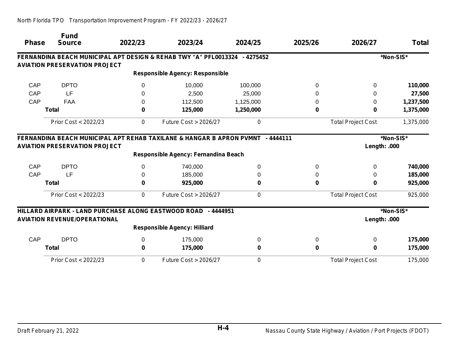|              | <b>Fund</b>                          |          |                                                                            |           |           |                           |              |
|--------------|--------------------------------------|----------|----------------------------------------------------------------------------|-----------|-----------|---------------------------|--------------|
| <b>Phase</b> | <b>Source</b>                        | 2022/23  | 2023/24                                                                    | 2024/25   | 2025/26   | 2026/27                   | <b>Total</b> |
|              |                                      |          | FERNANDINA BEACH MUNICIPAL APT DESIGN & REHAB TWY "A" PFL0013324 - 4275452 |           |           |                           | *Non-SIS*    |
|              | <b>AVIATION PRESERVATION PROJECT</b> |          |                                                                            |           |           |                           |              |
|              |                                      |          | <b>Responsible Agency: Responsible</b>                                     |           |           |                           |              |
| CAP          | <b>DPTO</b>                          | 0        | 10,000                                                                     | 100,000   | 0         | 0                         | 110,000      |
| CAP          | LF                                   |          | 2,500                                                                      | 25,000    | 0         | 0                         | 27,500       |
| CAP          | <b>FAA</b>                           | O        | 112,500                                                                    | 1,125,000 | 0         | 0                         | 1,237,500    |
|              | <b>Total</b>                         | 0        | 125,000                                                                    | 1,250,000 | 0         | 0                         | 1,375,000    |
|              | Prior Cost < 2022/23                 | 0        | <b>Future Cost &gt; 2026/27</b>                                            | 0         |           | <b>Total Project Cost</b> | 1,375,000    |
|              |                                      |          | FERNANDINA BEACH MUNICIPAL APT REHAB TAXILANE & HANGAR B APRON PVMNT       |           | - 4444111 |                           | *Non-SIS*    |
|              | <b>AVIATION PRESERVATION PROJECT</b> |          |                                                                            |           |           | Length: .000              |              |
|              |                                      |          | Responsible Agency: Fernandina Beach                                       |           |           |                           |              |
| CAP          | <b>DPTO</b>                          | $\Omega$ | 740,000                                                                    | 0         | 0         | 0                         | 740,000      |
| CAP          | LF                                   |          | 185,000                                                                    |           | 0         | 0                         | 185,000      |
|              | <b>Total</b>                         | 0        | 925,000                                                                    | O         | 0         | 0                         | 925,000      |
|              | Prior Cost < 2022/23                 | 0        | Future Cost > 2026/27                                                      | 0         |           | <b>Total Project Cost</b> | 925,000      |
|              |                                      |          | HILLARD AIRPARK - LAND PURCHASE ALONG EASTWOOD ROAD - 4444951              |           |           |                           | *Non-SIS*    |
|              | <b>AVIATION REVENUE/OPERATIONAL</b>  |          |                                                                            |           |           | Length: .000              |              |
|              |                                      |          | <b>Responsible Agency: Hilliard</b>                                        |           |           |                           |              |
| CAP          | <b>DPTO</b>                          | 0        | 175,000                                                                    | 0         | 0         | 0                         | 175,000      |
|              | <b>Total</b>                         | 0        | 175,000                                                                    | 0         | 0         | 0                         | 175,000      |
|              | Prior Cost < 2022/23                 | 0        | Future Cost > 2026/27                                                      | 0         |           | <b>Total Project Cost</b> | 175,000      |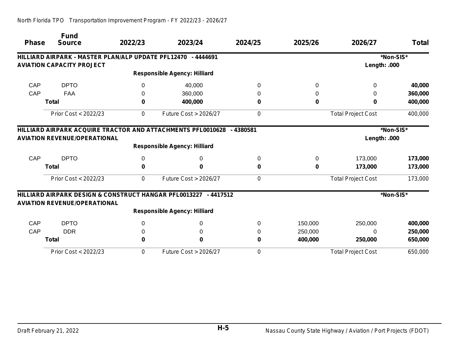|              | <b>Fund</b>                                                  |          |                                                                 |            |         |                           |              |
|--------------|--------------------------------------------------------------|----------|-----------------------------------------------------------------|------------|---------|---------------------------|--------------|
| <b>Phase</b> | <b>Source</b>                                                | 2022/23  | 2023/24                                                         | 2024/25    | 2025/26 | 2026/27                   | <b>Total</b> |
|              | HILLIARD AIRPARK - MASTER PLAN/ALP UPDATE PFL12470 - 4444691 |          |                                                                 |            |         |                           | *Non-SIS*    |
|              | <b>AVIATION CAPACITY PROJECT</b>                             |          |                                                                 |            |         | Length: .000              |              |
|              |                                                              |          | <b>Responsible Agency: Hilliard</b>                             |            |         |                           |              |
| CAP          | <b>DPTO</b>                                                  | 0        | 40,000                                                          | 0          | 0       | 0                         | 40,000       |
| CAP          | <b>FAA</b>                                                   | O        | 360,000                                                         |            | 0       | 0                         | 360,000      |
|              | <b>Total</b>                                                 | 0        | 400,000                                                         |            | 0       | 0                         | 400,000      |
|              | Prior Cost < 2022/23                                         | 0        | <b>Future Cost &gt; 2026/27</b>                                 | 0          |         | <b>Total Project Cost</b> | 400,000      |
|              |                                                              |          | HILLIARD AIRPARK ACQUIRE TRACTOR AND ATTACHMENTS PFL0010628     | $-4380581$ |         |                           | *Non-SIS*    |
|              | <b>AVIATION REVENUE/OPERATIONAL</b>                          |          |                                                                 |            |         | Length: .000              |              |
|              |                                                              |          | <b>Responsible Agency: Hilliard</b>                             |            |         |                           |              |
| CAP          | <b>DPTO</b>                                                  | 0        | 0                                                               | 0          | 0       | 173,000                   | 173,000      |
|              | <b>Total</b>                                                 | 0        | 0                                                               | 0          | 0       | 173,000                   | 173,000      |
|              | Prior Cost < 2022/23                                         | 0        | Future Cost > 2026/27                                           | 0          |         | <b>Total Project Cost</b> | 173,000      |
|              |                                                              |          | HILLIARD AIRPARK DESIGN & CONSTRUCT HANGAR PFL0013227 - 4417512 |            |         |                           | *Non-SIS*    |
|              | <b>AVIATION REVENUE/OPERATIONAL</b>                          |          |                                                                 |            |         |                           |              |
|              |                                                              |          | <b>Responsible Agency: Hilliard</b>                             |            |         |                           |              |
| CAP          | <b>DPTO</b>                                                  | $\Omega$ | 0                                                               | $\Omega$   | 150,000 | 250,000                   | 400,000      |
| CAP          | <b>DDR</b>                                                   | 0        | 0                                                               | 0          | 250,000 | $\Omega$                  | 250,000      |
|              | <b>Total</b>                                                 | 0        | $\bf{0}$                                                        | 0          | 400,000 | 250,000                   | 650,000      |
|              | Prior Cost < 2022/23                                         | 0        | Future Cost > 2026/27                                           | 0          |         | <b>Total Project Cost</b> | 650,000      |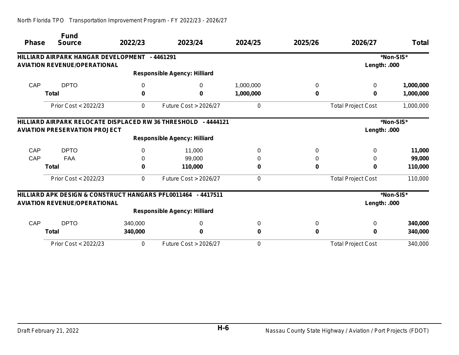|              | <b>Fund</b>                          |          |                                                               |           |         |                           |              |
|--------------|--------------------------------------|----------|---------------------------------------------------------------|-----------|---------|---------------------------|--------------|
| <b>Phase</b> | <b>Source</b>                        | 2022/23  | 2023/24                                                       | 2024/25   | 2025/26 | 2026/27                   | <b>Total</b> |
|              | HILLIARD AIRPARK HANGAR DEVELOPMENT  |          | - 4461291                                                     |           |         |                           | *Non-SIS*    |
|              | <b>AVIATION REVENUE/OPERATIONAL</b>  |          |                                                               |           |         | Length: .000              |              |
|              |                                      |          | <b>Responsible Agency: Hilliard</b>                           |           |         |                           |              |
| CAP          | <b>DPTO</b>                          | 0        | 0                                                             | 1,000,000 | 0       | 0                         | 1,000,000    |
|              | <b>Total</b>                         | 0        | 0                                                             | 1,000,000 | 0       | 0                         | 1,000,000    |
|              | Prior Cost < 2022/23                 | 0        | Future Cost > 2026/27                                         | 0         |         | <b>Total Project Cost</b> | 1,000,000    |
|              |                                      |          | HILLIARD AIRPARK RELOCATE DISPLACED RW 36 THRESHOLD - 4444121 |           |         |                           | *Non-SIS*    |
|              | <b>AVIATION PRESERVATION PROJECT</b> |          |                                                               |           |         | Length: .000              |              |
|              |                                      |          | <b>Responsible Agency: Hilliard</b>                           |           |         |                           |              |
| CAP          | <b>DPTO</b>                          | $\Omega$ | 11,000                                                        | 0         | 0       | 0                         | 11,000       |
| CAP          | <b>FAA</b>                           | 0        | 99,000                                                        |           | 0       | 0                         | 99,000       |
|              | <b>Total</b>                         | 0        | 110,000                                                       | 0         | 0       |                           | 110,000      |
|              | Prior Cost < 2022/23                 | 0        | <b>Future Cost &gt; 2026/27</b>                               | 0         |         | <b>Total Project Cost</b> | 110,000      |
|              |                                      |          | HILLIARD APK DESIGN & CONSTRUCT HANGARS PFL0011464 - 4417511  |           |         |                           | *Non-SIS*    |
|              | <b>AVIATION REVENUE/OPERATIONAL</b>  |          |                                                               |           |         | Length: .000              |              |
|              |                                      |          | <b>Responsible Agency: Hilliard</b>                           |           |         |                           |              |
| CAP          | <b>DPTO</b>                          | 340,000  | $\Omega$                                                      | $\Omega$  | 0       | 0                         | 340,000      |
|              | <b>Total</b>                         | 340,000  | 0                                                             | 0         | 0       | 0                         | 340,000      |
|              | Prior Cost < 2022/23                 | 0        | Future Cost > 2026/27                                         | 0         |         | <b>Total Project Cost</b> | 340,000      |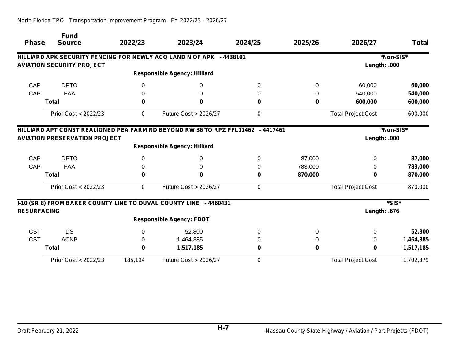| <b>Phase</b>       | <b>Fund</b><br><b>Source</b>         | 2022/23  | 2023/24                                                                         | 2024/25 | 2025/26 | 2026/27                   | <b>Total</b> |
|--------------------|--------------------------------------|----------|---------------------------------------------------------------------------------|---------|---------|---------------------------|--------------|
|                    |                                      |          | HILLIARD APK SECURITY FENCING FOR NEWLY ACQ LAND N OF APK - 4438101             |         |         |                           | *Non-SIS*    |
|                    | <b>AVIATION SECURITY PROJECT</b>     |          |                                                                                 |         |         | Length: .000              |              |
|                    |                                      |          | <b>Responsible Agency: Hilliard</b>                                             |         |         |                           |              |
| CAP                | <b>DPTO</b>                          | 0        | 0                                                                               | 0       | 0       | 60,000                    | 60,000       |
| CAP                | <b>FAA</b>                           | 0        | 0                                                                               |         | 0       | 540,000                   | 540,000      |
|                    | <b>Total</b>                         | 0        | 0                                                                               | 0       | 0       | 600,000                   | 600,000      |
|                    | Prior Cost < 2022/23                 | 0        | Future Cost > 2026/27                                                           | 0       |         | <b>Total Project Cost</b> | 600,000      |
|                    |                                      |          | HILLIARD APT CONST REALIGNED PEA FARM RD BEYOND RW 36 TO RPZ PFL11462 - 4417461 |         |         |                           | *Non-SIS*    |
|                    | <b>AVIATION PRESERVATION PROJECT</b> |          |                                                                                 |         |         | Length: .000              |              |
|                    |                                      |          | <b>Responsible Agency: Hilliard</b>                                             |         |         |                           |              |
| CAP                | <b>DPTO</b>                          | 0        | 0                                                                               | 0       | 87,000  | 0                         | 87,000       |
| CAP                | FAA                                  |          | 0                                                                               | 0       | 783,000 |                           | 783,000      |
|                    | <b>Total</b>                         | 0        | 0                                                                               | 0       | 870,000 | 0                         | 870,000      |
|                    | Prior Cost < 2022/23                 | 0        | <b>Future Cost &gt; 2026/27</b>                                                 | 0       |         | <b>Total Project Cost</b> | 870,000      |
|                    |                                      |          | I-10 (SR 8) FROM BAKER COUNTY LINE TO DUVAL COUNTY LINE - 4460431               |         |         |                           | *SIS*        |
| <b>RESURFACING</b> |                                      |          |                                                                                 |         |         | Length: .676              |              |
|                    |                                      |          | <b>Responsible Agency: FDOT</b>                                                 |         |         |                           |              |
| <b>CST</b>         | <b>DS</b>                            | 0        | 52,800                                                                          | 0       | 0       | 0                         | 52,800       |
| <b>CST</b>         | <b>ACNP</b>                          | 0        | 1,464,385                                                                       |         | 0       | 0                         | 1,464,385    |
|                    | <b>Total</b>                         | 0        | 1,517,185                                                                       |         | 0       | $\bf{0}$                  | 1,517,185    |
|                    | Prior Cost < 2022/23                 | 185, 194 | Future Cost > 2026/27                                                           | 0       |         | <b>Total Project Cost</b> | 1,702,379    |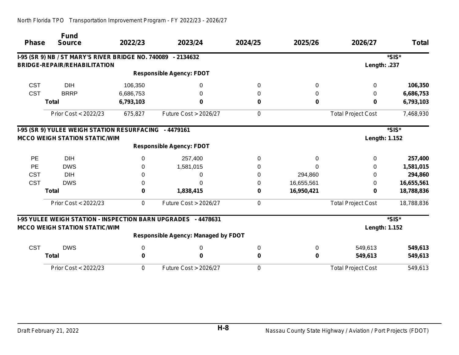| <b>Phase</b> | <b>Fund</b><br><b>Source</b>                                 | 2022/23   | 2023/24                                                       | 2024/25 | 2025/26    | 2026/27                   | Total      |
|--------------|--------------------------------------------------------------|-----------|---------------------------------------------------------------|---------|------------|---------------------------|------------|
|              | I-95 (SR 9) NB / ST MARY'S RIVER BRIDGE NO. 740089 - 2134632 |           |                                                               |         |            |                           | *SIS*      |
|              | <b>BRIDGE-REPAIR/REHABILITATION</b>                          |           |                                                               |         |            | Length: .237              |            |
|              |                                                              |           | <b>Responsible Agency: FDOT</b>                               |         |            |                           |            |
| <b>CST</b>   | <b>DIH</b>                                                   | 106,350   | 0                                                             | 0       | 0          | 0                         | 106,350    |
| <b>CST</b>   | <b>BRRP</b>                                                  | 6,686,753 | $\Omega$                                                      |         | 0          | 0                         | 6,686,753  |
|              | <b>Total</b>                                                 | 6,793,103 | 0                                                             | 0       | 0          | 0                         | 6,793,103  |
|              | Prior Cost < 2022/23                                         | 675,827   | Future Cost > 2026/27                                         | 0       |            | <b>Total Project Cost</b> | 7,468,930  |
|              | I-95 (SR 9) YULEE WEIGH STATION RESURFACING - 4479161        |           |                                                               |         |            |                           | *SIS*      |
|              | <b>MCCO WEIGH STATION STATIC/WIM</b>                         |           |                                                               |         |            | <b>Length: 1.152</b>      |            |
|              |                                                              |           | <b>Responsible Agency: FDOT</b>                               |         |            |                           |            |
| <b>PE</b>    | <b>DIH</b>                                                   | 0         | 257,400                                                       | 0       | 0          | 0                         | 257,400    |
| PE           | <b>DWS</b>                                                   | 0         | 1,581,015                                                     |         | 0          | 0                         | 1,581,015  |
| <b>CST</b>   | <b>DIH</b>                                                   | 0         | 0                                                             | 0       | 294,860    | 0                         | 294,860    |
| <b>CST</b>   | <b>DWS</b>                                                   | 0         | 0                                                             | 0       | 16,655,561 | 0                         | 16,655,561 |
|              | <b>Total</b>                                                 | 0         | 1,838,415                                                     | 0       | 16,950,421 | 0                         | 18,788,836 |
|              | Prior Cost < 2022/23                                         | 0         | Future Cost > 2026/27                                         | 0       |            | <b>Total Project Cost</b> | 18,788,836 |
|              |                                                              |           | I-95 YULEE WEIGH STATION - INSPECTION BARN UPGRADES - 4478631 |         |            |                           | *SIS*      |
|              | <b>MCCO WEIGH STATION STATIC/WIM</b>                         |           |                                                               |         |            | <b>Length: 1.152</b>      |            |
|              |                                                              |           | <b>Responsible Agency: Managed by FDOT</b>                    |         |            |                           |            |
| <b>CST</b>   | <b>DWS</b>                                                   | 0         | 0                                                             | 0       | 0          | 549,613                   | 549,613    |
|              | <b>Total</b>                                                 | 0         | 0                                                             | 0       | 0          | 549,613                   | 549,613    |
|              | Prior Cost < 2022/23                                         | 0         | Future Cost > 2026/27                                         | 0       |            | <b>Total Project Cost</b> | 549,613    |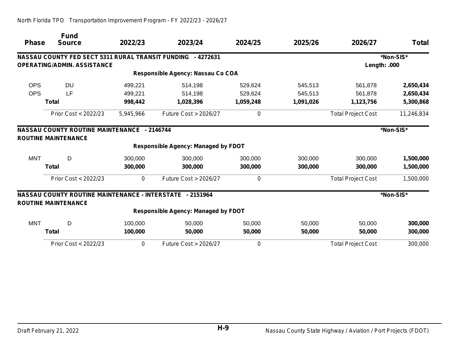| <b>Phase</b> | <b>Fund</b><br><b>Source</b>                                | 2022/23   | 2023/24                                    | 2024/25   | 2025/26   | 2026/27                   | <b>Total</b> |
|--------------|-------------------------------------------------------------|-----------|--------------------------------------------|-----------|-----------|---------------------------|--------------|
|              | NASSAU COUNTY FED SECT 5311 RURAL TRANSIT FUNDING - 4272631 |           |                                            |           |           |                           | *Non-SIS*    |
|              | <b>OPERATING/ADMIN. ASSISTANCE</b>                          |           |                                            |           |           | Length: .000              |              |
|              |                                                             |           | Responsible Agency: Nassau Co COA          |           |           |                           |              |
| <b>OPS</b>   | <b>DU</b>                                                   | 499,221   | 514,198                                    | 529,624   | 545,513   | 561,878                   | 2,650,434    |
| <b>OPS</b>   | LF                                                          | 499,221   | 514,198                                    | 529,624   | 545,513   | 561,878                   | 2,650,434    |
|              | <b>Total</b>                                                | 998,442   | 1,028,396                                  | 1,059,248 | 1,091,026 | 1,123,756                 | 5,300,868    |
|              | Prior Cost < 2022/23                                        | 5,945,966 | Future Cost > 2026/27                      | 0         |           | <b>Total Project Cost</b> | 11,246,834   |
|              | <b>NASSAU COUNTY ROUTINE MAINTENANCE - 2146744</b>          |           |                                            |           |           |                           | *Non-SIS*    |
|              | <b>ROUTINE MAINTENANCE</b>                                  |           | <b>Responsible Agency: Managed by FDOT</b> |           |           |                           |              |
|              |                                                             |           |                                            |           |           |                           |              |
| <b>MNT</b>   | D                                                           | 300,000   | 300,000                                    | 300,000   | 300,000   | 300,000                   | 1,500,000    |
|              | <b>Total</b>                                                | 300,000   | 300,000                                    | 300,000   | 300,000   | 300,000                   | 1,500,000    |
|              | Prior Cost < 2022/23                                        | 0         | <b>Future Cost &gt; 2026/27</b>            | 0         |           | <b>Total Project Cost</b> | 1,500,000    |
|              | NASSAU COUNTY ROUTINE MAINTENANCE - INTERSTATE - 2151964    |           |                                            |           |           |                           | *Non-SIS*    |
|              | <b>ROUTINE MAINTENANCE</b>                                  |           |                                            |           |           |                           |              |
|              |                                                             |           | <b>Responsible Agency: Managed by FDOT</b> |           |           |                           |              |
| <b>MNT</b>   | D                                                           | 100,000   | 50,000                                     | 50,000    | 50,000    | 50,000                    | 300,000      |
|              | <b>Total</b>                                                | 100,000   | 50,000                                     | 50,000    | 50,000    | 50,000                    | 300,000      |
|              | Prior Cost < 2022/23                                        | 0         | Future Cost > 2026/27                      | 0         |           | <b>Total Project Cost</b> | 300,000      |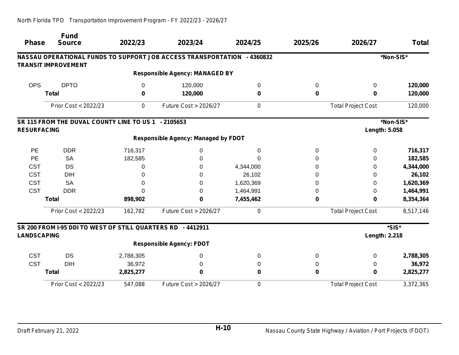| <b>Phase</b>       | <b>Fund</b><br><b>Source</b>                                | 2022/23   | 2023/24                                                                 | 2024/25   | 2025/26     | 2026/27                   | <b>Total</b> |
|--------------------|-------------------------------------------------------------|-----------|-------------------------------------------------------------------------|-----------|-------------|---------------------------|--------------|
|                    |                                                             |           | NASSAU OPERATIONAL FUNDS TO SUPPORT JOB ACCESS TRANSPORTATION - 4360832 |           |             |                           | *Non-SIS*    |
|                    | <b>TRANSIT IMPROVEMENT</b>                                  |           |                                                                         |           |             |                           |              |
|                    |                                                             |           | <b>Responsible Agency: MANAGED BY</b>                                   |           |             |                           |              |
| <b>OPS</b>         | <b>DPTO</b>                                                 | 0         | 120,000                                                                 | $\Omega$  | 0           | $\Omega$                  | 120,000      |
|                    | <b>Total</b>                                                | 0         | 120,000                                                                 | 0         | 0           | 0                         | 120,000      |
|                    | Prior Cost < 2022/23                                        | 0         | Future Cost > 2026/27                                                   | 0         |             | <b>Total Project Cost</b> | 120,000      |
|                    | SR 115 FROM THE DUVAL COUNTY LINE TO US 1 - 2105653         |           |                                                                         |           |             |                           | *Non-SIS*    |
| <b>RESURFACING</b> |                                                             |           |                                                                         |           |             | Length: 5.058             |              |
|                    |                                                             |           | <b>Responsible Agency: Managed by FDOT</b>                              |           |             |                           |              |
| PE                 | <b>DDR</b>                                                  | 716,317   | 0                                                                       | 0         | 0           | 0                         | 716,317      |
| PE                 | <b>SA</b>                                                   | 182,585   | 0                                                                       | 0         | 0           | 0                         | 182,585      |
| <b>CST</b>         | <b>DS</b>                                                   | 0         | 0                                                                       | 4,344,000 | 0           | 0                         | 4,344,000    |
| <b>CST</b>         | <b>DIH</b>                                                  | 0         | 0                                                                       | 26,102    | 0           | 0                         | 26,102       |
| <b>CST</b>         | <b>SA</b>                                                   | 0         | 0                                                                       | 1,620,369 | 0           | 0                         | 1,620,369    |
| <b>CST</b>         | <b>DDR</b>                                                  |           | 0                                                                       | 1,464,991 | $\mathbf 0$ | 0                         | 1,464,991    |
|                    | <b>Total</b>                                                | 898,902   | 0                                                                       | 7,455,462 | 0           | $\bf{0}$                  | 8,354,364    |
|                    | Prior Cost < 2022/23                                        | 162,782   | Future Cost > 2026/27                                                   | 0         |             | <b>Total Project Cost</b> | 8,517,146    |
|                    | SR 200 FROM I-95 DDI TO WEST OF STILL QUARTERS RD - 4412911 |           |                                                                         |           |             |                           | *SIS*        |
| <b>LANDSCAPING</b> |                                                             |           |                                                                         |           |             | <b>Length: 2.218</b>      |              |
|                    |                                                             |           | <b>Responsible Agency: FDOT</b>                                         |           |             |                           |              |
| <b>CST</b>         | <b>DS</b>                                                   | 2,788,305 | 0                                                                       | 0         | 0           | 0                         | 2,788,305    |
| <b>CST</b>         | <b>DIH</b>                                                  | 36,972    | 0                                                                       | 0         | 0           | 0                         | 36,972       |
|                    | <b>Total</b>                                                | 2,825,277 | 0                                                                       | $\bf{0}$  | $\mathbf 0$ | $\bf{0}$                  | 2,825,277    |
|                    | Prior Cost < 2022/23                                        | 547,088   | Future Cost > 2026/27                                                   | 0         |             | <b>Total Project Cost</b> | 3,372,365    |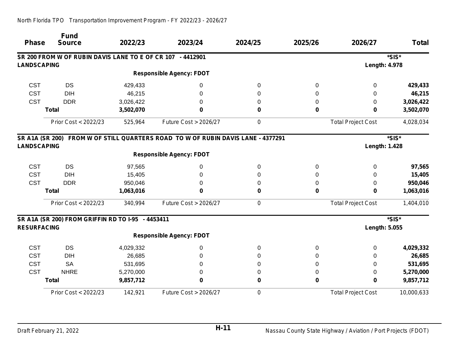| <b>Phase</b>       | <b>Fund</b><br><b>Source</b>                               | 2022/23   | 2023/24                                                                          | 2024/25 | 2025/26 | 2026/27                   | <b>Total</b> |
|--------------------|------------------------------------------------------------|-----------|----------------------------------------------------------------------------------|---------|---------|---------------------------|--------------|
|                    | SR 200 FROM W OF RUBIN DAVIS LANE TO E OF CR 107 - 4412901 |           |                                                                                  |         |         |                           | *SIS*        |
| <b>LANDSCAPING</b> |                                                            |           |                                                                                  |         |         | <b>Length: 4.978</b>      |              |
|                    |                                                            |           | <b>Responsible Agency: FDOT</b>                                                  |         |         |                           |              |
| <b>CST</b>         | <b>DS</b>                                                  | 429,433   | 0                                                                                | 0       | 0       | 0                         | 429,433      |
| <b>CST</b>         | <b>DIH</b>                                                 | 46,215    | 0                                                                                | 0       | 0       | 0                         | 46,215       |
| <b>CST</b>         | <b>DDR</b>                                                 | 3,026,422 | 0                                                                                | 0       | 0       | 0                         | 3,026,422    |
|                    | <b>Total</b>                                               | 3,502,070 | $\bf{0}$                                                                         | 0       | 0       | 0                         | 3,502,070    |
|                    | Prior Cost < 2022/23                                       | 525,964   | Future Cost > 2026/27                                                            | 0       |         | <b>Total Project Cost</b> | 4,028,034    |
|                    |                                                            |           | SR A1A (SR 200) FROM W OF STILL QUARTERS ROAD TO W OF RUBIN DAVIS LANE - 4377291 |         |         |                           | *SIS*        |
| <b>LANDSCAPING</b> |                                                            |           |                                                                                  |         |         | <b>Length: 1.428</b>      |              |
|                    |                                                            |           | <b>Responsible Agency: FDOT</b>                                                  |         |         |                           |              |
| <b>CST</b>         | <b>DS</b>                                                  | 97,565    | 0                                                                                | 0       | 0       | 0                         | 97,565       |
| <b>CST</b>         | <b>DIH</b>                                                 | 15,405    | 0                                                                                | 0       | 0       | 0                         | 15,405       |
| <b>CST</b>         | <b>DDR</b>                                                 | 950,046   | 0                                                                                | 0       | 0       | 0                         | 950,046      |
|                    | <b>Total</b>                                               | 1,063,016 | $\bf{0}$                                                                         | 0       | 0       | 0                         | 1,063,016    |
|                    | Prior Cost < 2022/23                                       | 340,994   | Future Cost > 2026/27                                                            | 0       |         | <b>Total Project Cost</b> | 1,404,010    |
|                    | SR A1A (SR 200) FROM GRIFFIN RD TO I-95 - 4453411          |           |                                                                                  |         |         |                           | *SIS*        |
| <b>RESURFACING</b> |                                                            |           |                                                                                  |         |         | Length: 5.055             |              |
|                    |                                                            |           | <b>Responsible Agency: FDOT</b>                                                  |         |         |                           |              |
| <b>CST</b>         | <b>DS</b>                                                  | 4,029,332 | 0                                                                                | 0       | 0       | 0                         | 4,029,332    |
| <b>CST</b>         | <b>DIH</b>                                                 | 26,685    | 0                                                                                | 0       | 0       | 0                         | 26,685       |
| <b>CST</b>         | <b>SA</b>                                                  | 531,695   | 0                                                                                | 0       | 0       | 0                         | 531,695      |
| <b>CST</b>         | <b>NHRE</b>                                                | 5,270,000 | 0                                                                                | 0       | 0       | 0                         | 5,270,000    |
|                    | <b>Total</b>                                               | 9,857,712 | 0                                                                                | 0       | 0       | 0                         | 9,857,712    |
|                    | Prior Cost < 2022/23                                       | 142,921   | Future Cost > 2026/27                                                            | 0       |         | <b>Total Project Cost</b> | 10,000,633   |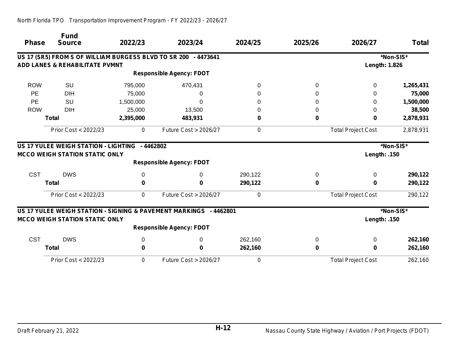|              | <b>Fund</b>                                                    |           |                                                                   |         |         |                           |              |
|--------------|----------------------------------------------------------------|-----------|-------------------------------------------------------------------|---------|---------|---------------------------|--------------|
| <b>Phase</b> | <b>Source</b>                                                  | 2022/23   | 2023/24                                                           | 2024/25 | 2025/26 | 2026/27                   | <b>Total</b> |
|              | US 17 (SR5) FROM S OF WILLIAM BURGESS BLVD TO SR 200 - 4473641 |           |                                                                   |         |         |                           | *Non-SIS*    |
|              | <b>ADD LANES &amp; REHABILITATE PVMNT</b>                      |           |                                                                   |         |         | <b>Length: 1.826</b>      |              |
|              |                                                                |           | <b>Responsible Agency: FDOT</b>                                   |         |         |                           |              |
| <b>ROW</b>   | SU                                                             | 795,000   | 470,431                                                           | 0       | 0       | 0                         | 1,265,431    |
| PE           | <b>DIH</b>                                                     | 75,000    | 0                                                                 |         | 0       | 0                         | 75,000       |
| <b>PE</b>    | <b>SU</b>                                                      | 1,500,000 | $\Omega$                                                          |         | 0       | 0                         | 1,500,000    |
| <b>ROW</b>   | <b>DIH</b>                                                     | 25,000    | 13,500                                                            |         | 0       | 0                         | 38,500       |
|              | <b>Total</b>                                                   | 2,395,000 | 483,931                                                           | 0       | 0       | 0                         | 2,878,931    |
|              | Prior Cost < 2022/23                                           | 0         | Future Cost > 2026/27                                             | 0       |         | <b>Total Project Cost</b> | 2,878,931    |
|              | US 17 YULEE WEIGH STATION - LIGHTING - 4462802                 |           |                                                                   |         |         |                           | *Non-SIS*    |
|              | <b>MCCO WEIGH STATION STATIC ONLY</b>                          |           |                                                                   |         |         | Length: .150              |              |
|              |                                                                |           | <b>Responsible Agency: FDOT</b>                                   |         |         |                           |              |
| <b>CST</b>   | <b>DWS</b>                                                     | 0         | 0                                                                 | 290,122 | 0       | 0                         | 290,122      |
|              | <b>Total</b>                                                   | 0         | 0                                                                 | 290,122 | 0       | O                         | 290,122      |
|              | Prior Cost < 2022/23                                           | 0         | Future Cost > 2026/27                                             | 0       |         | <b>Total Project Cost</b> | 290,122      |
|              |                                                                |           | US 17 YULEE WEIGH STATION - SIGNING & PAVEMENT MARKINGS - 4462801 |         |         |                           | *Non-SIS*    |
|              | <b>MCCO WEIGH STATION STATIC ONLY</b>                          |           |                                                                   |         |         | Length: .150              |              |
|              |                                                                |           | <b>Responsible Agency: FDOT</b>                                   |         |         |                           |              |
| <b>CST</b>   | <b>DWS</b>                                                     | 0         | 0                                                                 | 262,160 | 0       | 0                         | 262,160      |
|              | <b>Total</b>                                                   | 0         | 0                                                                 | 262,160 | 0       | 0                         | 262,160      |
|              | Prior Cost < 2022/23                                           | 0         | Future Cost > 2026/27                                             | 0       |         | <b>Total Project Cost</b> | 262,160      |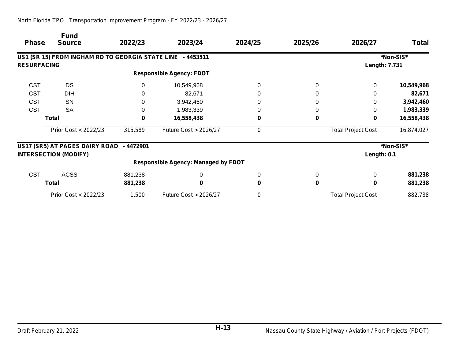| <b>Phase</b>                 | <b>Fund</b><br><b>Source</b>                               | 2022/23  | 2023/24                         | 2024/25  | 2025/26     | 2026/27                   | <b>Total</b> |
|------------------------------|------------------------------------------------------------|----------|---------------------------------|----------|-------------|---------------------------|--------------|
|                              | US1 (SR 15) FROM INGHAM RD TO GEORGIA STATE LINE - 4453511 |          |                                 |          |             |                           | *Non-SIS*    |
| <b>RESURFACING</b>           |                                                            |          |                                 |          |             | Length: 7.731             |              |
|                              |                                                            |          | <b>Responsible Agency: FDOT</b> |          |             |                           |              |
| <b>CST</b>                   | <b>DS</b>                                                  | $\Omega$ | 10,549,968                      | $\Omega$ | 0           | 0                         | 10,549,968   |
| <b>CST</b>                   | <b>DIH</b>                                                 |          | 82,671                          |          | 0           | 0                         | 82,671       |
| <b>CST</b>                   | <b>SN</b>                                                  | 0        | 3,942,460                       |          | 0           | 0                         | 3,942,460    |
| <b>CST</b>                   | <b>SA</b>                                                  | 0        | 1,983,339                       |          | 0           | 0                         | 1,983,339    |
| <b>Total</b>                 |                                                            | $\bf{0}$ | 16,558,438                      | 0        | 0           | 0                         | 16,558,438   |
|                              | Prior Cost < 2022/23                                       | 315,589  | <b>Future Cost &gt; 2026/27</b> | 0        |             | <b>Total Project Cost</b> | 16,874,027   |
|                              | US17 (SR5) AT PAGES DAIRY ROAD - 4472901                   |          |                                 |          |             |                           | *Non-SIS*    |
| <b>INTERSECTION (MODIFY)</b> |                                                            |          |                                 |          |             | Length: 0.1               |              |
|                              | <b>Responsible Agency: Managed by FDOT</b>                 |          |                                 |          |             |                           |              |
| <b>CST</b>                   | <b>ACSS</b>                                                | 881,238  | 0                               | $\Omega$ | 0           | 0                         | 881,238      |
|                              | <b>Total</b>                                               | 881,238  | 0                               | 0        | $\mathbf 0$ | 0                         | 881,238      |
|                              | Prior Cost < 2022/23                                       | 1,500    | <b>Future Cost &gt; 2026/27</b> | 0        |             | <b>Total Project Cost</b> | 882,738      |

*North Florida TPO Transportation Improvement Program - FY 2022/23 - 2026/27*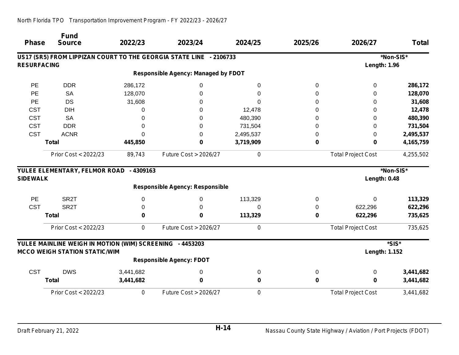| <b>Phase</b>                                                                                                                           | <b>Fund</b><br><b>Source</b>                             | 2022/23   | 2023/24                                | 2024/25   | 2025/26 | 2026/27                   | <b>Total</b> |
|----------------------------------------------------------------------------------------------------------------------------------------|----------------------------------------------------------|-----------|----------------------------------------|-----------|---------|---------------------------|--------------|
| US17 (SR5) FROM LIPPIZAN COURT TO THE GEORGIA STATE LINE - 2106733<br><b>RESURFACING</b><br><b>Responsible Agency: Managed by FDOT</b> |                                                          |           |                                        |           |         | <b>Length: 1.96</b>       | *Non-SIS*    |
|                                                                                                                                        |                                                          |           |                                        |           |         |                           |              |
|                                                                                                                                        |                                                          |           |                                        |           |         |                           |              |
| PE                                                                                                                                     | <b>DDR</b>                                               | 286,172   | 0                                      | 0         | 0       | 0                         | 286,172      |
| PE                                                                                                                                     | <b>SA</b>                                                | 128,070   | 0                                      |           | 0       | 0                         | 128,070      |
| PE                                                                                                                                     | <b>DS</b>                                                | 31,608    | 0                                      |           | 0       | 0                         | 31,608       |
| <b>CST</b>                                                                                                                             | <b>DIH</b>                                               | 0         | 0                                      | 12,478    | 0       | 0                         | 12,478       |
| <b>CST</b>                                                                                                                             | <b>SA</b>                                                | 0         | 0                                      | 480,390   | 0       | 0                         | 480,390      |
| <b>CST</b>                                                                                                                             | <b>DDR</b>                                               | 0         | 0                                      | 731,504   | 0       | 0                         | 731,504      |
| <b>CST</b>                                                                                                                             | <b>ACNR</b>                                              | $\Omega$  | 0                                      | 2,495,537 | 0       | 0                         | 2,495,537    |
|                                                                                                                                        | <b>Total</b>                                             | 445,850   | $\bf{0}$                               | 3,719,909 | 0       | 0                         | 4,165,759    |
|                                                                                                                                        | Prior Cost < 2022/23                                     | 89,743    | Future Cost > 2026/27                  | 0         |         | <b>Total Project Cost</b> | 4,255,502    |
|                                                                                                                                        | YULEE ELEMENTARY, FELMOR ROAD - 4309163                  |           |                                        |           |         |                           | *Non-SIS*    |
| <b>SIDEWALK</b>                                                                                                                        |                                                          |           |                                        |           |         | Length: 0.48              |              |
|                                                                                                                                        |                                                          |           | <b>Responsible Agency: Responsible</b> |           |         |                           |              |
| PE                                                                                                                                     | SR <sub>2</sub> T                                        | 0         | 0                                      | 113,329   | 0       | $\Omega$                  | 113,329      |
| <b>CST</b>                                                                                                                             | SR <sub>2</sub> T                                        | 0         | 0                                      | $\Omega$  | 0       | 622,296                   | 622,296      |
|                                                                                                                                        | <b>Total</b>                                             | 0         | 0                                      | 113,329   | 0       | 622,296                   | 735,625      |
|                                                                                                                                        | Prior Cost < 2022/23                                     | 0         | Future Cost > 2026/27                  | 0         |         | <b>Total Project Cost</b> | 735,625      |
|                                                                                                                                        | YULEE MAINLINE WEIGH IN MOTION (WIM) SCREENING - 4453203 |           |                                        |           |         |                           | *SIS*        |
|                                                                                                                                        | <b>MCCO WEIGH STATION STATIC/WIM</b>                     |           |                                        |           |         | <b>Length: 1.152</b>      |              |
|                                                                                                                                        |                                                          |           | <b>Responsible Agency: FDOT</b>        |           |         |                           |              |
| <b>CST</b>                                                                                                                             | <b>DWS</b>                                               | 3,441,682 | 0                                      | 0         | 0       | 0                         | 3,441,682    |
|                                                                                                                                        | <b>Total</b>                                             | 3,441,682 | 0                                      | 0         | 0       | 0                         | 3,441,682    |
|                                                                                                                                        | Prior Cost < 2022/23                                     | 0         | Future Cost > 2026/27                  | 0         |         | <b>Total Project Cost</b> | 3,441,682    |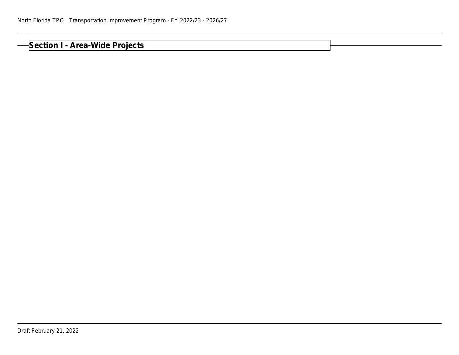## **Section I - Area-Wide Projects**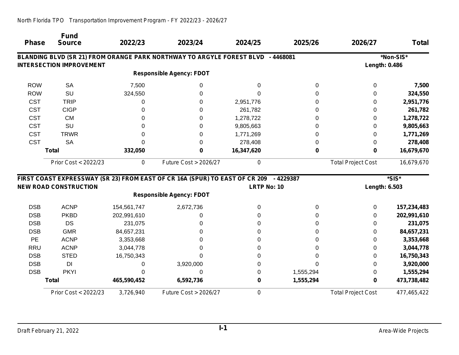| <b>Phase</b>                    | <b>Fund</b><br><b>Source</b> | 2022/23     | 2023/24                                                                     | 2024/25            | 2025/26   | 2026/27                   | <b>Total</b> |
|---------------------------------|------------------------------|-------------|-----------------------------------------------------------------------------|--------------------|-----------|---------------------------|--------------|
|                                 |                              |             | BLANDING BLVD (SR 21) FROM ORANGE PARK NORTHWAY TO ARGYLE FOREST BLVD       |                    | -4468081  |                           | *Non-SIS*    |
| <b>INTERSECTION IMPROVEMENT</b> |                              |             |                                                                             |                    |           | <b>Length: 0.486</b>      |              |
|                                 |                              |             | <b>Responsible Agency: FDOT</b>                                             |                    |           |                           |              |
| <b>ROW</b>                      | <b>SA</b>                    | 7,500       | 0                                                                           | $\Omega$           | 0         | $\Omega$                  | 7,500        |
| <b>ROW</b>                      | SU                           | 324,550     | 0                                                                           |                    | 0         | 0                         | 324,550      |
| <b>CST</b>                      | <b>TRIP</b>                  | 0           | 0                                                                           | 2,951,776          | 0         | 0                         | 2,951,776    |
| <b>CST</b>                      | <b>CIGP</b>                  |             | 0                                                                           | 261,782            | 0         | 0                         | 261,782      |
| <b>CST</b>                      | <b>CM</b>                    |             | 0                                                                           | 1,278,722          | 0         | 0                         | 1,278,722    |
| <b>CST</b>                      | SU                           |             | 0                                                                           | 9,805,663          | 0         | 0                         | 9,805,663    |
| <b>CST</b>                      | <b>TRWR</b>                  | 0           | 0                                                                           | 1,771,269          | 0         | 0                         | 1,771,269    |
| <b>CST</b>                      | <b>SA</b>                    | 0           | 0                                                                           | 278,408            | 0         | $\Omega$                  | 278,408      |
|                                 | <b>Total</b>                 | 332,050     | 0                                                                           | 16,347,620         | 0         | $\bf{0}$                  | 16,679,670   |
|                                 | Prior Cost < 2022/23         | 0           | Future Cost > 2026/27                                                       | 0                  |           | <b>Total Project Cost</b> | 16,679,670   |
|                                 |                              |             | FIRST COAST EXPRESSWAY (SR 23) FROM EAST OF CR 16A (SPUR) TO EAST OF CR 209 |                    | -4229387  |                           | *SIS*        |
|                                 | <b>NEW ROAD CONSTRUCTION</b> |             |                                                                             | <b>LRTP No: 10</b> |           | Length: 6.503             |              |
|                                 |                              |             | <b>Responsible Agency: FDOT</b>                                             |                    |           |                           |              |
| <b>DSB</b>                      | <b>ACNP</b>                  | 154,561,747 | 2,672,736                                                                   | 0                  | 0         | $\Omega$                  | 157,234,483  |
| <b>DSB</b>                      | <b>PKBD</b>                  | 202,991,610 | 0                                                                           | 0                  | 0         | $\Omega$                  | 202,991,610  |
| <b>DSB</b>                      | <b>DS</b>                    | 231,075     |                                                                             |                    | 0         | 0                         | 231,075      |
| <b>DSB</b>                      | <b>GMR</b>                   | 84,657,231  | 0                                                                           | O                  | 0         | $\Omega$                  | 84,657,231   |
| PE                              | <b>ACNP</b>                  | 3,353,668   | 0                                                                           |                    | 0         | 0                         | 3,353,668    |
| <b>RRU</b>                      | <b>ACNP</b>                  | 3,044,778   | 0                                                                           |                    | 0         | 0                         | 3,044,778    |
| <b>DSB</b>                      | <b>STED</b>                  | 16,750,343  | 0                                                                           | 0                  | 0         | 0                         | 16,750,343   |
| <b>DSB</b>                      | DI                           | 0           | 3,920,000                                                                   | 0                  | 0         | $\Omega$                  | 3,920,000    |
| <b>DSB</b>                      | <b>PKYI</b>                  | $\Omega$    | 0                                                                           | 0                  | 1,555,294 | 0                         | 1,555,294    |
|                                 | <b>Total</b>                 | 465,590,452 | 6,592,736                                                                   | 0                  | 1,555,294 | 0                         | 473,738,482  |
|                                 | Prior Cost < 2022/23         | 3,726,940   | Future Cost > 2026/27                                                       | 0                  |           | <b>Total Project Cost</b> | 477,465,422  |